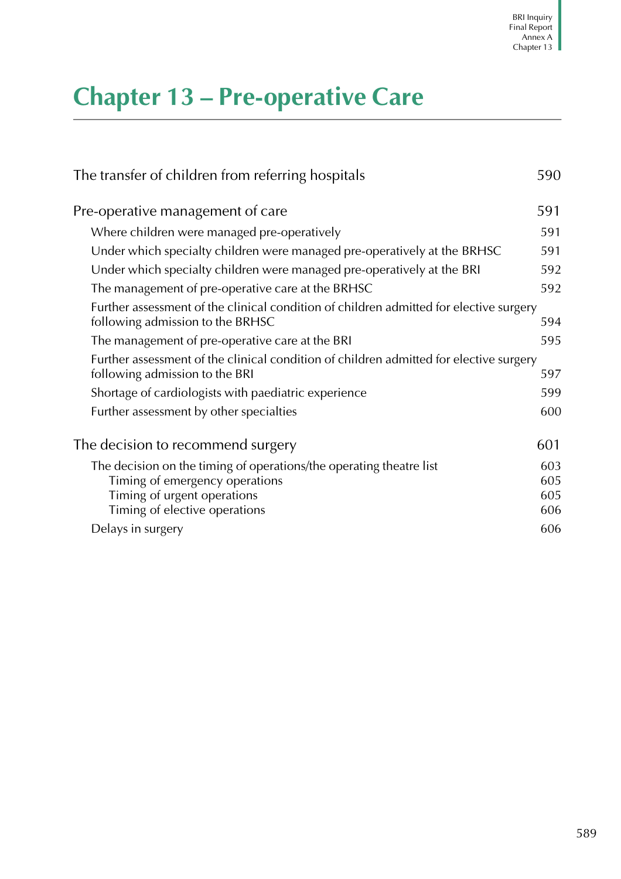# **Chapter 13 – Pre-operative Care**

| The transfer of children from referring hospitals                                                                                                                     | 590                      |
|-----------------------------------------------------------------------------------------------------------------------------------------------------------------------|--------------------------|
| Pre-operative management of care                                                                                                                                      | 591                      |
| Where children were managed pre-operatively                                                                                                                           | 591                      |
| Under which specialty children were managed pre-operatively at the BRHSC                                                                                              | 591                      |
| Under which specialty children were managed pre-operatively at the BRI                                                                                                | 592                      |
| The management of pre-operative care at the BRHSC                                                                                                                     | 592                      |
| Further assessment of the clinical condition of children admitted for elective surgery<br>following admission to the BRHSC                                            | 594                      |
| The management of pre-operative care at the BRI                                                                                                                       | 595                      |
| Further assessment of the clinical condition of children admitted for elective surgery<br>following admission to the BRI                                              | 597                      |
| Shortage of cardiologists with paediatric experience                                                                                                                  | 599                      |
| Further assessment by other specialties                                                                                                                               | 600                      |
| The decision to recommend surgery                                                                                                                                     | 601                      |
| The decision on the timing of operations/the operating theatre list<br>Timing of emergency operations<br>Timing of urgent operations<br>Timing of elective operations | 603<br>605<br>605<br>606 |
| Delays in surgery                                                                                                                                                     | 606                      |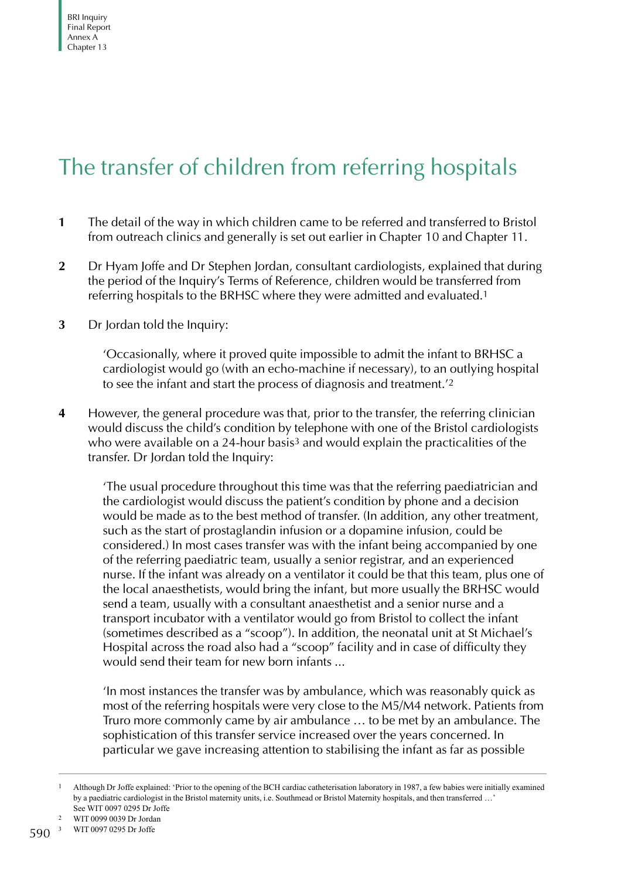#### BRI Inquiry Final Report Annex A Chapter 13

## <span id="page-1-0"></span>The transfer of children from referring hospitals

- **1** The detail of the way in which children came to be referred and transferred to Bristol from outreach clinics and generally is set out earlier in Chapter 10 and Chapter 11.
- **2** Dr Hyam Joffe and Dr Stephen Jordan, consultant cardiologists, explained that during the period of the Inquiry's Terms of Reference, children would be transferred from referring hospitals to the BRHSC where they were admitted and evaluated.1
- **3** Dr Jordan told the Inquiry:

'Occasionally, where it proved quite impossible to admit the infant to BRHSC a cardiologist would go (with an echo-machine if necessary), to an outlying hospital to see the infant and start the process of diagnosis and treatment.'2

**4** However, the general procedure was that, prior to the transfer, the referring clinician would discuss the child's condition by telephone with one of the Bristol cardiologists who were available on a 24-hour basis<sup>3</sup> and would explain the practicalities of the transfer. Dr Jordan told the Inquiry:

'The usual procedure throughout this time was that the referring paediatrician and the cardiologist would discuss the patient's condition by phone and a decision would be made as to the best method of transfer. (In addition, any other treatment, such as the start of prostaglandin infusion or a dopamine infusion, could be considered.) In most cases transfer was with the infant being accompanied by one of the referring paediatric team, usually a senior registrar, and an experienced nurse. If the infant was already on a ventilator it could be that this team, plus one of the local anaesthetists, would bring the infant, but more usually the BRHSC would send a team, usually with a consultant anaesthetist and a senior nurse and a transport incubator with a ventilator would go from Bristol to collect the infant (sometimes described as a "scoop"). In addition, the neonatal unit at St Michael's Hospital across the road also had a "scoop" facility and in case of difficulty they would send their team for new born infants ...

'In most instances the transfer was by ambulance, which was reasonably quick as most of the referring hospitals were very close to the M5/M4 network. Patients from Truro more commonly came by air ambulance … to be met by an ambulance. The sophistication of this transfer service increased over the years concerned. In particular we gave increasing attention to stabilising the infant as far as possible

<sup>1</sup> Although Dr Joffe explained: 'Prior to the opening of the BCH cardiac catheterisation laboratory in 1987, a few babies were initially examined by a paediatric cardiologist in the Bristol maternity units, i.e. Southmead or Bristol Maternity hospitals, and then transferred ...' See WIT 0097 0295 Dr Joffe

<sup>2</sup> WIT 0099 0039 Dr Jordan

<sup>3</sup> WIT 0097 0295 Dr Joffe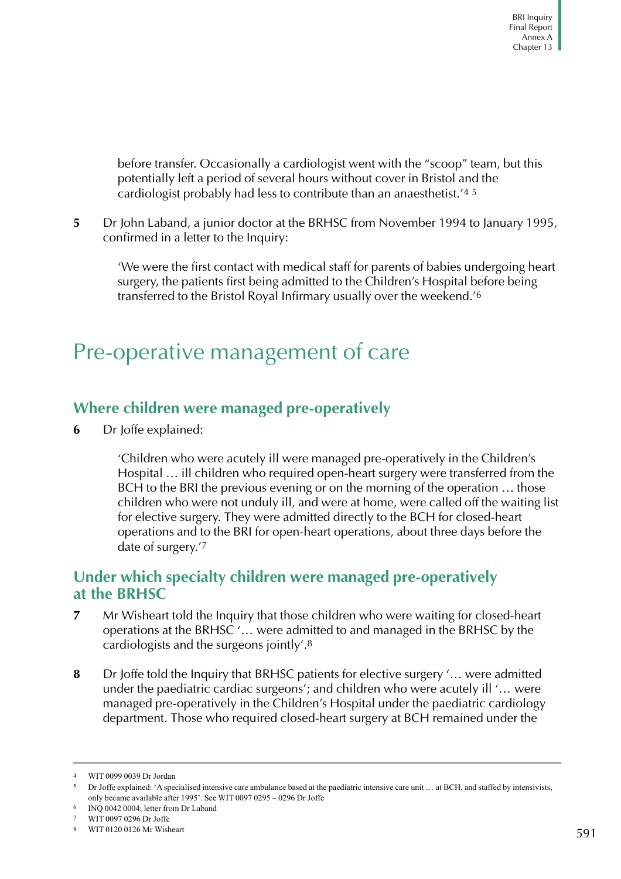before transfer. Occasionally a cardiologist went with the "scoop" team, but this potentially left a period of several hours without cover in Bristol and the cardiologist probably had less to contribute than an anaesthetist.'4 5

**5** Dr John Laband, a junior doctor at the BRHSC from November 1994 to January 1995, confirmed in a letter to the Inquiry:

'We were the first contact with medical staff for parents of babies undergoing heart surgery, the patients first being admitted to the Children's Hospital before being transferred to the Bristol Royal Infirmary usually over the weekend.'6

## <span id="page-2-0"></span>Pre-operative management of care

## <span id="page-2-1"></span>**Where children were managed pre-operatively**

**6** Dr Joffe explained:

'Children who were acutely ill were managed pre-operatively in the Children's Hospital … ill children who required open-heart surgery were transferred from the BCH to the BRI the previous evening or on the morning of the operation … those children who were not unduly ill, and were at home, were called off the waiting list for elective surgery. They were admitted directly to the BCH for closed-heart operations and to the BRI for open-heart operations, about three days before the date of surgery.'7

## <span id="page-2-2"></span>**Under which specialty children were managed pre-operatively at the BRHSC**

- **7** Mr Wisheart told the Inquiry that those children who were waiting for closed-heart operations at the BRHSC '… were admitted to and managed in the BRHSC by the cardiologists and the surgeons jointly'.8
- **8** Dr Joffe told the Inquiry that BRHSC patients for elective surgery '… were admitted under the paediatric cardiac surgeons'; and children who were acutely ill '… were managed pre-operatively in the Children's Hospital under the paediatric cardiology department. Those who required closed-heart surgery at BCH remained under the

<sup>4</sup> WIT 0099 0039 Dr Jordan

<sup>&</sup>lt;sup>5</sup> Dr Joffe explained: 'A specialised intensive care ambulance based at the paediatric intensive care unit ... at BCH, and staffed by intensivists, only became available after 1995'. See WIT 0097 0295 – 0296 Dr Joffe

<sup>6</sup> INQ 0042 0004; letter from Dr Laband

<sup>7</sup> WIT 0097 0296 Dr Joffe

<sup>8</sup> WIT 0120 0126 Mr Wisheart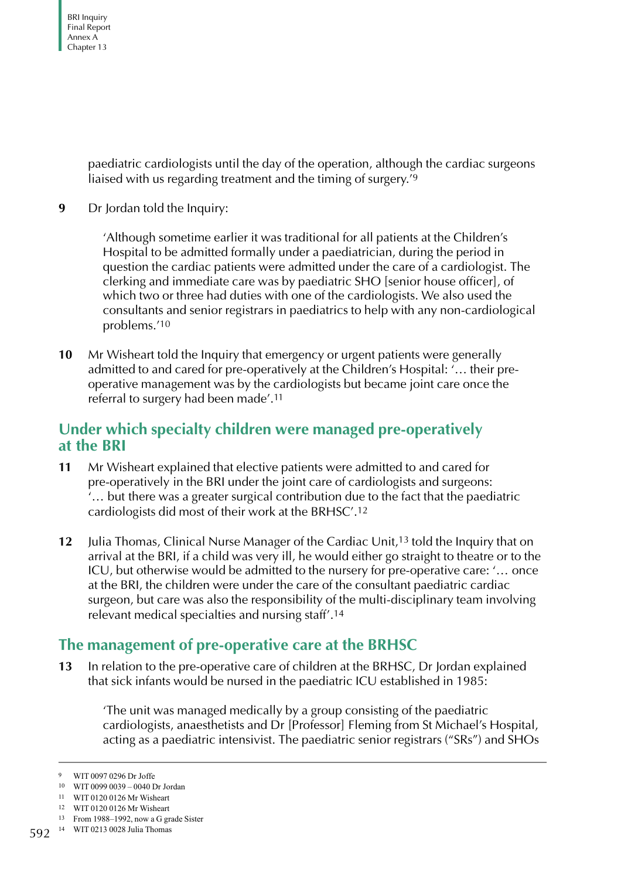paediatric cardiologists until the day of the operation, although the cardiac surgeons liaised with us regarding treatment and the timing of surgery.'9

**9** Dr Jordan told the Inquiry:

'Although sometime earlier it was traditional for all patients at the Children's Hospital to be admitted formally under a paediatrician, during the period in question the cardiac patients were admitted under the care of a cardiologist. The clerking and immediate care was by paediatric SHO [senior house officer], of which two or three had duties with one of the cardiologists. We also used the consultants and senior registrars in paediatrics to help with any non-cardiological problems.'10

**10** Mr Wisheart told the Inquiry that emergency or urgent patients were generally admitted to and cared for pre-operatively at the Children's Hospital: '… their preoperative management was by the cardiologists but became joint care once the referral to surgery had been made'.11

## <span id="page-3-0"></span>**Under which specialty children were managed pre-operatively at the BRI**

- **11** Mr Wisheart explained that elective patients were admitted to and cared for pre-operatively in the BRI under the joint care of cardiologists and surgeons: '… but there was a greater surgical contribution due to the fact that the paediatric cardiologists did most of their work at the BRHSC'.12
- **12** Julia Thomas, Clinical Nurse Manager of the Cardiac Unit,13 told the Inquiry that on arrival at the BRI, if a child was very ill, he would either go straight to theatre or to the ICU, but otherwise would be admitted to the nursery for pre-operative care: '… once at the BRI, the children were under the care of the consultant paediatric cardiac surgeon, but care was also the responsibility of the multi-disciplinary team involving relevant medical specialties and nursing staff'.14

## <span id="page-3-1"></span>**The management of pre-operative care at the BRHSC**

**13** In relation to the pre-operative care of children at the BRHSC, Dr Jordan explained that sick infants would be nursed in the paediatric ICU established in 1985:

'The unit was managed medically by a group consisting of the paediatric cardiologists, anaesthetists and Dr [Professor] Fleming from St Michael's Hospital, acting as a paediatric intensivist. The paediatric senior registrars ("SRs") and SHOs

<sup>9</sup> WIT 0097 0296 Dr Joffe

<sup>10</sup> WIT 0099 0039 – 0040 Dr Jordan

<sup>11</sup> WIT 0120 0126 Mr Wisheart

<sup>12</sup> WIT 0120 0126 Mr Wisheart

<sup>13</sup> From 1988–1992, now a G grade Sister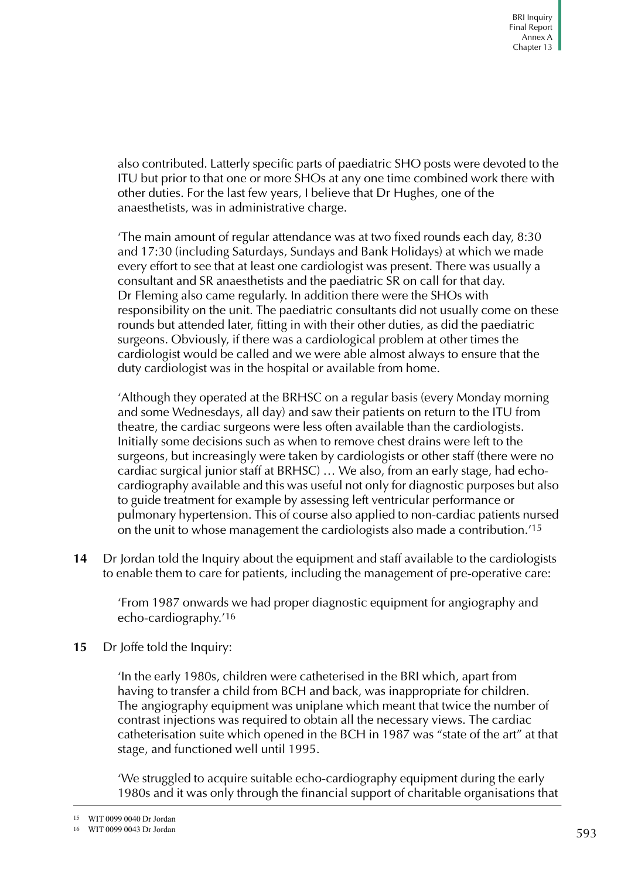also contributed. Latterly specific parts of paediatric SHO posts were devoted to the ITU but prior to that one or more SHOs at any one time combined work there with other duties. For the last few years, I believe that Dr Hughes, one of the anaesthetists, was in administrative charge.

'The main amount of regular attendance was at two fixed rounds each day, 8:30 and 17:30 (including Saturdays, Sundays and Bank Holidays) at which we made every effort to see that at least one cardiologist was present. There was usually a consultant and SR anaesthetists and the paediatric SR on call for that day. Dr Fleming also came regularly. In addition there were the SHOs with responsibility on the unit. The paediatric consultants did not usually come on these rounds but attended later, fitting in with their other duties, as did the paediatric surgeons. Obviously, if there was a cardiological problem at other times the cardiologist would be called and we were able almost always to ensure that the duty cardiologist was in the hospital or available from home.

'Although they operated at the BRHSC on a regular basis (every Monday morning and some Wednesdays, all day) and saw their patients on return to the ITU from theatre, the cardiac surgeons were less often available than the cardiologists. Initially some decisions such as when to remove chest drains were left to the surgeons, but increasingly were taken by cardiologists or other staff (there were no cardiac surgical junior staff at BRHSC) … We also, from an early stage, had echocardiography available and this was useful not only for diagnostic purposes but also to guide treatment for example by assessing left ventricular performance or pulmonary hypertension. This of course also applied to non-cardiac patients nursed on the unit to whose management the cardiologists also made a contribution.'15

**14** Dr Jordan told the Inquiry about the equipment and staff available to the cardiologists to enable them to care for patients, including the management of pre-operative care:

'From 1987 onwards we had proper diagnostic equipment for angiography and echo-cardiography.'16

**15** Dr Joffe told the Inquiry:

'In the early 1980s, children were catheterised in the BRI which, apart from having to transfer a child from BCH and back, was inappropriate for children. The angiography equipment was uniplane which meant that twice the number of contrast injections was required to obtain all the necessary views. The cardiac catheterisation suite which opened in the BCH in 1987 was "state of the art" at that stage, and functioned well until 1995.

'We struggled to acquire suitable echo-cardiography equipment during the early 1980s and it was only through the financial support of charitable organisations that

<sup>15</sup> WIT 0099 0040 Dr Jordan

<sup>16</sup> WIT 0099 0043 Dr Jordan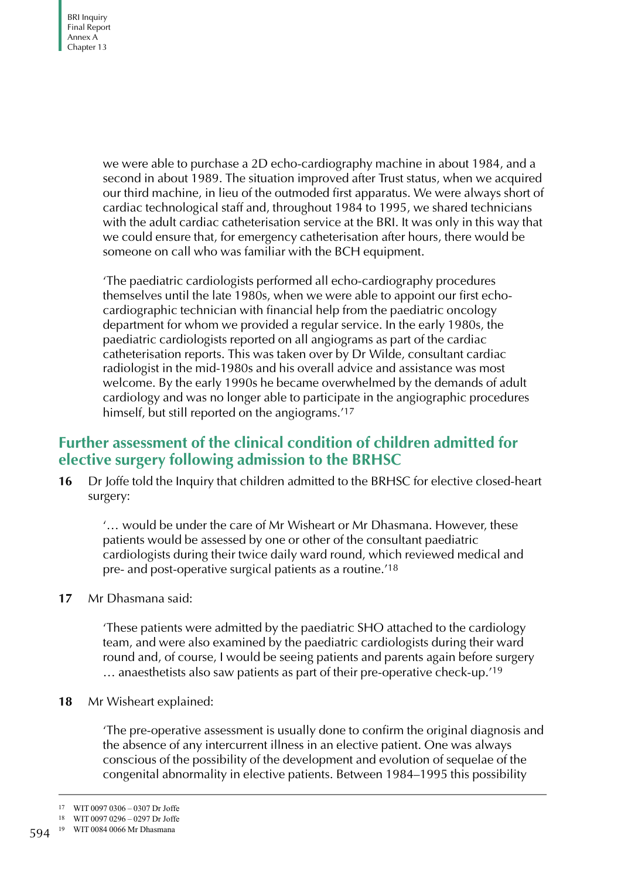we were able to purchase a 2D echo-cardiography machine in about 1984, and a second in about 1989. The situation improved after Trust status, when we acquired our third machine, in lieu of the outmoded first apparatus. We were always short of cardiac technological staff and, throughout 1984 to 1995, we shared technicians with the adult cardiac catheterisation service at the BRI. It was only in this way that we could ensure that, for emergency catheterisation after hours, there would be someone on call who was familiar with the BCH equipment.

'The paediatric cardiologists performed all echo-cardiography procedures themselves until the late 1980s, when we were able to appoint our first echocardiographic technician with financial help from the paediatric oncology department for whom we provided a regular service. In the early 1980s, the paediatric cardiologists reported on all angiograms as part of the cardiac catheterisation reports. This was taken over by Dr Wilde, consultant cardiac radiologist in the mid-1980s and his overall advice and assistance was most welcome. By the early 1990s he became overwhelmed by the demands of adult cardiology and was no longer able to participate in the angiographic procedures himself, but still reported on the angiograms.'17

### <span id="page-5-0"></span>**Further assessment of the clinical condition of children admitted for elective surgery following admission to the BRHSC**

16 Dr Joffe told the Inquiry that children admitted to the BRHSC for elective closed-heart surgery:

'… would be under the care of Mr Wisheart or Mr Dhasmana. However, these patients would be assessed by one or other of the consultant paediatric cardiologists during their twice daily ward round, which reviewed medical and pre- and post-operative surgical patients as a routine.'18

**17** Mr Dhasmana said:

'These patients were admitted by the paediatric SHO attached to the cardiology team, and were also examined by the paediatric cardiologists during their ward round and, of course, I would be seeing patients and parents again before surgery … anaesthetists also saw patients as part of their pre-operative check-up.'19

**18** Mr Wisheart explained:

'The pre-operative assessment is usually done to confirm the original diagnosis and the absence of any intercurrent illness in an elective patient. One was always conscious of the possibility of the development and evolution of sequelae of the congenital abnormality in elective patients. Between 1984–1995 this possibility

<sup>17</sup> WIT 0097 0306 – 0307 Dr Joffe

<sup>18</sup> WIT 0097 0296 – 0297 Dr Joffe 19 WIT 0084 0066 Mr Dhasmana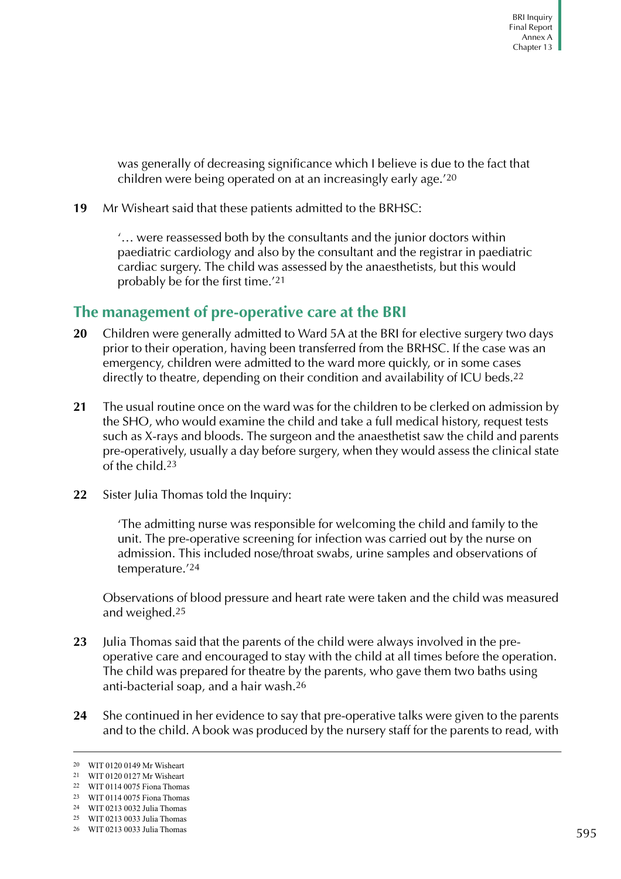was generally of decreasing significance which I believe is due to the fact that children were being operated on at an increasingly early age.'20

#### **19** Mr Wisheart said that these patients admitted to the BRHSC:

'… were reassessed both by the consultants and the junior doctors within paediatric cardiology and also by the consultant and the registrar in paediatric cardiac surgery. The child was assessed by the anaesthetists, but this would probably be for the first time.'21

### <span id="page-6-0"></span>**The management of pre-operative care at the BRI**

- **20** Children were generally admitted to Ward 5A at the BRI for elective surgery two days prior to their operation, having been transferred from the BRHSC. If the case was an emergency, children were admitted to the ward more quickly, or in some cases directly to theatre, depending on their condition and availability of ICU beds.22
- **21** The usual routine once on the ward was for the children to be clerked on admission by the SHO, who would examine the child and take a full medical history, request tests such as X-rays and bloods. The surgeon and the anaesthetist saw the child and parents pre-operatively, usually a day before surgery, when they would assess the clinical state of the child.23
- **22** Sister Julia Thomas told the Inquiry:

'The admitting nurse was responsible for welcoming the child and family to the unit. The pre-operative screening for infection was carried out by the nurse on admission. This included nose/throat swabs, urine samples and observations of temperature.'24

Observations of blood pressure and heart rate were taken and the child was measured and weighed.25

- **23** Julia Thomas said that the parents of the child were always involved in the preoperative care and encouraged to stay with the child at all times before the operation. The child was prepared for theatre by the parents, who gave them two baths using anti-bacterial soap, and a hair wash.26
- **24** She continued in her evidence to say that pre-operative talks were given to the parents and to the child. A book was produced by the nursery staff for the parents to read, with

<sup>20</sup> WIT 0120 0149 Mr Wisheart

<sup>21</sup> WIT 0120 0127 Mr Wisheart

<sup>22</sup> WIT 0114 0075 Fiona Thomas

<sup>23</sup> WIT 0114 0075 Fiona Thomas

<sup>24</sup> WIT 0213 0032 Julia Thomas

<sup>25</sup> WIT 0213 0033 Julia Thomas

<sup>26</sup> WIT 0213 0033 Julia Thomas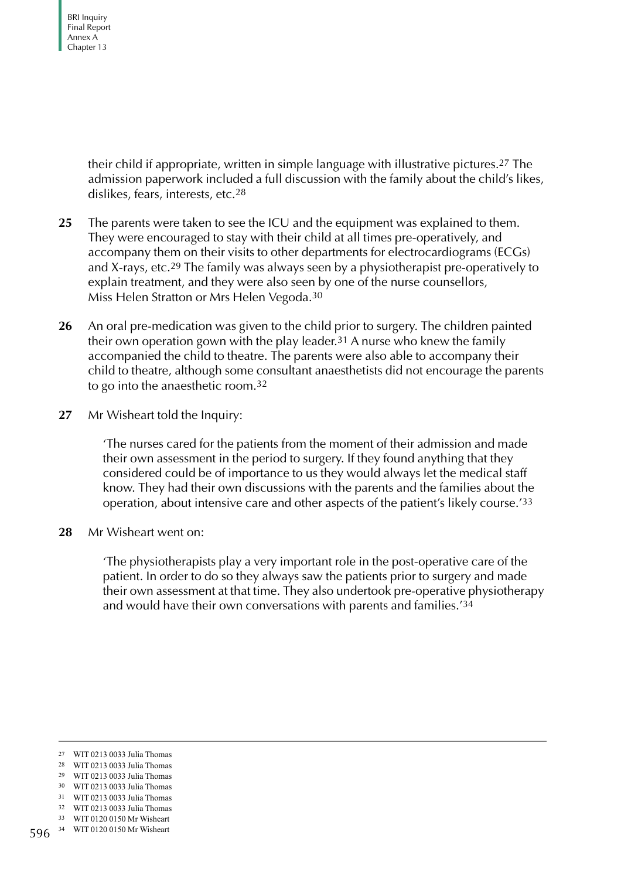their child if appropriate, written in simple language with illustrative pictures.27 The admission paperwork included a full discussion with the family about the child's likes, dislikes, fears, interests, etc.28

- **25** The parents were taken to see the ICU and the equipment was explained to them. They were encouraged to stay with their child at all times pre-operatively, and accompany them on their visits to other departments for electrocardiograms (ECGs) and X-rays, etc.29 The family was always seen by a physiotherapist pre-operatively to explain treatment, and they were also seen by one of the nurse counsellors, Miss Helen Stratton or Mrs Helen Vegoda.30
- **26** An oral pre-medication was given to the child prior to surgery. The children painted their own operation gown with the play leader.<sup>31</sup> A nurse who knew the family accompanied the child to theatre. The parents were also able to accompany their child to theatre, although some consultant anaesthetists did not encourage the parents to go into the anaesthetic room.32
- **27** Mr Wisheart told the Inquiry:

'The nurses cared for the patients from the moment of their admission and made their own assessment in the period to surgery. If they found anything that they considered could be of importance to us they would always let the medical staff know. They had their own discussions with the parents and the families about the operation, about intensive care and other aspects of the patient's likely course.'33

**28** Mr Wisheart went on:

'The physiotherapists play a very important role in the post-operative care of the patient. In order to do so they always saw the patients prior to surgery and made their own assessment at that time. They also undertook pre-operative physiotherapy and would have their own conversations with parents and families.'34

<sup>27</sup> WIT 0213 0033 Julia Thomas

<sup>28</sup> WIT 0213 0033 Julia Thomas

<sup>29</sup> WIT 0213 0033 Julia Thomas

<sup>30</sup> WIT 0213 0033 Julia Thomas

<sup>31</sup> WIT 0213 0033 Julia Thomas

<sup>32</sup> WIT 0213 0033 Julia Thomas

<sup>33</sup> WIT 0120 0150 Mr Wisheart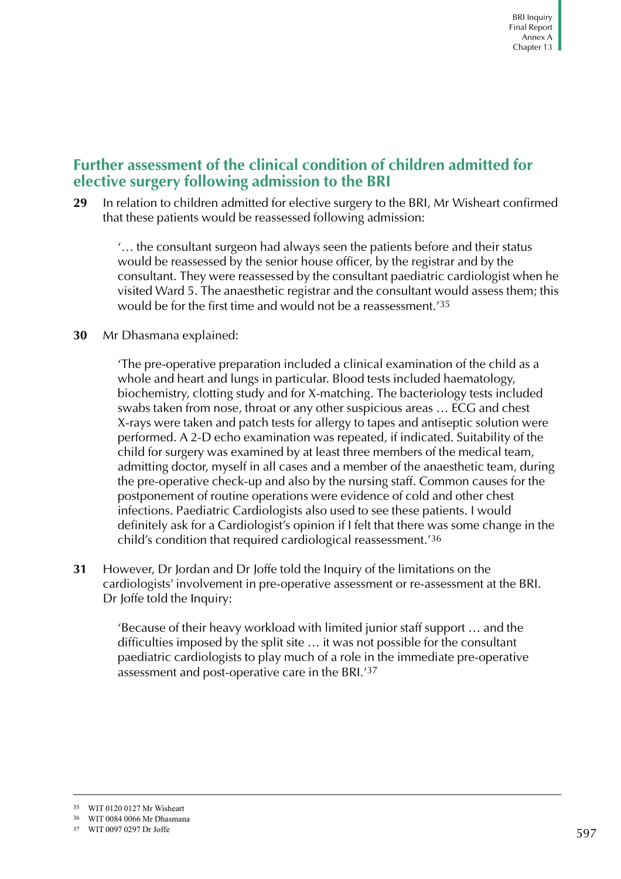## <span id="page-8-0"></span>**Further assessment of the clinical condition of children admitted for elective surgery following admission to the BRI**

**29** In relation to children admitted for elective surgery to the BRI, Mr Wisheart confirmed that these patients would be reassessed following admission:

'… the consultant surgeon had always seen the patients before and their status would be reassessed by the senior house officer, by the registrar and by the consultant. They were reassessed by the consultant paediatric cardiologist when he visited Ward 5. The anaesthetic registrar and the consultant would assess them; this would be for the first time and would not be a reassessment.'35

#### **30** Mr Dhasmana explained:

'The pre-operative preparation included a clinical examination of the child as a whole and heart and lungs in particular. Blood tests included haematology, biochemistry, clotting study and for X-matching. The bacteriology tests included swabs taken from nose, throat or any other suspicious areas … ECG and chest X-rays were taken and patch tests for allergy to tapes and antiseptic solution were performed. A 2-D echo examination was repeated, if indicated. Suitability of the child for surgery was examined by at least three members of the medical team, admitting doctor, myself in all cases and a member of the anaesthetic team, during the pre-operative check-up and also by the nursing staff. Common causes for the postponement of routine operations were evidence of cold and other chest infections. Paediatric Cardiologists also used to see these patients. I would definitely ask for a Cardiologist's opinion if I felt that there was some change in the child's condition that required cardiological reassessment.'36

**31** However, Dr Jordan and Dr Joffe told the Inquiry of the limitations on the cardiologists' involvement in pre-operative assessment or re-assessment at the BRI. Dr Joffe told the Inquiry:

'Because of their heavy workload with limited junior staff support … and the difficulties imposed by the split site … it was not possible for the consultant paediatric cardiologists to play much of a role in the immediate pre-operative assessment and post-operative care in the BRI.'37

<sup>35</sup> WIT 0120 0127 Mr Wisheart

<sup>36</sup> WIT 0084 0066 Mr Dhasmana

<sup>37</sup> WIT 0097 0297 Dr Joffe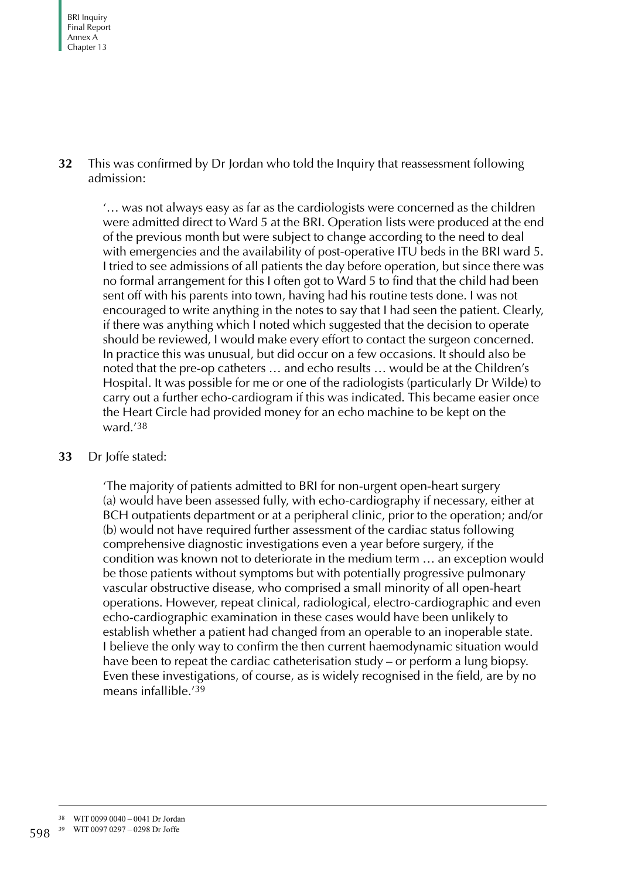#### **32** This was confirmed by Dr Jordan who told the Inquiry that reassessment following admission:

'… was not always easy as far as the cardiologists were concerned as the children were admitted direct to Ward 5 at the BRI. Operation lists were produced at the end of the previous month but were subject to change according to the need to deal with emergencies and the availability of post-operative ITU beds in the BRI ward 5. I tried to see admissions of all patients the day before operation, but since there was no formal arrangement for this I often got to Ward 5 to find that the child had been sent off with his parents into town, having had his routine tests done. I was not encouraged to write anything in the notes to say that I had seen the patient. Clearly, if there was anything which I noted which suggested that the decision to operate should be reviewed, I would make every effort to contact the surgeon concerned. In practice this was unusual, but did occur on a few occasions. It should also be noted that the pre-op catheters … and echo results … would be at the Children's Hospital. It was possible for me or one of the radiologists (particularly Dr Wilde) to carry out a further echo-cardiogram if this was indicated. This became easier once the Heart Circle had provided money for an echo machine to be kept on the ward.'38

#### **33** Dr Joffe stated:

'The majority of patients admitted to BRI for non-urgent open-heart surgery (a) would have been assessed fully, with echo-cardiography if necessary, either at BCH outpatients department or at a peripheral clinic, prior to the operation; and/or (b) would not have required further assessment of the cardiac status following comprehensive diagnostic investigations even a year before surgery, if the condition was known not to deteriorate in the medium term … an exception would be those patients without symptoms but with potentially progressive pulmonary vascular obstructive disease, who comprised a small minority of all open-heart operations. However, repeat clinical, radiological, electro-cardiographic and even echo-cardiographic examination in these cases would have been unlikely to establish whether a patient had changed from an operable to an inoperable state. I believe the only way to confirm the then current haemodynamic situation would have been to repeat the cardiac catheterisation study – or perform a lung biopsy. Even these investigations, of course, as is widely recognised in the field, are by no means infallible.'39

<sup>38</sup> WIT 0099 0040 – 0041 Dr Jordan 39 WIT 0097 0297 – 0298 Dr Joffe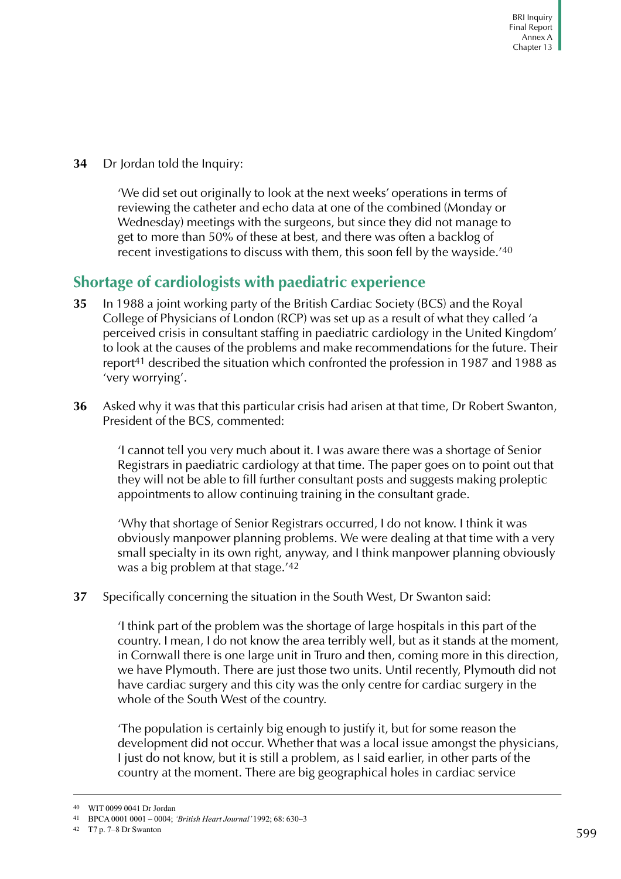**34** Dr Jordan told the Inquiry:

'We did set out originally to look at the next weeks' operations in terms of reviewing the catheter and echo data at one of the combined (Monday or Wednesday) meetings with the surgeons, but since they did not manage to get to more than 50% of these at best, and there was often a backlog of recent investigations to discuss with them, this soon fell by the wayside.'40

## <span id="page-10-0"></span>**Shortage of cardiologists with paediatric experience**

- **35** In 1988 a joint working party of the British Cardiac Society (BCS) and the Royal College of Physicians of London (RCP) was set up as a result of what they called 'a perceived crisis in consultant staffing in paediatric cardiology in the United Kingdom' to look at the causes of the problems and make recommendations for the future. Their report41 described the situation which confronted the profession in 1987 and 1988 as 'very worrying'.
- **36** Asked why it was that this particular crisis had arisen at that time, Dr Robert Swanton, President of the BCS, commented:

'I cannot tell you very much about it. I was aware there was a shortage of Senior Registrars in paediatric cardiology at that time. The paper goes on to point out that they will not be able to fill further consultant posts and suggests making proleptic appointments to allow continuing training in the consultant grade.

'Why that shortage of Senior Registrars occurred, I do not know. I think it was obviously manpower planning problems. We were dealing at that time with a very small specialty in its own right, anyway, and I think manpower planning obviously was a big problem at that stage.'42

**37** Specifically concerning the situation in the South West, Dr Swanton said:

'I think part of the problem was the shortage of large hospitals in this part of the country. I mean, I do not know the area terribly well, but as it stands at the moment, in Cornwall there is one large unit in Truro and then, coming more in this direction, we have Plymouth. There are just those two units. Until recently, Plymouth did not have cardiac surgery and this city was the only centre for cardiac surgery in the whole of the South West of the country.

'The population is certainly big enough to justify it, but for some reason the development did not occur. Whether that was a local issue amongst the physicians, I just do not know, but it is still a problem, as I said earlier, in other parts of the country at the moment. There are big geographical holes in cardiac service

<sup>40</sup> WIT 0099 0041 Dr Jordan

<sup>41</sup> BPCA 0001 0001 – 0004; *'British Heart Journal'* 1992; 68: 630–3

<sup>42</sup> T7 p. 7–8 Dr Swanton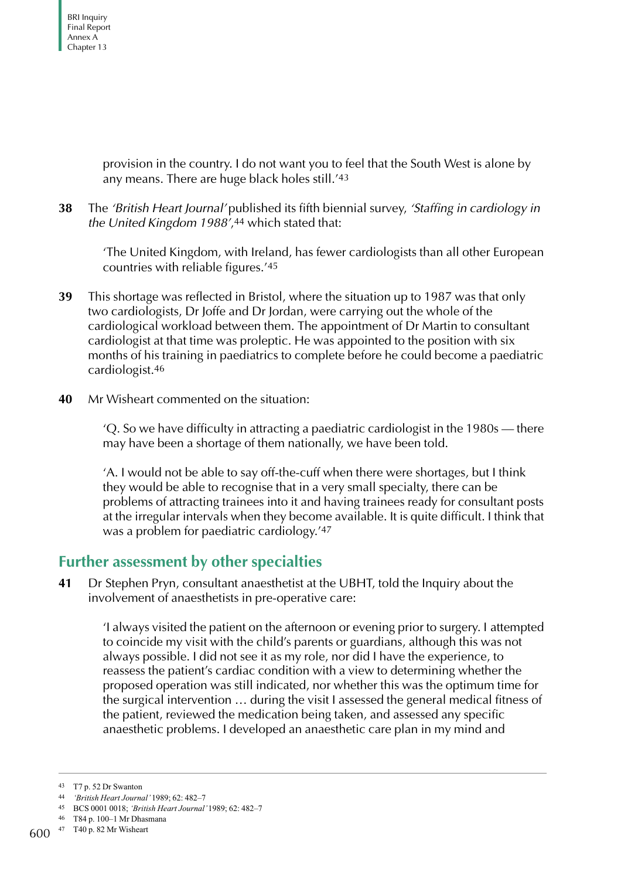provision in the country. I do not want you to feel that the South West is alone by any means. There are huge black holes still.'43

**38** The 'British Heart Journal' published its fifth biennial survey, 'Staffing in cardiology in the United Kingdom 1988',44 which stated that:

'The United Kingdom, with Ireland, has fewer cardiologists than all other European countries with reliable figures.'45

- **39** This shortage was reflected in Bristol, where the situation up to 1987 was that only two cardiologists, Dr Joffe and Dr Jordan, were carrying out the whole of the cardiological workload between them. The appointment of Dr Martin to consultant cardiologist at that time was proleptic. He was appointed to the position with six months of his training in paediatrics to complete before he could become a paediatric cardiologist.46
- **40** Mr Wisheart commented on the situation:

'Q. So we have difficulty in attracting a paediatric cardiologist in the 1980s — there may have been a shortage of them nationally, we have been told.

'A. I would not be able to say off-the-cuff when there were shortages, but I think they would be able to recognise that in a very small specialty, there can be problems of attracting trainees into it and having trainees ready for consultant posts at the irregular intervals when they become available. It is quite difficult. I think that was a problem for paediatric cardiology.'47

## <span id="page-11-0"></span>**Further assessment by other specialties**

**41** Dr Stephen Pryn, consultant anaesthetist at the UBHT, told the Inquiry about the involvement of anaesthetists in pre-operative care:

'I always visited the patient on the afternoon or evening prior to surgery. I attempted to coincide my visit with the child's parents or guardians, although this was not always possible. I did not see it as my role, nor did I have the experience, to reassess the patient's cardiac condition with a view to determining whether the proposed operation was still indicated, nor whether this was the optimum time for the surgical intervention … during the visit I assessed the general medical fitness of the patient, reviewed the medication being taken, and assessed any specific anaesthetic problems. I developed an anaesthetic care plan in my mind and

<sup>43</sup> T7 p. 52 Dr Swanton

<sup>44</sup> *'British Heart Journal'* 1989; 62: 482–7

<sup>45</sup> BCS 0001 0018; *'British Heart Journal'* 1989; 62: 482–7

<sup>46</sup> T84 p. 100–1 Mr Dhasmana 47 T40 p. 82 Mr Wisheart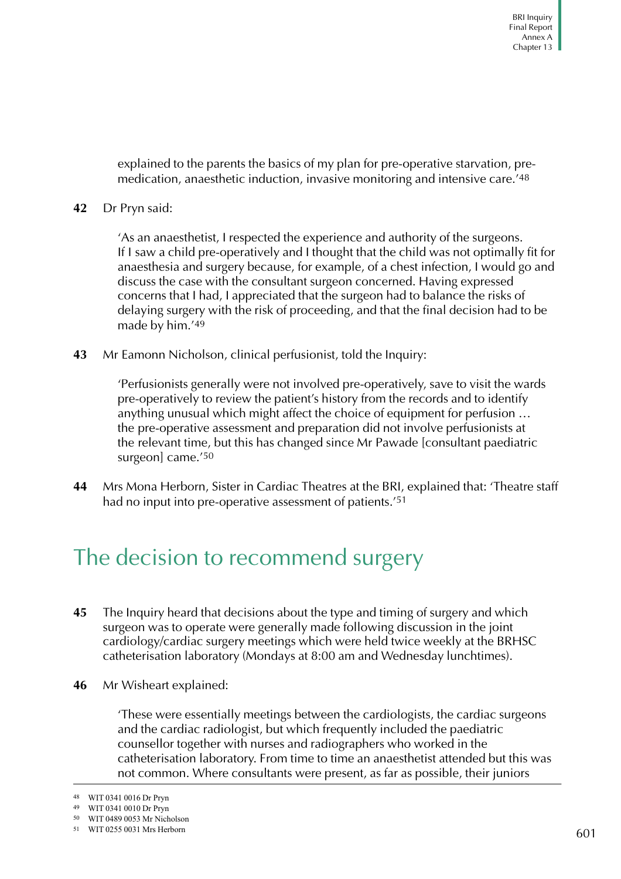explained to the parents the basics of my plan for pre-operative starvation, premedication, anaesthetic induction, invasive monitoring and intensive care.'48

#### **42** Dr Pryn said:

'As an anaesthetist, I respected the experience and authority of the surgeons. If I saw a child pre-operatively and I thought that the child was not optimally fit for anaesthesia and surgery because, for example, of a chest infection, I would go and discuss the case with the consultant surgeon concerned. Having expressed concerns that I had, I appreciated that the surgeon had to balance the risks of delaying surgery with the risk of proceeding, and that the final decision had to be made by him.'49

**43** Mr Eamonn Nicholson, clinical perfusionist, told the Inquiry:

'Perfusionists generally were not involved pre-operatively, save to visit the wards pre-operatively to review the patient's history from the records and to identify anything unusual which might affect the choice of equipment for perfusion … the pre-operative assessment and preparation did not involve perfusionists at the relevant time, but this has changed since Mr Pawade [consultant paediatric surgeon] came.'50

**44** Mrs Mona Herborn, Sister in Cardiac Theatres at the BRI, explained that: 'Theatre staff had no input into pre-operative assessment of patients.'51

## <span id="page-12-0"></span>The decision to recommend surgery

- **45** The Inquiry heard that decisions about the type and timing of surgery and which surgeon was to operate were generally made following discussion in the joint cardiology/cardiac surgery meetings which were held twice weekly at the BRHSC catheterisation laboratory (Mondays at 8:00 am and Wednesday lunchtimes).
- **46** Mr Wisheart explained:

'These were essentially meetings between the cardiologists, the cardiac surgeons and the cardiac radiologist, but which frequently included the paediatric counsellor together with nurses and radiographers who worked in the catheterisation laboratory. From time to time an anaesthetist attended but this was not common. Where consultants were present, as far as possible, their juniors

<sup>48</sup> WIT 0341 0016 Dr Pryn

<sup>49</sup> WIT 0341 0010 Dr Pryn

<sup>50</sup> WIT 0489 0053 Mr Nicholson

<sup>51</sup> WIT 0255 0031 Mrs Herborn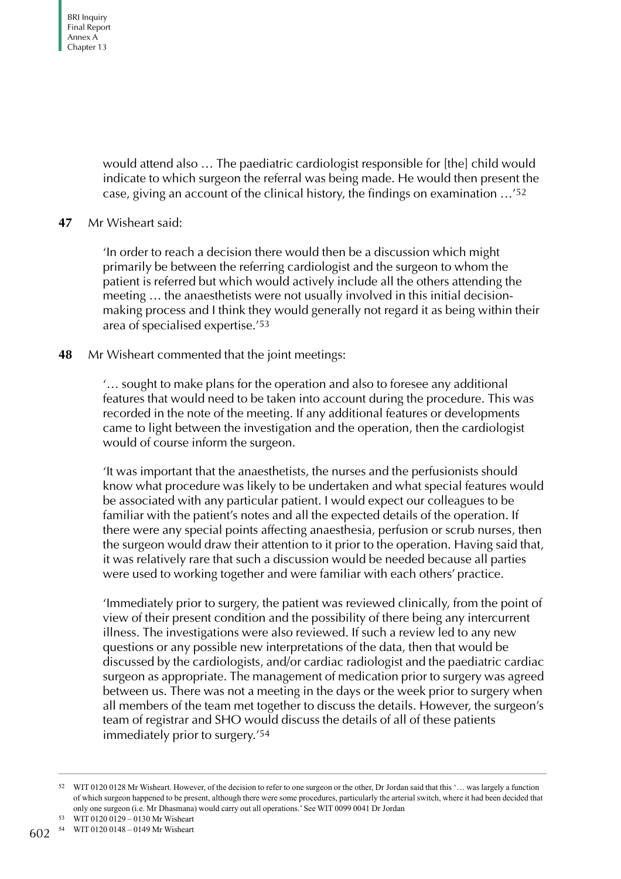would attend also … The paediatric cardiologist responsible for [the] child would indicate to which surgeon the referral was being made. He would then present the case, giving an account of the clinical history, the findings on examination …'52

#### **47** Mr Wisheart said:

'In order to reach a decision there would then be a discussion which might primarily be between the referring cardiologist and the surgeon to whom the patient is referred but which would actively include all the others attending the meeting … the anaesthetists were not usually involved in this initial decisionmaking process and I think they would generally not regard it as being within their area of specialised expertise.'53

#### **48** Mr Wisheart commented that the joint meetings:

'… sought to make plans for the operation and also to foresee any additional features that would need to be taken into account during the procedure. This was recorded in the note of the meeting. If any additional features or developments came to light between the investigation and the operation, then the cardiologist would of course inform the surgeon.

'It was important that the anaesthetists, the nurses and the perfusionists should know what procedure was likely to be undertaken and what special features would be associated with any particular patient. I would expect our colleagues to be familiar with the patient's notes and all the expected details of the operation. If there were any special points affecting anaesthesia, perfusion or scrub nurses, then the surgeon would draw their attention to it prior to the operation. Having said that, it was relatively rare that such a discussion would be needed because all parties were used to working together and were familiar with each others' practice.

'Immediately prior to surgery, the patient was reviewed clinically, from the point of view of their present condition and the possibility of there being any intercurrent illness. The investigations were also reviewed. If such a review led to any new questions or any possible new interpretations of the data, then that would be discussed by the cardiologists, and/or cardiac radiologist and the paediatric cardiac surgeon as appropriate. The management of medication prior to surgery was agreed between us. There was not a meeting in the days or the week prior to surgery when all members of the team met together to discuss the details. However, the surgeon's team of registrar and SHO would discuss the details of all of these patients immediately prior to surgery.'54

<sup>52</sup> WIT 0120 0128 Mr Wisheart. However, of the decision to refer to one surgeon or the other, Dr Jordan said that this '… was largely a function of which surgeon happened to be present, although there were some procedures, particularly the arterial switch, where it had been decided that only one surgeon (i.e. Mr Dhasmana) would carry out all operations.' See WIT 0099 0041 Dr Jordan

<sup>53</sup> WIT 0120 0129 – 0130 Mr Wisheart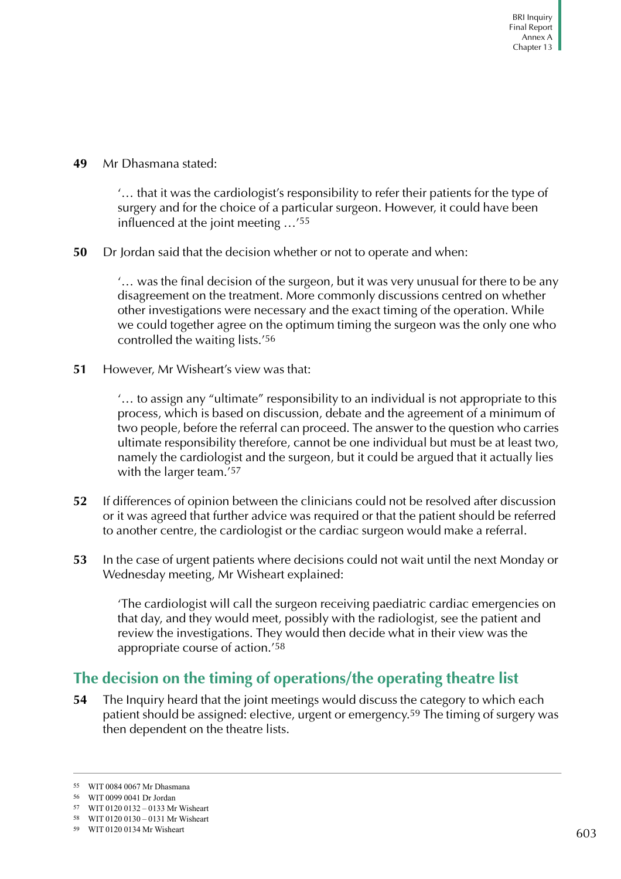**49** Mr Dhasmana stated:

'… that it was the cardiologist's responsibility to refer their patients for the type of surgery and for the choice of a particular surgeon. However, it could have been influenced at the joint meeting …'55

**50** Dr Jordan said that the decision whether or not to operate and when:

'… was the final decision of the surgeon, but it was very unusual for there to be any disagreement on the treatment. More commonly discussions centred on whether other investigations were necessary and the exact timing of the operation. While we could together agree on the optimum timing the surgeon was the only one who controlled the waiting lists.'56

**51** However, Mr Wisheart's view was that:

'… to assign any "ultimate" responsibility to an individual is not appropriate to this process, which is based on discussion, debate and the agreement of a minimum of two people, before the referral can proceed. The answer to the question who carries ultimate responsibility therefore, cannot be one individual but must be at least two, namely the cardiologist and the surgeon, but it could be argued that it actually lies with the larger team.'57

- **52** If differences of opinion between the clinicians could not be resolved after discussion or it was agreed that further advice was required or that the patient should be referred to another centre, the cardiologist or the cardiac surgeon would make a referral.
- **53** In the case of urgent patients where decisions could not wait until the next Monday or Wednesday meeting, Mr Wisheart explained:

'The cardiologist will call the surgeon receiving paediatric cardiac emergencies on that day, and they would meet, possibly with the radiologist, see the patient and review the investigations. They would then decide what in their view was the appropriate course of action.'58

## <span id="page-14-0"></span>**The decision on the timing of operations/the operating theatre list**

**54** The Inquiry heard that the joint meetings would discuss the category to which each patient should be assigned: elective, urgent or emergency.59 The timing of surgery was then dependent on the theatre lists.

<sup>55</sup> WIT 0084 0067 Mr Dhasmana

<sup>56</sup> WIT 0099 0041 Dr Jordan

<sup>57</sup> WIT 0120 0132 – 0133 Mr Wisheart

<sup>58</sup> WIT 0120 0130 – 0131 Mr Wisheart

<sup>59</sup> WIT 0120 0134 Mr Wisheart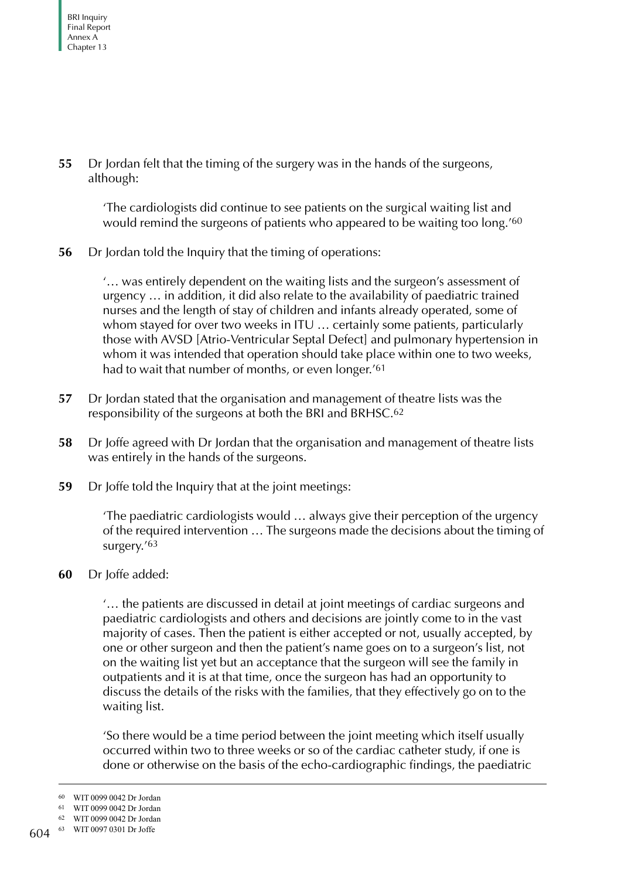**55** Dr Jordan felt that the timing of the surgery was in the hands of the surgeons, although:

> 'The cardiologists did continue to see patients on the surgical waiting list and would remind the surgeons of patients who appeared to be waiting too long.'60

**56** Dr Jordan told the Inquiry that the timing of operations:

'… was entirely dependent on the waiting lists and the surgeon's assessment of urgency … in addition, it did also relate to the availability of paediatric trained nurses and the length of stay of children and infants already operated, some of whom stayed for over two weeks in ITU … certainly some patients, particularly those with AVSD [Atrio-Ventricular Septal Defect] and pulmonary hypertension in whom it was intended that operation should take place within one to two weeks, had to wait that number of months, or even longer.'61

- **57** Dr Jordan stated that the organisation and management of theatre lists was the responsibility of the surgeons at both the BRI and BRHSC.62
- **58** Dr Joffe agreed with Dr Jordan that the organisation and management of theatre lists was entirely in the hands of the surgeons.
- **59** Dr Joffe told the Inquiry that at the joint meetings:

'The paediatric cardiologists would … always give their perception of the urgency of the required intervention … The surgeons made the decisions about the timing of surgery.'63

**60** Dr Joffe added:

'… the patients are discussed in detail at joint meetings of cardiac surgeons and paediatric cardiologists and others and decisions are jointly come to in the vast majority of cases. Then the patient is either accepted or not, usually accepted, by one or other surgeon and then the patient's name goes on to a surgeon's list, not on the waiting list yet but an acceptance that the surgeon will see the family in outpatients and it is at that time, once the surgeon has had an opportunity to discuss the details of the risks with the families, that they effectively go on to the waiting list.

'So there would be a time period between the joint meeting which itself usually occurred within two to three weeks or so of the cardiac catheter study, if one is done or otherwise on the basis of the echo-cardiographic findings, the paediatric

<sup>60</sup> WIT 0099 0042 Dr Jordan

<sup>61</sup> WIT 0099 0042 Dr Jordan

<sup>62</sup> WIT 0099 0042 Dr Jordan 63 WIT 0097 0301 Dr Joffe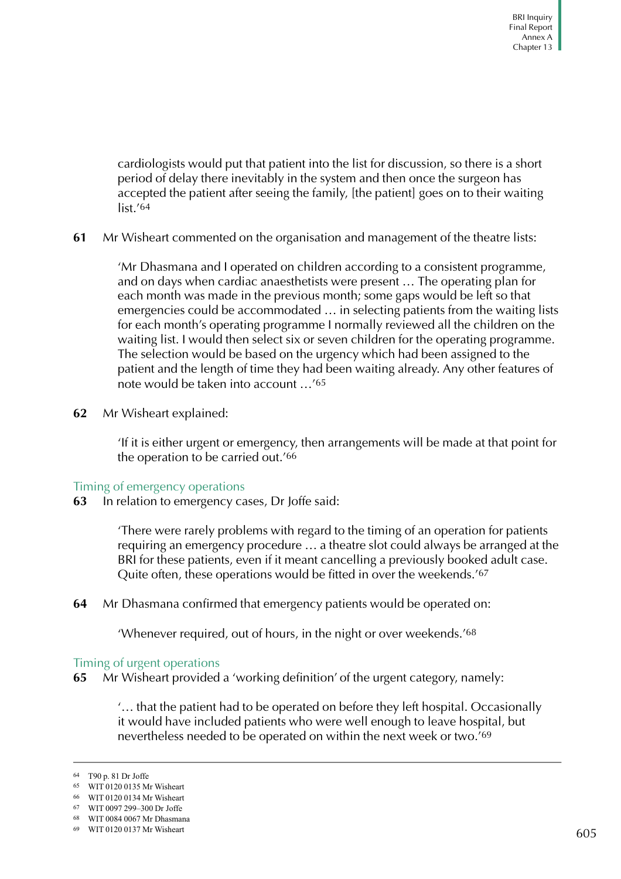cardiologists would put that patient into the list for discussion, so there is a short period of delay there inevitably in the system and then once the surgeon has accepted the patient after seeing the family, [the patient] goes on to their waiting list '64

**61** Mr Wisheart commented on the organisation and management of the theatre lists:

'Mr Dhasmana and I operated on children according to a consistent programme, and on days when cardiac anaesthetists were present … The operating plan for each month was made in the previous month; some gaps would be left so that emergencies could be accommodated … in selecting patients from the waiting lists for each month's operating programme I normally reviewed all the children on the waiting list. I would then select six or seven children for the operating programme. The selection would be based on the urgency which had been assigned to the patient and the length of time they had been waiting already. Any other features of note would be taken into account …'65

**62** Mr Wisheart explained:

'If it is either urgent or emergency, then arrangements will be made at that point for the operation to be carried out.'66

#### <span id="page-16-0"></span>Timing of emergency operations

**63** In relation to emergency cases, Dr Joffe said:

'There were rarely problems with regard to the timing of an operation for patients requiring an emergency procedure … a theatre slot could always be arranged at the BRI for these patients, even if it meant cancelling a previously booked adult case. Quite often, these operations would be fitted in over the weekends.'67

**64** Mr Dhasmana confirmed that emergency patients would be operated on:

'Whenever required, out of hours, in the night or over weekends.'68

#### <span id="page-16-1"></span>Timing of urgent operations

**65** Mr Wisheart provided a 'working definition' of the urgent category, namely:

'… that the patient had to be operated on before they left hospital. Occasionally it would have included patients who were well enough to leave hospital, but nevertheless needed to be operated on within the next week or two.'69

<sup>64</sup> T90 p. 81 Dr Joffe

<sup>65</sup> WIT 0120 0135 Mr Wisheart

<sup>66</sup> WIT 0120 0134 Mr Wisheart

<sup>67</sup> WIT 0097 299–300 Dr Joffe

<sup>68</sup> WIT 0084 0067 Mr Dhasmana

<sup>69</sup> WIT 0120 0137 Mr Wisheart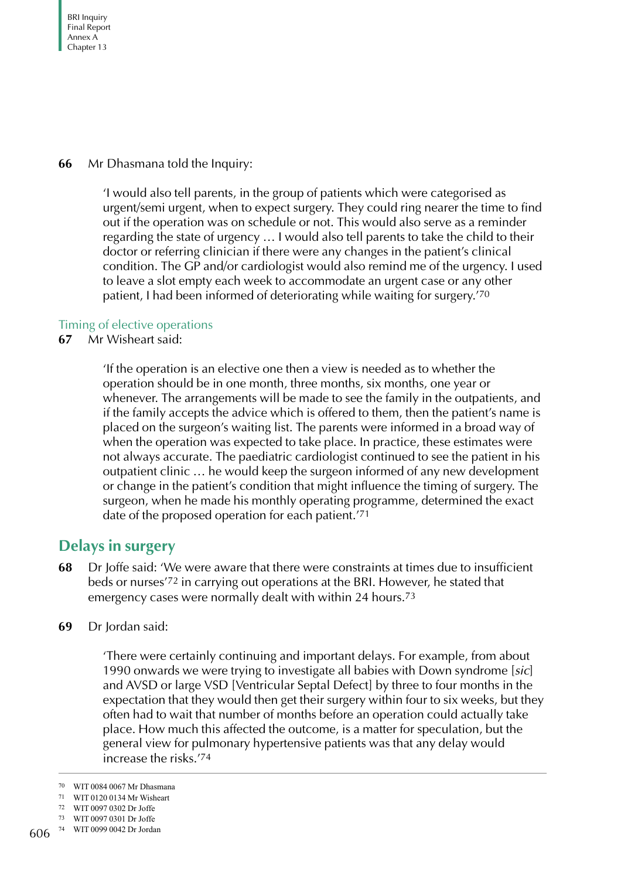#### **66** Mr Dhasmana told the Inquiry:

'I would also tell parents, in the group of patients which were categorised as urgent/semi urgent, when to expect surgery. They could ring nearer the time to find out if the operation was on schedule or not. This would also serve as a reminder regarding the state of urgency … I would also tell parents to take the child to their doctor or referring clinician if there were any changes in the patient's clinical condition. The GP and/or cardiologist would also remind me of the urgency. I used to leave a slot empty each week to accommodate an urgent case or any other patient, I had been informed of deteriorating while waiting for surgery.'70

#### <span id="page-17-1"></span>Timing of elective operations

**67** Mr Wisheart said:

'If the operation is an elective one then a view is needed as to whether the operation should be in one month, three months, six months, one year or whenever. The arrangements will be made to see the family in the outpatients, and if the family accepts the advice which is offered to them, then the patient's name is placed on the surgeon's waiting list. The parents were informed in a broad way of when the operation was expected to take place. In practice, these estimates were not always accurate. The paediatric cardiologist continued to see the patient in his outpatient clinic … he would keep the surgeon informed of any new development or change in the patient's condition that might influence the timing of surgery. The surgeon, when he made his monthly operating programme, determined the exact date of the proposed operation for each patient.'71

## <span id="page-17-0"></span>**Delays in surgery**

- **68** Dr Joffe said: 'We were aware that there were constraints at times due to insufficient beds or nurses'72 in carrying out operations at the BRI. However, he stated that emergency cases were normally dealt with within 24 hours.73
- **69** Dr Jordan said:

'There were certainly continuing and important delays. For example, from about 1990 onwards we were trying to investigate all babies with Down syndrome [sic] and AVSD or large VSD [Ventricular Septal Defect] by three to four months in the expectation that they would then get their surgery within four to six weeks, but they often had to wait that number of months before an operation could actually take place. How much this affected the outcome, is a matter for speculation, but the general view for pulmonary hypertensive patients was that any delay would increase the risks.'74

<sup>70</sup> WIT 0084 0067 Mr Dhasmana

<sup>71</sup> WIT 0120 0134 Mr Wisheart

<sup>72</sup> WIT 0097 0302 Dr Joffe

<sup>73</sup> WIT 0097 0301 Dr Joffe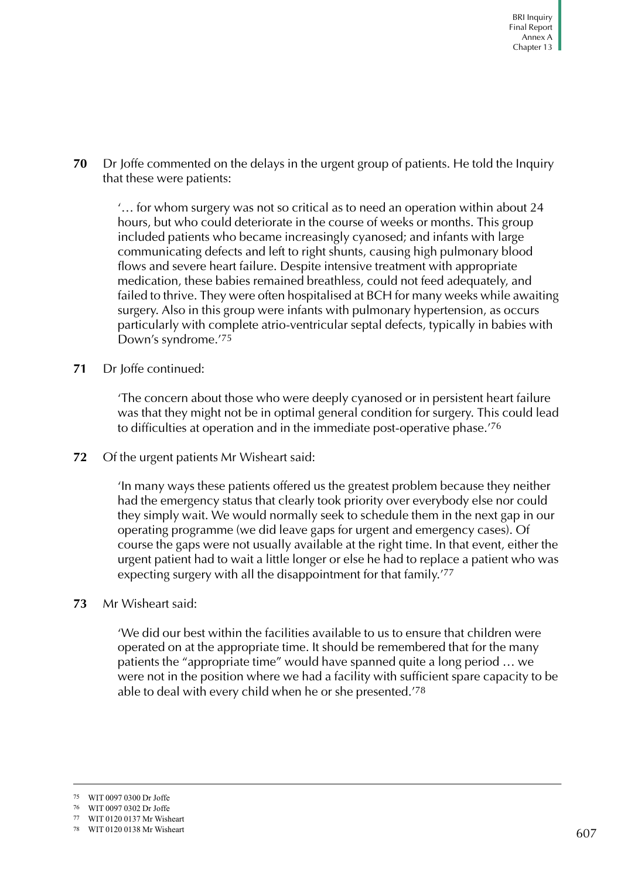**70** Dr Joffe commented on the delays in the urgent group of patients. He told the Inquiry that these were patients:

'… for whom surgery was not so critical as to need an operation within about 24 hours, but who could deteriorate in the course of weeks or months. This group included patients who became increasingly cyanosed; and infants with large communicating defects and left to right shunts, causing high pulmonary blood flows and severe heart failure. Despite intensive treatment with appropriate medication, these babies remained breathless, could not feed adequately, and failed to thrive. They were often hospitalised at BCH for many weeks while awaiting surgery. Also in this group were infants with pulmonary hypertension, as occurs particularly with complete atrio-ventricular septal defects, typically in babies with Down's syndrome.'75

**71** Dr Joffe continued:

'The concern about those who were deeply cyanosed or in persistent heart failure was that they might not be in optimal general condition for surgery. This could lead to difficulties at operation and in the immediate post-operative phase.'76

**72** Of the urgent patients Mr Wisheart said:

'In many ways these patients offered us the greatest problem because they neither had the emergency status that clearly took priority over everybody else nor could they simply wait. We would normally seek to schedule them in the next gap in our operating programme (we did leave gaps for urgent and emergency cases). Of course the gaps were not usually available at the right time. In that event, either the urgent patient had to wait a little longer or else he had to replace a patient who was expecting surgery with all the disappointment for that family.'77

**73** Mr Wisheart said:

'We did our best within the facilities available to us to ensure that children were operated on at the appropriate time. It should be remembered that for the many patients the "appropriate time" would have spanned quite a long period … we were not in the position where we had a facility with sufficient spare capacity to be able to deal with every child when he or she presented.'78

<sup>75</sup> WIT 0097 0300 Dr Joffe

<sup>76</sup> WIT 0097 0302 Dr Joffe

<sup>77</sup> WIT 0120 0137 Mr Wisheart

<sup>78</sup> WIT 0120 0138 Mr Wisheart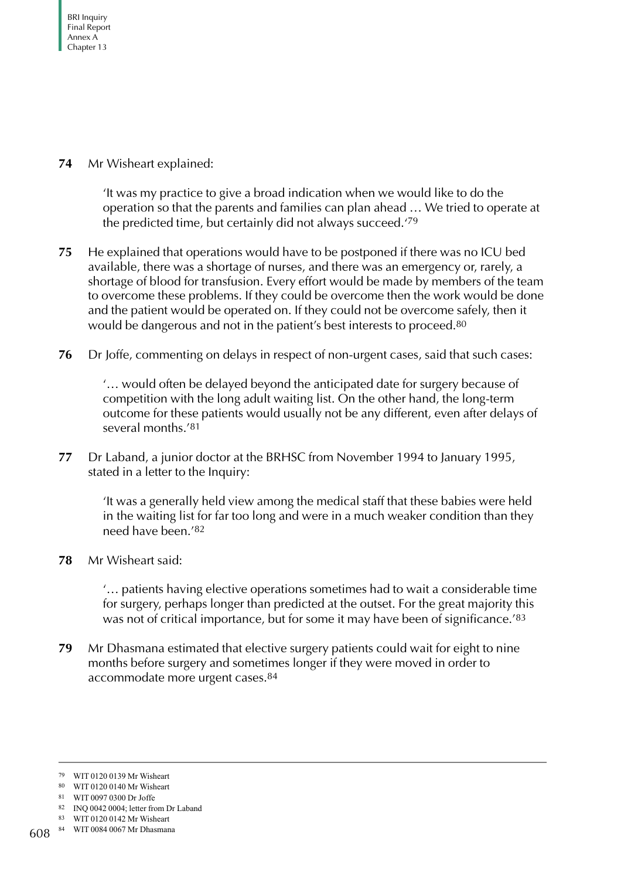**74** Mr Wisheart explained:

'It was my practice to give a broad indication when we would like to do the operation so that the parents and families can plan ahead … We tried to operate at the predicted time, but certainly did not always succeed.'79

- **75** He explained that operations would have to be postponed if there was no ICU bed available, there was a shortage of nurses, and there was an emergency or, rarely, a shortage of blood for transfusion. Every effort would be made by members of the team to overcome these problems. If they could be overcome then the work would be done and the patient would be operated on. If they could not be overcome safely, then it would be dangerous and not in the patient's best interests to proceed.80
- **76** Dr Joffe, commenting on delays in respect of non-urgent cases, said that such cases:

'… would often be delayed beyond the anticipated date for surgery because of competition with the long adult waiting list. On the other hand, the long-term outcome for these patients would usually not be any different, even after delays of several months.'81

**77** Dr Laband, a junior doctor at the BRHSC from November 1994 to January 1995, stated in a letter to the Inquiry:

'It was a generally held view among the medical staff that these babies were held in the waiting list for far too long and were in a much weaker condition than they need have been.'82

**78** Mr Wisheart said:

'… patients having elective operations sometimes had to wait a considerable time for surgery, perhaps longer than predicted at the outset. For the great majority this was not of critical importance, but for some it may have been of significance.<sup>'83</sup>

**79** Mr Dhasmana estimated that elective surgery patients could wait for eight to nine months before surgery and sometimes longer if they were moved in order to accommodate more urgent cases.84

<sup>79</sup> WIT 0120 0139 Mr Wisheart

<sup>80</sup> WIT 0120 0140 Mr Wisheart

<sup>81</sup> WIT 0097 0300 Dr Joffe

<sup>82</sup> INQ 0042 0004; letter from Dr Laband

<sup>83</sup> WIT 0120 0142 Mr Wisheart 84 WIT 0084 0067 Mr Dhasmana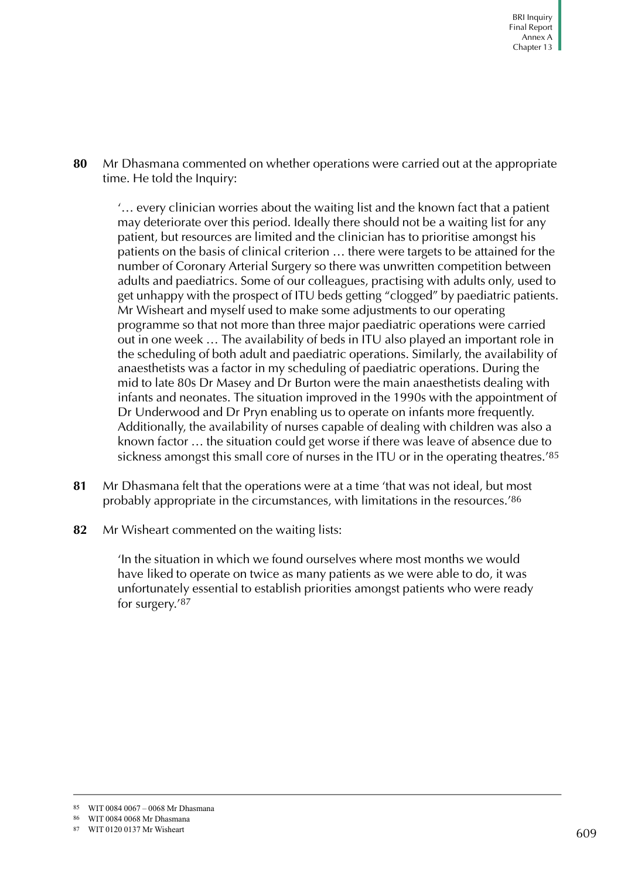**80** Mr Dhasmana commented on whether operations were carried out at the appropriate time. He told the Inquiry:

'… every clinician worries about the waiting list and the known fact that a patient may deteriorate over this period. Ideally there should not be a waiting list for any patient, but resources are limited and the clinician has to prioritise amongst his patients on the basis of clinical criterion … there were targets to be attained for the number of Coronary Arterial Surgery so there was unwritten competition between adults and paediatrics. Some of our colleagues, practising with adults only, used to get unhappy with the prospect of ITU beds getting "clogged" by paediatric patients. Mr Wisheart and myself used to make some adjustments to our operating programme so that not more than three major paediatric operations were carried out in one week … The availability of beds in ITU also played an important role in the scheduling of both adult and paediatric operations. Similarly, the availability of anaesthetists was a factor in my scheduling of paediatric operations. During the mid to late 80s Dr Masey and Dr Burton were the main anaesthetists dealing with infants and neonates. The situation improved in the 1990s with the appointment of Dr Underwood and Dr Pryn enabling us to operate on infants more frequently. Additionally, the availability of nurses capable of dealing with children was also a known factor … the situation could get worse if there was leave of absence due to sickness amongst this small core of nurses in the ITU or in the operating theatres.'85

- **81** Mr Dhasmana felt that the operations were at a time 'that was not ideal, but most probably appropriate in the circumstances, with limitations in the resources.'86
- **82** Mr Wisheart commented on the waiting lists:

'In the situation in which we found ourselves where most months we would have liked to operate on twice as many patients as we were able to do, it was unfortunately essential to establish priorities amongst patients who were ready for surgery.'87

87 WIT 0120 0137 Mr Wisheart

<sup>85</sup> WIT 0084 0067 – 0068 Mr Dhasmana

<sup>86</sup> WIT 0084 0068 Mr Dhasmana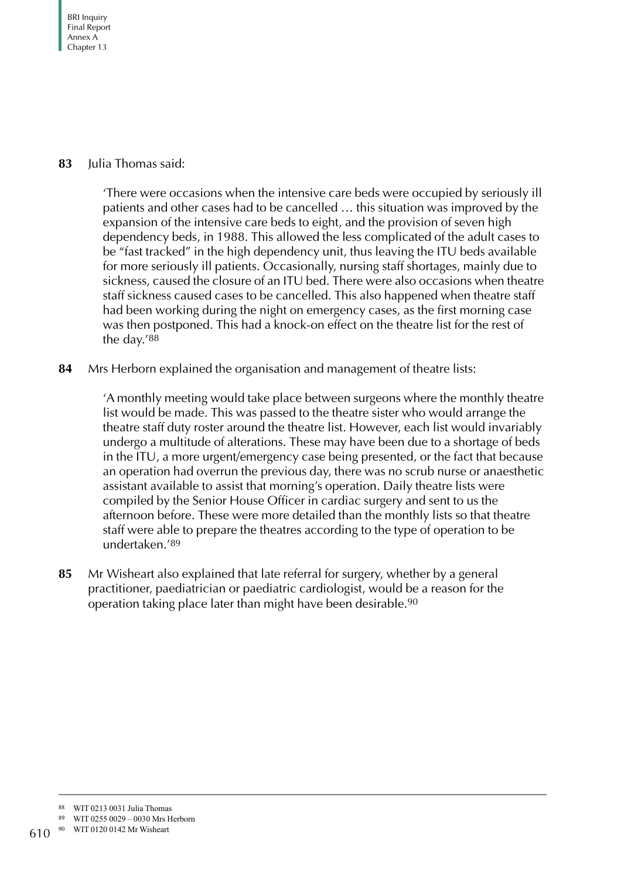#### **83** Julia Thomas said:

'There were occasions when the intensive care beds were occupied by seriously ill patients and other cases had to be cancelled … this situation was improved by the expansion of the intensive care beds to eight, and the provision of seven high dependency beds, in 1988. This allowed the less complicated of the adult cases to be "fast tracked" in the high dependency unit, thus leaving the ITU beds available for more seriously ill patients. Occasionally, nursing staff shortages, mainly due to sickness, caused the closure of an ITU bed. There were also occasions when theatre staff sickness caused cases to be cancelled. This also happened when theatre staff had been working during the night on emergency cases, as the first morning case was then postponed. This had a knock-on effect on the theatre list for the rest of the day.'88

**84** Mrs Herborn explained the organisation and management of theatre lists:

'A monthly meeting would take place between surgeons where the monthly theatre list would be made. This was passed to the theatre sister who would arrange the theatre staff duty roster around the theatre list. However, each list would invariably undergo a multitude of alterations. These may have been due to a shortage of beds in the ITU, a more urgent/emergency case being presented, or the fact that because an operation had overrun the previous day, there was no scrub nurse or anaesthetic assistant available to assist that morning's operation. Daily theatre lists were compiled by the Senior House Officer in cardiac surgery and sent to us the afternoon before. These were more detailed than the monthly lists so that theatre staff were able to prepare the theatres according to the type of operation to be undertaken.'89

**85** Mr Wisheart also explained that late referral for surgery, whether by a general practitioner, paediatrician or paediatric cardiologist, would be a reason for the operation taking place later than might have been desirable.90

<sup>88</sup> WIT 0213 0031 Julia Thomas

<sup>89</sup> WIT 0255 0029 – 0030 Mrs Herborn 90 WIT 0120 0142 Mr Wisheart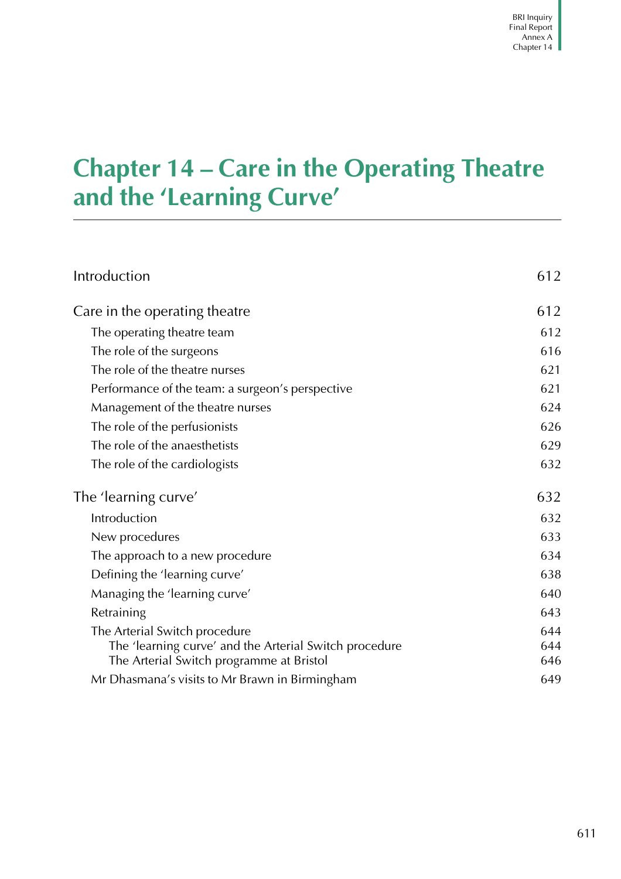# **Chapter 14 – Care in the Operating Theatre and the 'Learning Curve'**

| Introduction                                           | 612        |
|--------------------------------------------------------|------------|
| Care in the operating theatre                          | 612        |
| The operating theatre team                             | 612        |
| The role of the surgeons                               | 616        |
| The role of the theatre nurses                         | 621        |
| Performance of the team: a surgeon's perspective       | 621        |
| Management of the theatre nurses                       | 624        |
| The role of the perfusionists                          | 626        |
| The role of the anaesthetists                          | 629        |
| The role of the cardiologists                          | 632        |
| The 'learning curve'                                   | 632        |
| Introduction                                           | 632        |
| New procedures                                         | 633        |
| The approach to a new procedure                        | 634        |
| Defining the 'learning curve'                          | 638        |
| Managing the 'learning curve'                          | 640        |
| Retraining                                             | 643        |
| The Arterial Switch procedure                          | 644        |
| The 'learning curve' and the Arterial Switch procedure | 644<br>646 |
| The Arterial Switch programme at Bristol               | 649        |
| Mr Dhasmana's visits to Mr Brawn in Birmingham         |            |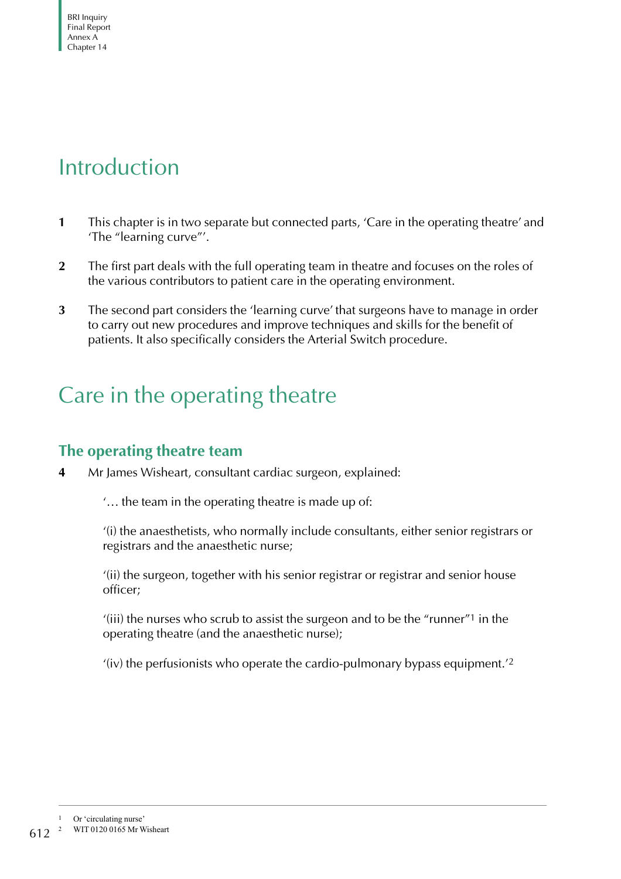## <span id="page-23-0"></span>Introduction

- **1** This chapter is in two separate but connected parts, 'Care in the operating theatre' and 'The "learning curve"'.
- **2** The first part deals with the full operating team in theatre and focuses on the roles of the various contributors to patient care in the operating environment.
- **3** The second part considers the 'learning curve' that surgeons have to manage in order to carry out new procedures and improve techniques and skills for the benefit of patients. It also specifically considers the Arterial Switch procedure.

## <span id="page-23-1"></span>Care in the operating theatre

## <span id="page-23-2"></span>**The operating theatre team**

**4** Mr James Wisheart, consultant cardiac surgeon, explained:

'… the team in the operating theatre is made up of:

'(i) the anaesthetists, who normally include consultants, either senior registrars or registrars and the anaesthetic nurse;

'(ii) the surgeon, together with his senior registrar or registrar and senior house officer;

'(iii) the nurses who scrub to assist the surgeon and to be the "runner"1 in the operating theatre (and the anaesthetic nurse);

'(iv) the perfusionists who operate the cardio-pulmonary bypass equipment.'2

Or 'circulating nurse'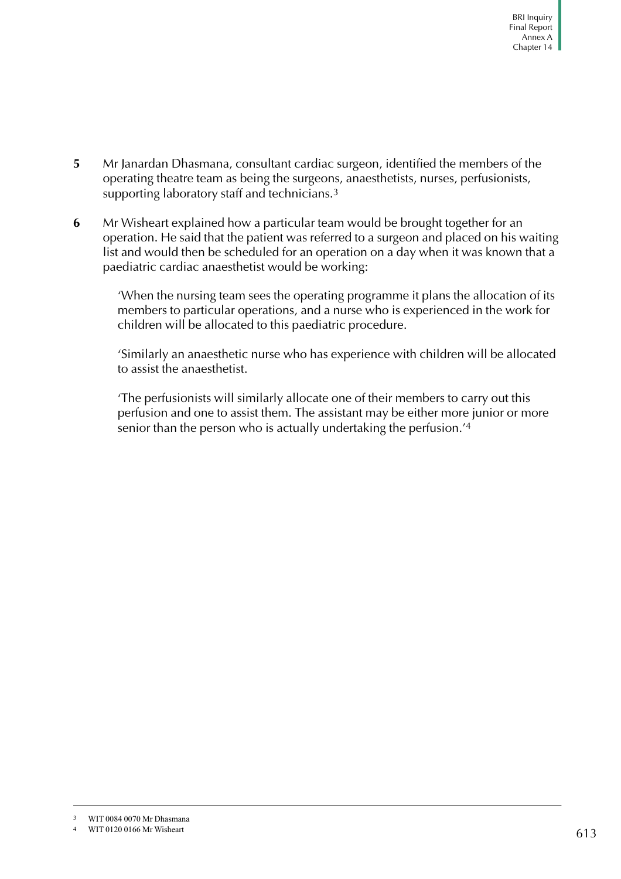- **5** Mr Janardan Dhasmana, consultant cardiac surgeon, identified the members of the operating theatre team as being the surgeons, anaesthetists, nurses, perfusionists, supporting laboratory staff and technicians.3
- **6** Mr Wisheart explained how a particular team would be brought together for an operation. He said that the patient was referred to a surgeon and placed on his waiting list and would then be scheduled for an operation on a day when it was known that a paediatric cardiac anaesthetist would be working:

'When the nursing team sees the operating programme it plans the allocation of its members to particular operations, and a nurse who is experienced in the work for children will be allocated to this paediatric procedure.

'Similarly an anaesthetic nurse who has experience with children will be allocated to assist the anaesthetist.

'The perfusionists will similarly allocate one of their members to carry out this perfusion and one to assist them. The assistant may be either more junior or more senior than the person who is actually undertaking the perfusion.'4

<sup>3</sup> WIT 0084 0070 Mr Dhasmana

<sup>4</sup> WIT 0120 0166 Mr Wisheart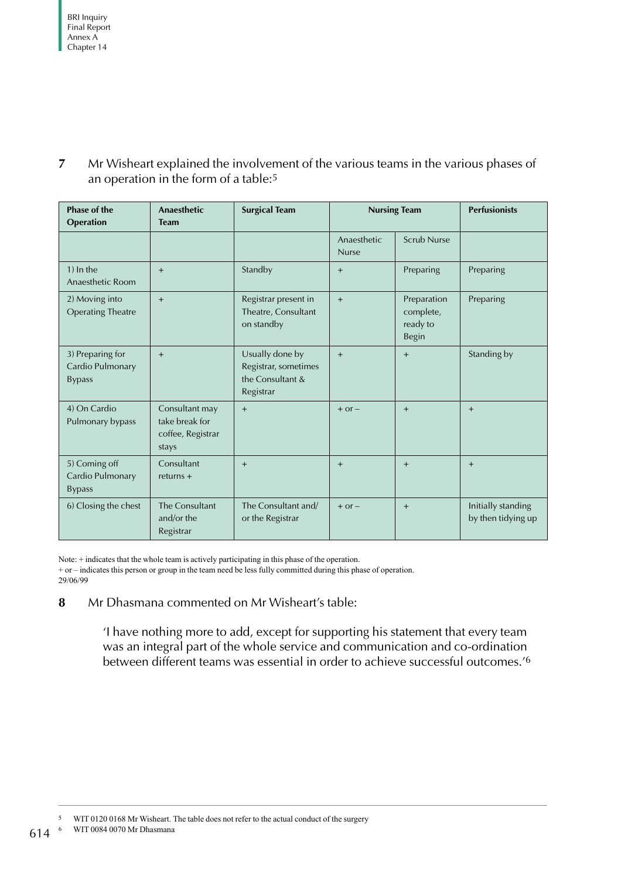### **7** Mr Wisheart explained the involvement of the various teams in the various phases of an operation in the form of a table:5

| <b>Phase of the</b><br><b>Operation</b>               | <b>Anaesthetic</b><br><b>Team</b>                              | <b>Surgical Team</b>                                                     | <b>Nursing Team</b>         |                                               | <b>Perfusionists</b>                     |
|-------------------------------------------------------|----------------------------------------------------------------|--------------------------------------------------------------------------|-----------------------------|-----------------------------------------------|------------------------------------------|
|                                                       |                                                                |                                                                          | Anaesthetic<br><b>Nurse</b> | <b>Scrub Nurse</b>                            |                                          |
| $1)$ In the<br>Anaesthetic Room                       | $+$                                                            | Standby                                                                  | $+$                         | Preparing                                     | Preparing                                |
| 2) Moving into<br><b>Operating Theatre</b>            | $+$                                                            | Registrar present in<br>Theatre, Consultant<br>on standby                | $+$                         | Preparation<br>complete,<br>ready to<br>Begin | Preparing                                |
| 3) Preparing for<br>Cardio Pulmonary<br><b>Bypass</b> | $+$                                                            | Usually done by<br>Registrar, sometimes<br>the Consultant &<br>Registrar | $+$                         | $+$                                           | Standing by                              |
| 4) On Cardio<br>Pulmonary bypass                      | Consultant may<br>take break for<br>coffee, Registrar<br>stays | $\begin{array}{c} + \end{array}$                                         | $+$ or $-$                  | $+$                                           | $+$                                      |
| 5) Coming off<br>Cardio Pulmonary<br><b>Bypass</b>    | Consultant<br>$returns +$                                      | $+$                                                                      | $+$                         | $+$                                           | $+$                                      |
| 6) Closing the chest                                  | The Consultant<br>and/or the<br>Registrar                      | The Consultant and/<br>or the Registrar                                  | $+$ or $-$                  | $+$                                           | Initially standing<br>by then tidying up |

Note: + indicates that the whole team is actively participating in this phase of the operation.

+ or – indicates this person or group in the team need be less fully committed during this phase of operation. 29/06/99

#### **8** Mr Dhasmana commented on Mr Wisheart's table:

'I have nothing more to add, except for supporting his statement that every team was an integral part of the whole service and communication and co-ordination between different teams was essential in order to achieve successful outcomes.'6

5 WIT 0120 0168 Mr Wisheart. The table does not refer to the actual conduct of the surgery

614 6 WIT 0084 0070 Mr Dhasmana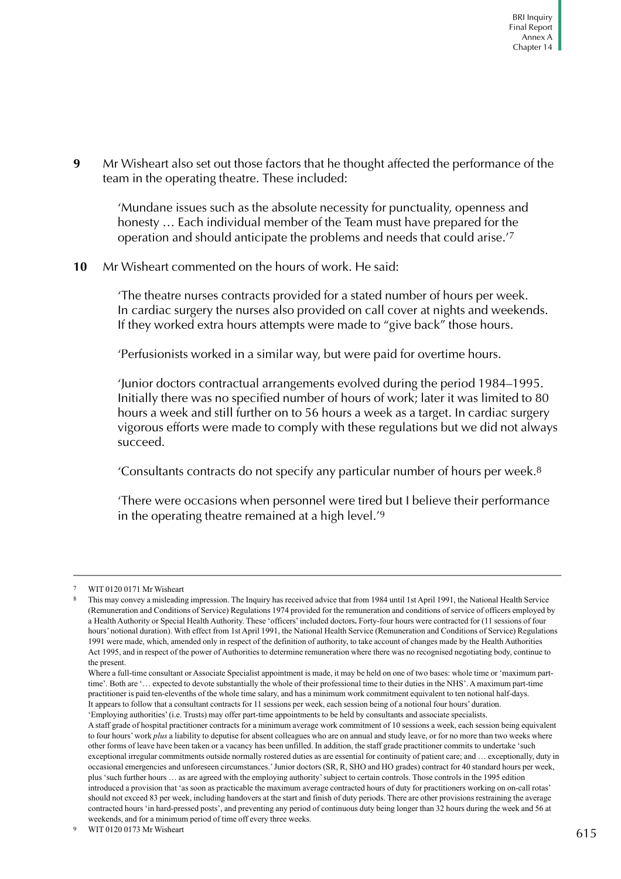**9** Mr Wisheart also set out those factors that he thought affected the performance of the team in the operating theatre. These included:

'Mundane issues such as the absolute necessity for punctuality, openness and honesty … Each individual member of the Team must have prepared for the operation and should anticipate the problems and needs that could arise.'7

**10** Mr Wisheart commented on the hours of work. He said:

'The theatre nurses contracts provided for a stated number of hours per week. In cardiac surgery the nurses also provided on call cover at nights and weekends. If they worked extra hours attempts were made to "give back" those hours.

'Perfusionists worked in a similar way, but were paid for overtime hours.

'Junior doctors contractual arrangements evolved during the period 1984–1995. Initially there was no specified number of hours of work; later it was limited to 80 hours a week and still further on to 56 hours a week as a target. In cardiac surgery vigorous efforts were made to comply with these regulations but we did not always succeed.

'Consultants contracts do not specify any particular number of hours per week.8

'There were occasions when personnel were tired but I believe their performance in the operating theatre remained at a high level.'9

<sup>7</sup> WIT 0120 0171 Mr Wisheart

<sup>8</sup> This may convey a misleading impression. The Inquiry has received advice that from 1984 until 1st April 1991, the National Health Service (Remuneration and Conditions of Service) Regulations 1974 provided for the remuneration and conditions of service of officers employed by a Health Authority or Special Health Authority. These 'officers' included doctors**.** Forty-four hours were contracted for (11 sessions of four hours' notional duration). With effect from 1st April 1991, the National Health Service (Remuneration and Conditions of Service) Regulations 1991 were made, which, amended only in respect of the definition of authority, to take account of changes made by the Health Authorities Act 1995, and in respect of the power of Authorities to determine remuneration where there was no recognised negotiating body, continue to the present.

Where a full-time consultant or Associate Specialist appointment is made, it may be held on one of two bases: whole time or 'maximum parttime'. Both are '… expected to devote substantially the whole of their professional time to their duties in the NHS'. A maximum part-time practitioner is paid ten-elevenths of the whole time salary, and has a minimum work commitment equivalent to ten notional half-days. It appears to follow that a consultant contracts for 11 sessions per week, each session being of a notional four hours' duration. 'Employing authorities' (i.e. Trusts) may offer part-time appointments to be held by consultants and associate specialists.

A staff grade of hospital practitioner contracts for a minimum average work commitment of 10 sessions a week, each session being equivalent to four hours' work *plus* a liability to deputise for absent colleagues who are on annual and study leave, or for no more than two weeks where other forms of leave have been taken or a vacancy has been unfilled. In addition, the staff grade practitioner commits to undertake 'such exceptional irregular commitments outside normally rostered duties as are essential for continuity of patient care; and … exceptionally, duty in occasional emergencies and unforeseen circumstances.' Junior doctors (SR, R, SHO and HO grades) contract for 40 standard hours per week, plus 'such further hours … as are agreed with the employing authority' subject to certain controls. Those controls in the 1995 edition introduced a provision that 'as soon as practicable the maximum average contracted hours of duty for practitioners working on on-call rotas' should not exceed 83 per week, including handovers at the start and finish of duty periods. There are other provisions restraining the average contracted hours 'in hard-pressed posts', and preventing any period of continuous duty being longer than 32 hours during the week and 56 at weekends, and for a minimum period of time off every three weeks.

WIT 0120 0173 Mr Wisheart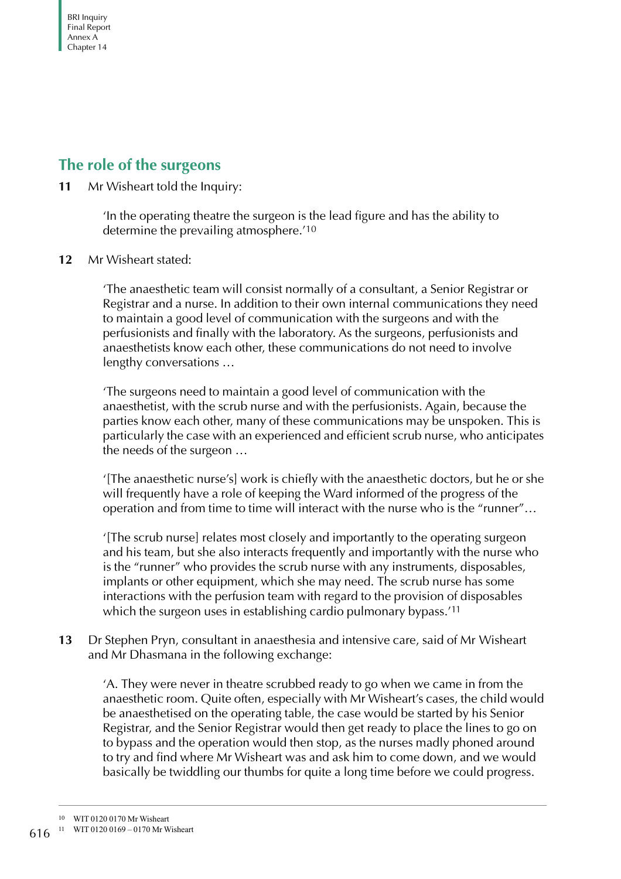## <span id="page-27-0"></span>**The role of the surgeons**

**11** Mr Wisheart told the Inquiry:

'In the operating theatre the surgeon is the lead figure and has the ability to determine the prevailing atmosphere.'10

**12** Mr Wisheart stated:

'The anaesthetic team will consist normally of a consultant, a Senior Registrar or Registrar and a nurse. In addition to their own internal communications they need to maintain a good level of communication with the surgeons and with the perfusionists and finally with the laboratory. As the surgeons, perfusionists and anaesthetists know each other, these communications do not need to involve lengthy conversations …

'The surgeons need to maintain a good level of communication with the anaesthetist, with the scrub nurse and with the perfusionists. Again, because the parties know each other, many of these communications may be unspoken. This is particularly the case with an experienced and efficient scrub nurse, who anticipates the needs of the surgeon …

'[The anaesthetic nurse's] work is chiefly with the anaesthetic doctors, but he or she will frequently have a role of keeping the Ward informed of the progress of the operation and from time to time will interact with the nurse who is the "runner"…

'[The scrub nurse] relates most closely and importantly to the operating surgeon and his team, but she also interacts frequently and importantly with the nurse who is the "runner" who provides the scrub nurse with any instruments, disposables, implants or other equipment, which she may need. The scrub nurse has some interactions with the perfusion team with regard to the provision of disposables which the surgeon uses in establishing cardio pulmonary bypass.'11

**13** Dr Stephen Pryn, consultant in anaesthesia and intensive care, said of Mr Wisheart and Mr Dhasmana in the following exchange:

'A. They were never in theatre scrubbed ready to go when we came in from the anaesthetic room. Quite often, especially with Mr Wisheart's cases, the child would be anaesthetised on the operating table, the case would be started by his Senior Registrar, and the Senior Registrar would then get ready to place the lines to go on to bypass and the operation would then stop, as the nurses madly phoned around to try and find where Mr Wisheart was and ask him to come down, and we would basically be twiddling our thumbs for quite a long time before we could progress.

10 WIT 0120 0170 Mr Wisheart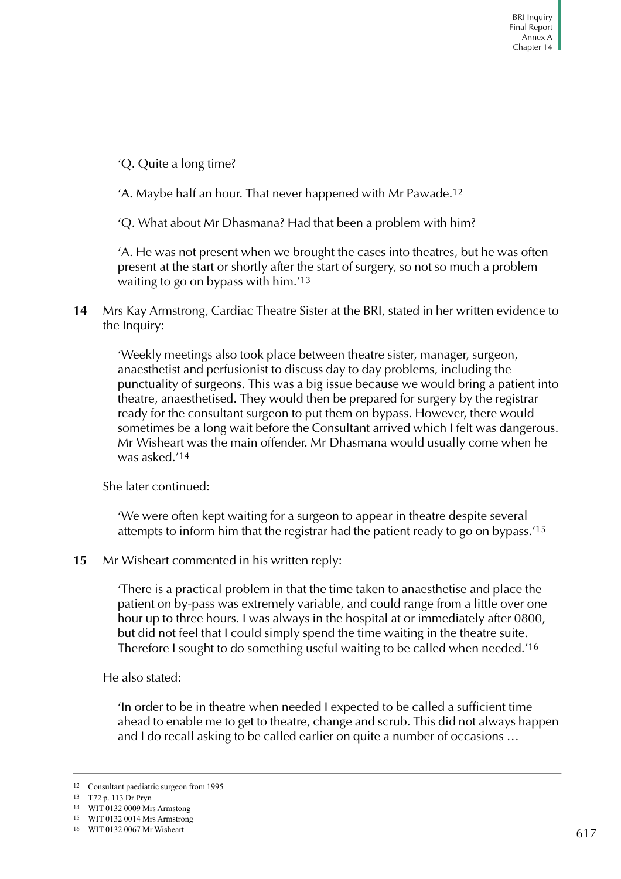'Q. Quite a long time?

'A. Maybe half an hour. That never happened with Mr Pawade.12

'Q. What about Mr Dhasmana? Had that been a problem with him?

'A. He was not present when we brought the cases into theatres, but he was often present at the start or shortly after the start of surgery, so not so much a problem waiting to go on bypass with him.'13

**14** Mrs Kay Armstrong, Cardiac Theatre Sister at the BRI, stated in her written evidence to the Inquiry:

'Weekly meetings also took place between theatre sister, manager, surgeon, anaesthetist and perfusionist to discuss day to day problems, including the punctuality of surgeons. This was a big issue because we would bring a patient into theatre, anaesthetised. They would then be prepared for surgery by the registrar ready for the consultant surgeon to put them on bypass. However, there would sometimes be a long wait before the Consultant arrived which I felt was dangerous. Mr Wisheart was the main offender. Mr Dhasmana would usually come when he was asked.'14

She later continued:

'We were often kept waiting for a surgeon to appear in theatre despite several attempts to inform him that the registrar had the patient ready to go on bypass.'15

**15** Mr Wisheart commented in his written reply:

'There is a practical problem in that the time taken to anaesthetise and place the patient on by-pass was extremely variable, and could range from a little over one hour up to three hours. I was always in the hospital at or immediately after 0800, but did not feel that I could simply spend the time waiting in the theatre suite. Therefore I sought to do something useful waiting to be called when needed.'16

He also stated:

'In order to be in theatre when needed I expected to be called a sufficient time ahead to enable me to get to theatre, change and scrub. This did not always happen and I do recall asking to be called earlier on quite a number of occasions …

<sup>12</sup> Consultant paediatric surgeon from 1995

<sup>13</sup> T72 p. 113 Dr Pryn

<sup>14</sup> WIT 0132 0009 Mrs Armstong

<sup>15</sup> WIT 0132 0014 Mrs Armstrong

<sup>16</sup> WIT 0132 0067 Mr Wisheart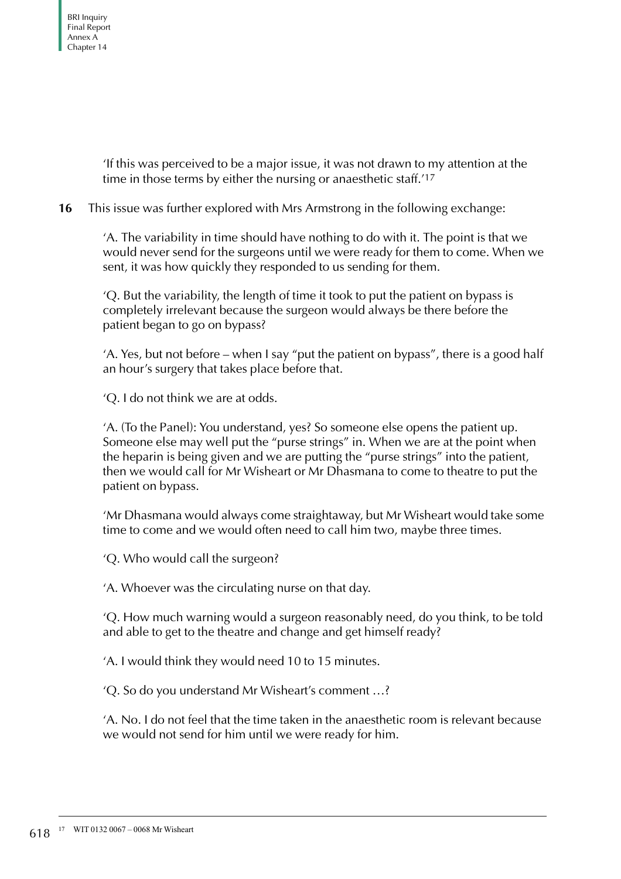'If this was perceived to be a major issue, it was not drawn to my attention at the time in those terms by either the nursing or anaesthetic staff.'17

#### **16** This issue was further explored with Mrs Armstrong in the following exchange:

'A. The variability in time should have nothing to do with it. The point is that we would never send for the surgeons until we were ready for them to come. When we sent, it was how quickly they responded to us sending for them.

'Q. But the variability, the length of time it took to put the patient on bypass is completely irrelevant because the surgeon would always be there before the patient began to go on bypass?

'A. Yes, but not before – when I say "put the patient on bypass", there is a good half an hour's surgery that takes place before that.

'Q. I do not think we are at odds.

'A. (To the Panel): You understand, yes? So someone else opens the patient up. Someone else may well put the "purse strings" in. When we are at the point when the heparin is being given and we are putting the "purse strings" into the patient, then we would call for Mr Wisheart or Mr Dhasmana to come to theatre to put the patient on bypass.

'Mr Dhasmana would always come straightaway, but Mr Wisheart would take some time to come and we would often need to call him two, maybe three times.

'Q. Who would call the surgeon?

'A. Whoever was the circulating nurse on that day.

'Q. How much warning would a surgeon reasonably need, do you think, to be told and able to get to the theatre and change and get himself ready?

'A. I would think they would need 10 to 15 minutes.

'Q. So do you understand Mr Wisheart's comment …?

'A. No. I do not feel that the time taken in the anaesthetic room is relevant because we would not send for him until we were ready for him.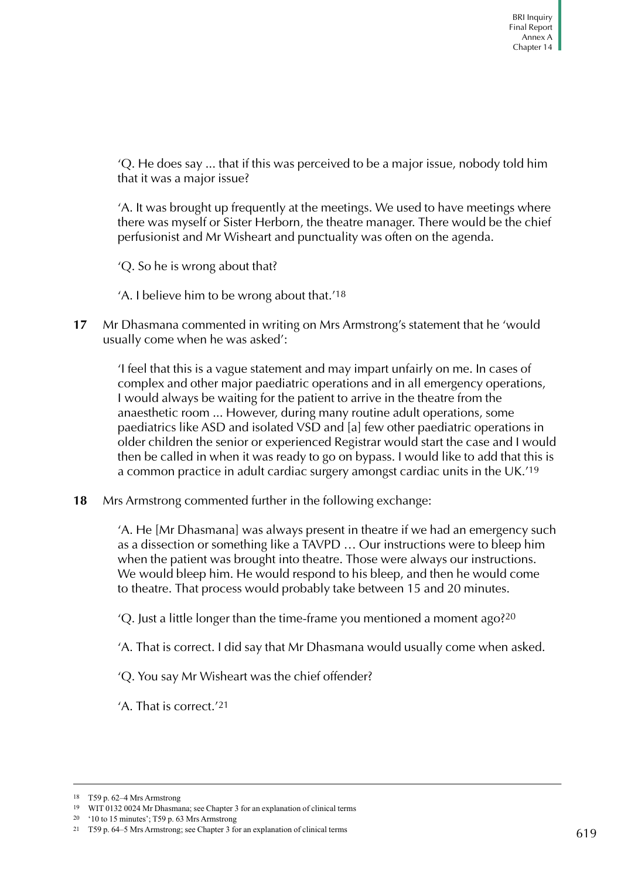'Q. He does say ... that if this was perceived to be a major issue, nobody told him that it was a major issue?

'A. It was brought up frequently at the meetings. We used to have meetings where there was myself or Sister Herborn, the theatre manager. There would be the chief perfusionist and Mr Wisheart and punctuality was often on the agenda.

'Q. So he is wrong about that?

'A. I believe him to be wrong about that.'18

**17** Mr Dhasmana commented in writing on Mrs Armstrong's statement that he 'would usually come when he was asked':

'I feel that this is a vague statement and may impart unfairly on me. In cases of complex and other major paediatric operations and in all emergency operations, I would always be waiting for the patient to arrive in the theatre from the anaesthetic room ... However, during many routine adult operations, some paediatrics like ASD and isolated VSD and [a] few other paediatric operations in older children the senior or experienced Registrar would start the case and I would then be called in when it was ready to go on bypass. I would like to add that this is a common practice in adult cardiac surgery amongst cardiac units in the UK.'19

**18** Mrs Armstrong commented further in the following exchange:

'A. He [Mr Dhasmana] was always present in theatre if we had an emergency such as a dissection or something like a TAVPD … Our instructions were to bleep him when the patient was brought into theatre. Those were always our instructions. We would bleep him. He would respond to his bleep, and then he would come to theatre. That process would probably take between 15 and 20 minutes.

- 'Q. Just a little longer than the time-frame you mentioned a moment ago?20
- 'A. That is correct. I did say that Mr Dhasmana would usually come when asked.
- 'Q. You say Mr Wisheart was the chief offender?
- 'A. That is correct.'21

<sup>18</sup> T59 p. 62–4 Mrs Armstrong

<sup>19</sup> WIT 0132 0024 Mr Dhasmana; see Chapter 3 for an explanation of clinical terms

<sup>20</sup> '10 to 15 minutes'; T59 p. 63 Mrs Armstrong

<sup>21</sup> T59 p. 64–5 Mrs Armstrong; see Chapter 3 for an explanation of clinical terms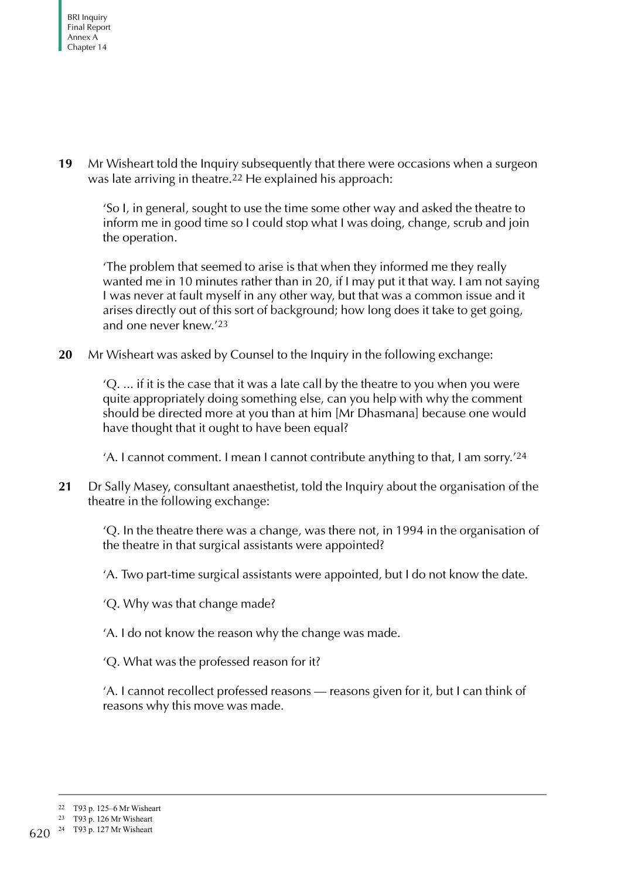**19** Mr Wisheart told the Inquiry subsequently that there were occasions when a surgeon was late arriving in theatre.22 He explained his approach:

'So I, in general, sought to use the time some other way and asked the theatre to inform me in good time so I could stop what I was doing, change, scrub and join the operation.

'The problem that seemed to arise is that when they informed me they really wanted me in 10 minutes rather than in 20, if I may put it that way. I am not saying I was never at fault myself in any other way, but that was a common issue and it arises directly out of this sort of background; how long does it take to get going, and one never knew.'23

**20** Mr Wisheart was asked by Counsel to the Inquiry in the following exchange:

'Q. ... if it is the case that it was a late call by the theatre to you when you were quite appropriately doing something else, can you help with why the comment should be directed more at you than at him [Mr Dhasmana] because one would have thought that it ought to have been equal?

'A. I cannot comment. I mean I cannot contribute anything to that, I am sorry.'24

**21** Dr Sally Masey, consultant anaesthetist, told the Inquiry about the organisation of the theatre in the following exchange:

'Q. In the theatre there was a change, was there not, in 1994 in the organisation of the theatre in that surgical assistants were appointed?

'A. Two part-time surgical assistants were appointed, but I do not know the date.

'Q. Why was that change made?

'A. I do not know the reason why the change was made.

'Q. What was the professed reason for it?

'A. I cannot recollect professed reasons — reasons given for it, but I can think of reasons why this move was made.

<sup>22</sup> T93 p. 125–6 Mr Wisheart

<sup>23</sup> T93 p. 126 Mr Wisheart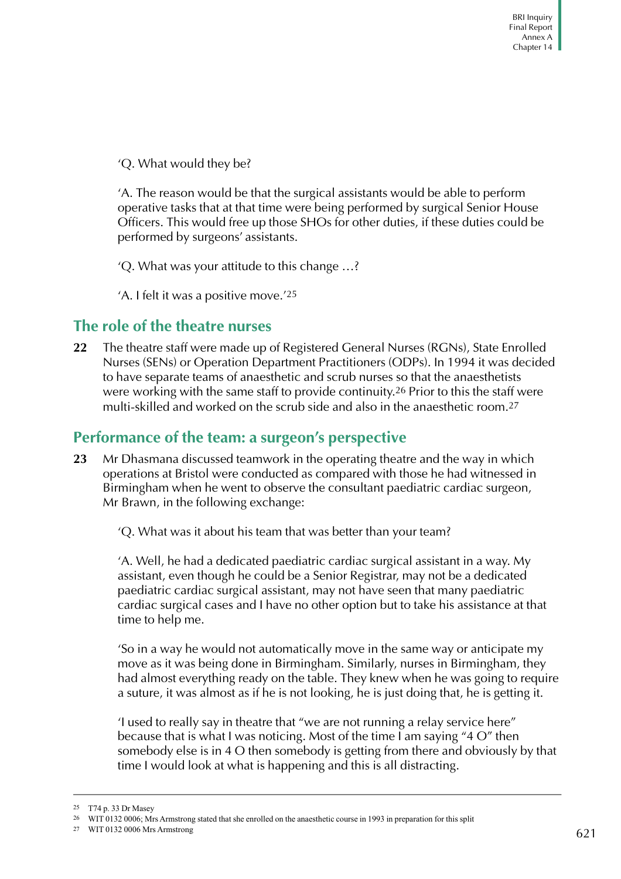'Q. What would they be?

'A. The reason would be that the surgical assistants would be able to perform operative tasks that at that time were being performed by surgical Senior House Officers. This would free up those SHOs for other duties, if these duties could be performed by surgeons' assistants.

'Q. What was your attitude to this change …?

'A. I felt it was a positive move.'25

## <span id="page-32-0"></span>**The role of the theatre nurses**

**22** The theatre staff were made up of Registered General Nurses (RGNs), State Enrolled Nurses (SENs) or Operation Department Practitioners (ODPs). In 1994 it was decided to have separate teams of anaesthetic and scrub nurses so that the anaesthetists were working with the same staff to provide continuity.<sup>26</sup> Prior to this the staff were multi-skilled and worked on the scrub side and also in the anaesthetic room.27

### <span id="page-32-1"></span>**Performance of the team: a surgeon's perspective**

**23** Mr Dhasmana discussed teamwork in the operating theatre and the way in which operations at Bristol were conducted as compared with those he had witnessed in Birmingham when he went to observe the consultant paediatric cardiac surgeon, Mr Brawn, in the following exchange:

'Q. What was it about his team that was better than your team?

'A. Well, he had a dedicated paediatric cardiac surgical assistant in a way. My assistant, even though he could be a Senior Registrar, may not be a dedicated paediatric cardiac surgical assistant, may not have seen that many paediatric cardiac surgical cases and I have no other option but to take his assistance at that time to help me.

'So in a way he would not automatically move in the same way or anticipate my move as it was being done in Birmingham. Similarly, nurses in Birmingham, they had almost everything ready on the table. They knew when he was going to require a suture, it was almost as if he is not looking, he is just doing that, he is getting it.

'I used to really say in theatre that "we are not running a relay service here" because that is what I was noticing. Most of the time I am saying "4 O" then somebody else is in 4 O then somebody is getting from there and obviously by that time I would look at what is happening and this is all distracting.

<sup>25</sup> T74 p. 33 Dr Masey

<sup>26</sup> WIT 0132 0006; Mrs Armstrong stated that she enrolled on the anaesthetic course in 1993 in preparation for this split

<sup>27</sup> WIT 0132 0006 Mrs Armstrong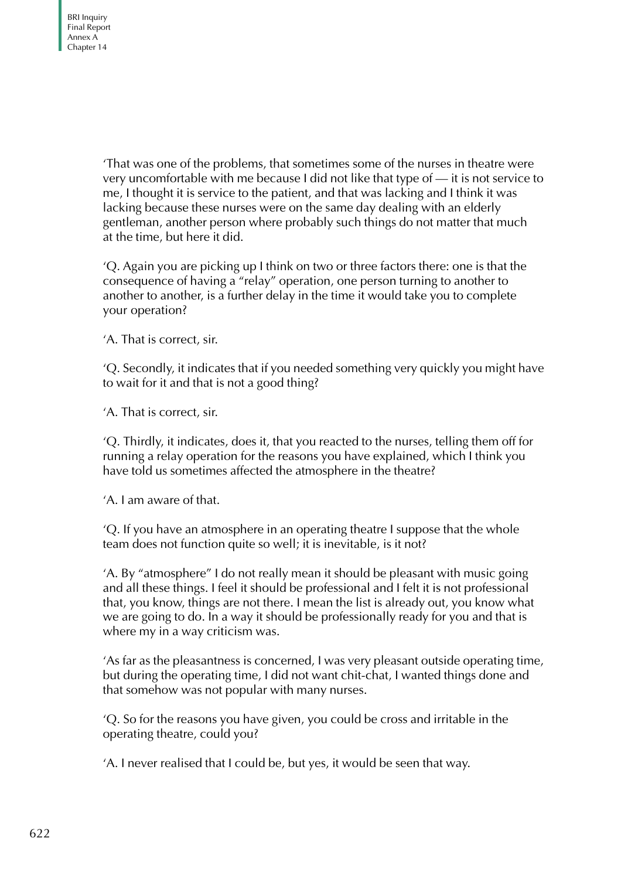'That was one of the problems, that sometimes some of the nurses in theatre were very uncomfortable with me because I did not like that type of — it is not service to me, I thought it is service to the patient, and that was lacking and I think it was lacking because these nurses were on the same day dealing with an elderly gentleman, another person where probably such things do not matter that much at the time, but here it did.

'Q. Again you are picking up I think on two or three factors there: one is that the consequence of having a "relay" operation, one person turning to another to another to another, is a further delay in the time it would take you to complete your operation?

'A. That is correct, sir.

'Q. Secondly, it indicates that if you needed something very quickly you might have to wait for it and that is not a good thing?

'A. That is correct, sir.

'Q. Thirdly, it indicates, does it, that you reacted to the nurses, telling them off for running a relay operation for the reasons you have explained, which I think you have told us sometimes affected the atmosphere in the theatre?

'A. I am aware of that.

'Q. If you have an atmosphere in an operating theatre I suppose that the whole team does not function quite so well; it is inevitable, is it not?

'A. By "atmosphere" I do not really mean it should be pleasant with music going and all these things. I feel it should be professional and I felt it is not professional that, you know, things are not there. I mean the list is already out, you know what we are going to do. In a way it should be professionally ready for you and that is where my in a way criticism was.

'As far as the pleasantness is concerned, I was very pleasant outside operating time, but during the operating time, I did not want chit-chat, I wanted things done and that somehow was not popular with many nurses.

'Q. So for the reasons you have given, you could be cross and irritable in the operating theatre, could you?

'A. I never realised that I could be, but yes, it would be seen that way.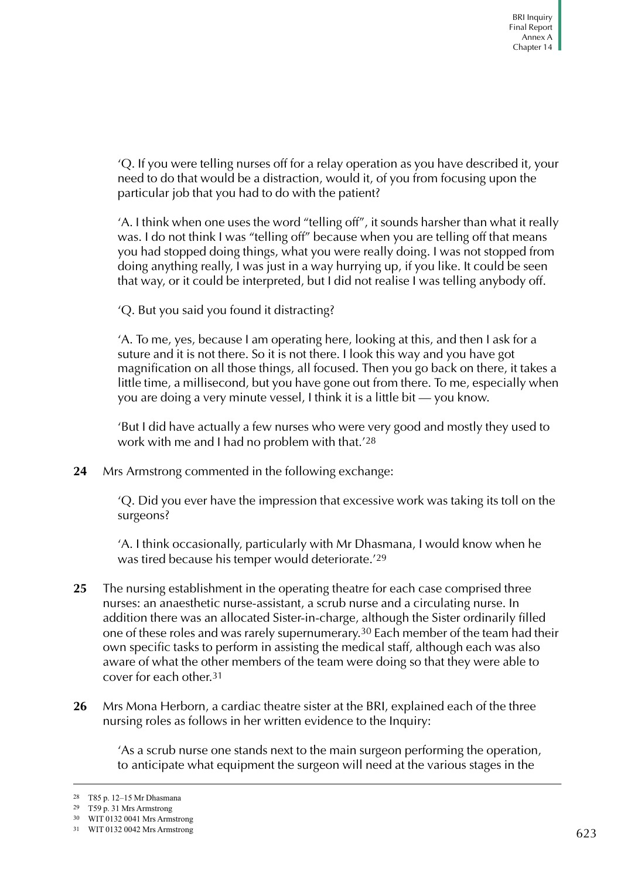'Q. If you were telling nurses off for a relay operation as you have described it, your need to do that would be a distraction, would it, of you from focusing upon the particular job that you had to do with the patient?

'A. I think when one uses the word "telling off", it sounds harsher than what it really was. I do not think I was "telling off" because when you are telling off that means you had stopped doing things, what you were really doing. I was not stopped from doing anything really, I was just in a way hurrying up, if you like. It could be seen that way, or it could be interpreted, but I did not realise I was telling anybody off.

'Q. But you said you found it distracting?

'A. To me, yes, because I am operating here, looking at this, and then I ask for a suture and it is not there. So it is not there. I look this way and you have got magnification on all those things, all focused. Then you go back on there, it takes a little time, a millisecond, but you have gone out from there. To me, especially when you are doing a very minute vessel, I think it is a little bit — you know.

'But I did have actually a few nurses who were very good and mostly they used to work with me and I had no problem with that.'28

**24** Mrs Armstrong commented in the following exchange:

'Q. Did you ever have the impression that excessive work was taking its toll on the surgeons?

'A. I think occasionally, particularly with Mr Dhasmana, I would know when he was tired because his temper would deteriorate.'29

- **25** The nursing establishment in the operating theatre for each case comprised three nurses: an anaesthetic nurse-assistant, a scrub nurse and a circulating nurse. In addition there was an allocated Sister-in-charge, although the Sister ordinarily filled one of these roles and was rarely supernumerary.30 Each member of the team had their own specific tasks to perform in assisting the medical staff, although each was also aware of what the other members of the team were doing so that they were able to cover for each other.31
- **26** Mrs Mona Herborn, a cardiac theatre sister at the BRI, explained each of the three nursing roles as follows in her written evidence to the Inquiry:

'As a scrub nurse one stands next to the main surgeon performing the operation, to anticipate what equipment the surgeon will need at the various stages in the

<sup>28</sup> T85 p. 12–15 Mr Dhasmana

<sup>29</sup> T59 p. 31 Mrs Armstrong

<sup>30</sup> WIT 0132 0041 Mrs Armstrong

<sup>31</sup> WIT 0132 0042 Mrs Armstrong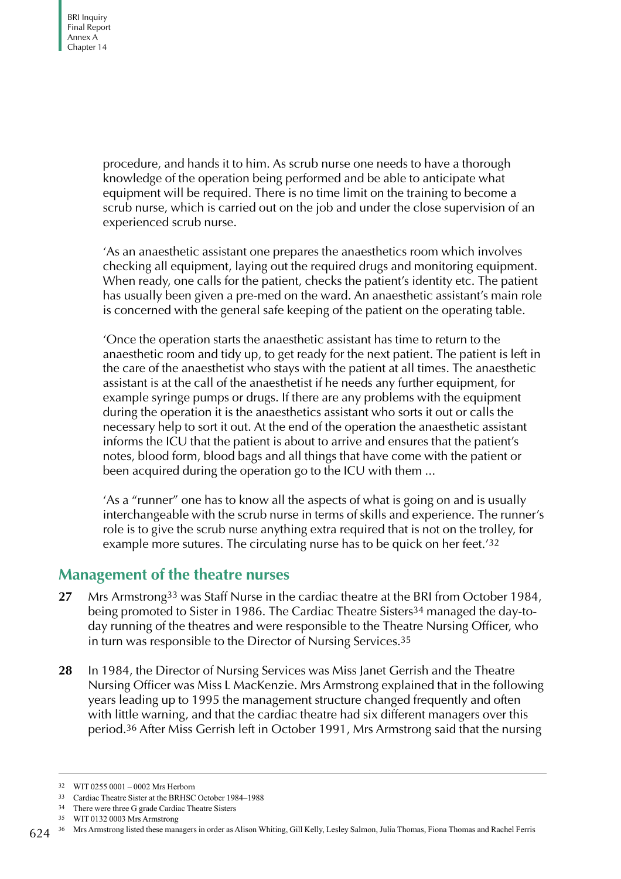procedure, and hands it to him. As scrub nurse one needs to have a thorough knowledge of the operation being performed and be able to anticipate what equipment will be required. There is no time limit on the training to become a scrub nurse, which is carried out on the job and under the close supervision of an experienced scrub nurse.

'As an anaesthetic assistant one prepares the anaesthetics room which involves checking all equipment, laying out the required drugs and monitoring equipment. When ready, one calls for the patient, checks the patient's identity etc. The patient has usually been given a pre-med on the ward. An anaesthetic assistant's main role is concerned with the general safe keeping of the patient on the operating table.

'Once the operation starts the anaesthetic assistant has time to return to the anaesthetic room and tidy up, to get ready for the next patient. The patient is left in the care of the anaesthetist who stays with the patient at all times. The anaesthetic assistant is at the call of the anaesthetist if he needs any further equipment, for example syringe pumps or drugs. If there are any problems with the equipment during the operation it is the anaesthetics assistant who sorts it out or calls the necessary help to sort it out. At the end of the operation the anaesthetic assistant informs the ICU that the patient is about to arrive and ensures that the patient's notes, blood form, blood bags and all things that have come with the patient or been acquired during the operation go to the ICU with them ...

'As a "runner" one has to know all the aspects of what is going on and is usually interchangeable with the scrub nurse in terms of skills and experience. The runner's role is to give the scrub nurse anything extra required that is not on the trolley, for example more sutures. The circulating nurse has to be quick on her feet.'32

## <span id="page-35-0"></span>**Management of the theatre nurses**

- **27** Mrs Armstrong33 was Staff Nurse in the cardiac theatre at the BRI from October 1984, being promoted to Sister in 1986. The Cardiac Theatre Sisters34 managed the day-today running of the theatres and were responsible to the Theatre Nursing Officer, who in turn was responsible to the Director of Nursing Services.35
- **28** In 1984, the Director of Nursing Services was Miss Janet Gerrish and the Theatre Nursing Officer was Miss L MacKenzie. Mrs Armstrong explained that in the following years leading up to 1995 the management structure changed frequently and often with little warning, and that the cardiac theatre had six different managers over this period.36 After Miss Gerrish left in October 1991, Mrs Armstrong said that the nursing

<sup>32</sup> WIT 0255 0001 – 0002 Mrs Herborn

<sup>33</sup> Cardiac Theatre Sister at the BRHSC October 1984–1988

<sup>34</sup> There were three G grade Cardiac Theatre Sisters

<sup>35</sup> WIT 0132 0003 Mrs Armstrong

<sup>624&</sup>lt;sup>36</sup> Mrs Armstrong listed these managers in order as Alison Whiting, Gill Kelly, Lesley Salmon, Julia Thomas, Fiona Thomas and Rachel Ferris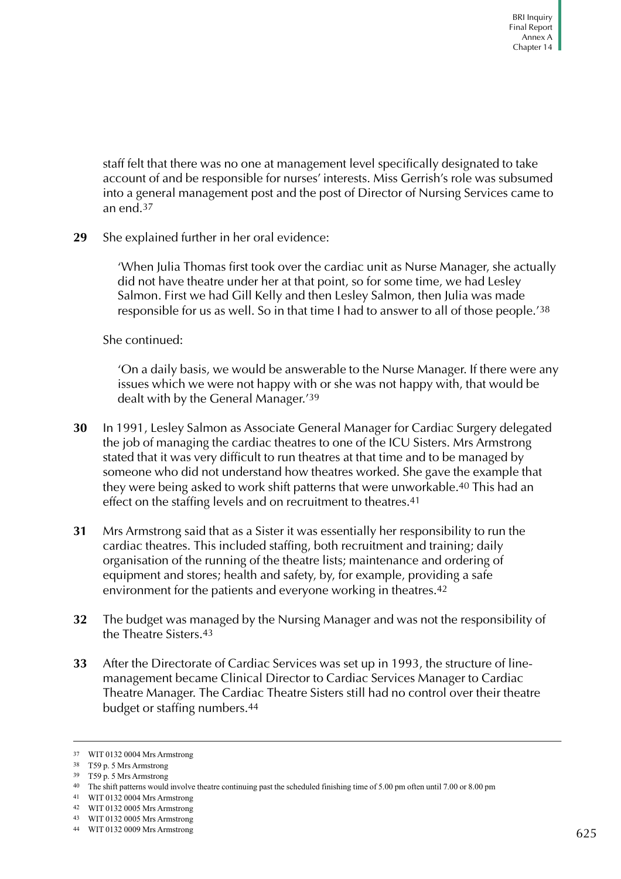staff felt that there was no one at management level specifically designated to take account of and be responsible for nurses' interests. Miss Gerrish's role was subsumed into a general management post and the post of Director of Nursing Services came to an end.37

**29** She explained further in her oral evidence:

'When Julia Thomas first took over the cardiac unit as Nurse Manager, she actually did not have theatre under her at that point, so for some time, we had Lesley Salmon. First we had Gill Kelly and then Lesley Salmon, then Julia was made responsible for us as well. So in that time I had to answer to all of those people.'38

She continued:

'On a daily basis, we would be answerable to the Nurse Manager. If there were any issues which we were not happy with or she was not happy with, that would be dealt with by the General Manager.'39

- **30** In 1991, Lesley Salmon as Associate General Manager for Cardiac Surgery delegated the job of managing the cardiac theatres to one of the ICU Sisters. Mrs Armstrong stated that it was very difficult to run theatres at that time and to be managed by someone who did not understand how theatres worked. She gave the example that they were being asked to work shift patterns that were unworkable.40 This had an effect on the staffing levels and on recruitment to theatres.<sup>41</sup>
- **31** Mrs Armstrong said that as a Sister it was essentially her responsibility to run the cardiac theatres. This included staffing, both recruitment and training; daily organisation of the running of the theatre lists; maintenance and ordering of equipment and stores; health and safety, by, for example, providing a safe environment for the patients and everyone working in theatres.42
- **32** The budget was managed by the Nursing Manager and was not the responsibility of the Theatre Sisters.43
- **33** After the Directorate of Cardiac Services was set up in 1993, the structure of linemanagement became Clinical Director to Cardiac Services Manager to Cardiac Theatre Manager. The Cardiac Theatre Sisters still had no control over their theatre budget or staffing numbers.44

<sup>37</sup> WIT 0132 0004 Mrs Armstrong

<sup>38</sup> T59 p. 5 Mrs Armstrong

<sup>39</sup> T59 p. 5 Mrs Armstrong

<sup>40</sup> The shift patterns would involve theatre continuing past the scheduled finishing time of 5.00 pm often until 7.00 or 8.00 pm

<sup>41</sup> WIT 0132 0004 Mrs Armstrong

<sup>42</sup> WIT 0132 0005 Mrs Armstrong

<sup>43</sup> WIT 0132 0005 Mrs Armstrong

<sup>44</sup> WIT 0132 0009 Mrs Armstrong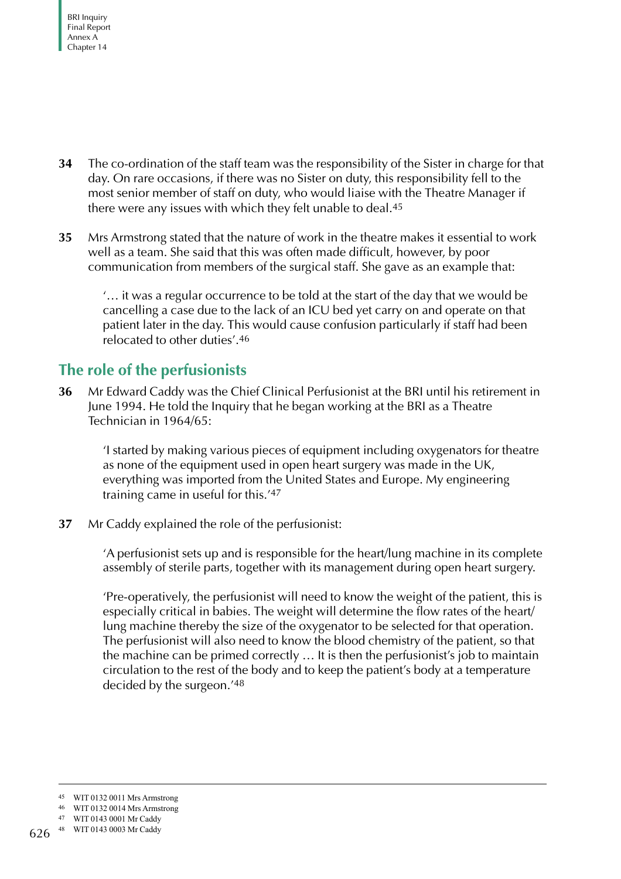- **34** The co-ordination of the staff team was the responsibility of the Sister in charge for that day. On rare occasions, if there was no Sister on duty, this responsibility fell to the most senior member of staff on duty, who would liaise with the Theatre Manager if there were any issues with which they felt unable to deal.45
- **35** Mrs Armstrong stated that the nature of work in the theatre makes it essential to work well as a team. She said that this was often made difficult, however, by poor communication from members of the surgical staff. She gave as an example that:

'… it was a regular occurrence to be told at the start of the day that we would be cancelling a case due to the lack of an ICU bed yet carry on and operate on that patient later in the day. This would cause confusion particularly if staff had been relocated to other duties'.46

## **The role of the perfusionists**

**36** Mr Edward Caddy was the Chief Clinical Perfusionist at the BRI until his retirement in June 1994. He told the Inquiry that he began working at the BRI as a Theatre Technician in 1964/65:

'I started by making various pieces of equipment including oxygenators for theatre as none of the equipment used in open heart surgery was made in the UK, everything was imported from the United States and Europe. My engineering training came in useful for this.'47

**37** Mr Caddy explained the role of the perfusionist:

'A perfusionist sets up and is responsible for the heart/lung machine in its complete assembly of sterile parts, together with its management during open heart surgery.

'Pre-operatively, the perfusionist will need to know the weight of the patient, this is especially critical in babies. The weight will determine the flow rates of the heart/ lung machine thereby the size of the oxygenator to be selected for that operation. The perfusionist will also need to know the blood chemistry of the patient, so that the machine can be primed correctly … It is then the perfusionist's job to maintain circulation to the rest of the body and to keep the patient's body at a temperature decided by the surgeon.'48

<sup>45</sup> WIT 0132 0011 Mrs Armstrong

<sup>46</sup> WIT 0132 0014 Mrs Armstrong

<sup>47</sup> WIT 0143 0001 Mr Caddy 48 WIT 0143 0003 Mr Caddy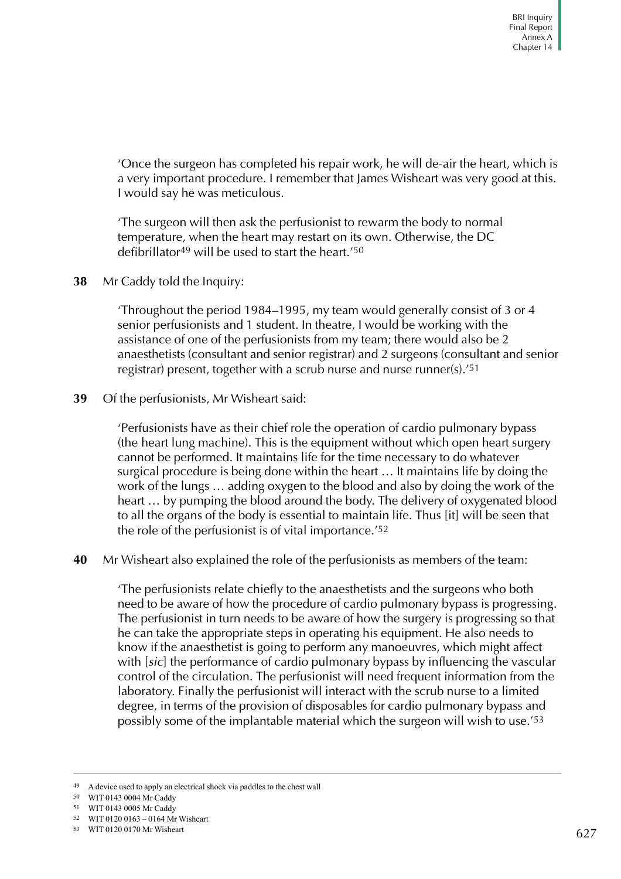'Once the surgeon has completed his repair work, he will de-air the heart, which is a very important procedure. I remember that James Wisheart was very good at this. I would say he was meticulous.

'The surgeon will then ask the perfusionist to rewarm the body to normal temperature, when the heart may restart on its own. Otherwise, the DC defibrillator49 will be used to start the heart.'50

**38** Mr Caddy told the Inquiry:

'Throughout the period 1984–1995, my team would generally consist of 3 or 4 senior perfusionists and 1 student. In theatre, I would be working with the assistance of one of the perfusionists from my team; there would also be 2 anaesthetists (consultant and senior registrar) and 2 surgeons (consultant and senior registrar) present, together with a scrub nurse and nurse runner(s).'51

**39** Of the perfusionists, Mr Wisheart said:

'Perfusionists have as their chief role the operation of cardio pulmonary bypass (the heart lung machine). This is the equipment without which open heart surgery cannot be performed. It maintains life for the time necessary to do whatever surgical procedure is being done within the heart … It maintains life by doing the work of the lungs … adding oxygen to the blood and also by doing the work of the heart … by pumping the blood around the body. The delivery of oxygenated blood to all the organs of the body is essential to maintain life. Thus [it] will be seen that the role of the perfusionist is of vital importance.'52

**40** Mr Wisheart also explained the role of the perfusionists as members of the team:

'The perfusionists relate chiefly to the anaesthetists and the surgeons who both need to be aware of how the procedure of cardio pulmonary bypass is progressing. The perfusionist in turn needs to be aware of how the surgery is progressing so that he can take the appropriate steps in operating his equipment. He also needs to know if the anaesthetist is going to perform any manoeuvres, which might affect with [sic] the performance of cardio pulmonary bypass by influencing the vascular control of the circulation. The perfusionist will need frequent information from the laboratory. Finally the perfusionist will interact with the scrub nurse to a limited degree, in terms of the provision of disposables for cardio pulmonary bypass and possibly some of the implantable material which the surgeon will wish to use.'53

<sup>49</sup> A device used to apply an electrical shock via paddles to the chest wall

<sup>50</sup> WIT 0143 0004 Mr Caddy

<sup>51</sup> WIT 0143 0005 Mr Caddy

<sup>52</sup> WIT 0120 0163 – 0164 Mr Wisheart

<sup>53</sup> WIT 0120 0170 Mr Wisheart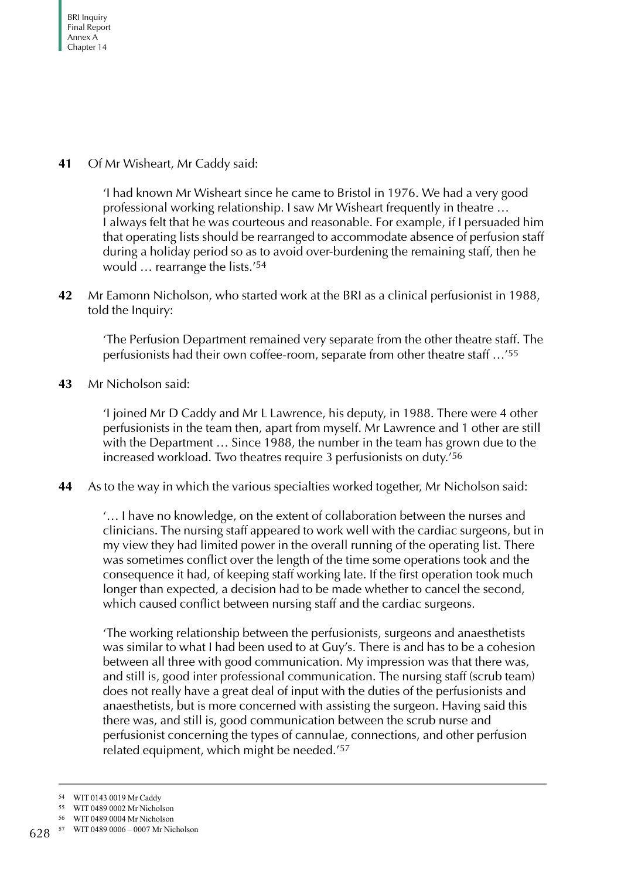**41** Of Mr Wisheart, Mr Caddy said:

'I had known Mr Wisheart since he came to Bristol in 1976. We had a very good professional working relationship. I saw Mr Wisheart frequently in theatre … I always felt that he was courteous and reasonable. For example, if I persuaded him that operating lists should be rearranged to accommodate absence of perfusion staff during a holiday period so as to avoid over-burdening the remaining staff, then he would … rearrange the lists.'54

**42** Mr Eamonn Nicholson, who started work at the BRI as a clinical perfusionist in 1988, told the Inquiry:

'The Perfusion Department remained very separate from the other theatre staff. The perfusionists had their own coffee-room, separate from other theatre staff …'55

**43** Mr Nicholson said:

'I joined Mr D Caddy and Mr L Lawrence, his deputy, in 1988. There were 4 other perfusionists in the team then, apart from myself. Mr Lawrence and 1 other are still with the Department … Since 1988, the number in the team has grown due to the increased workload. Two theatres require 3 perfusionists on duty.'56

**44** As to the way in which the various specialties worked together, Mr Nicholson said:

'… I have no knowledge, on the extent of collaboration between the nurses and clinicians. The nursing staff appeared to work well with the cardiac surgeons, but in my view they had limited power in the overall running of the operating list. There was sometimes conflict over the length of the time some operations took and the consequence it had, of keeping staff working late. If the first operation took much longer than expected, a decision had to be made whether to cancel the second, which caused conflict between nursing staff and the cardiac surgeons.

'The working relationship between the perfusionists, surgeons and anaesthetists was similar to what I had been used to at Guy's. There is and has to be a cohesion between all three with good communication. My impression was that there was, and still is, good inter professional communication. The nursing staff (scrub team) does not really have a great deal of input with the duties of the perfusionists and anaesthetists, but is more concerned with assisting the surgeon. Having said this there was, and still is, good communication between the scrub nurse and perfusionist concerning the types of cannulae, connections, and other perfusion related equipment, which might be needed.'57

<sup>54</sup> WIT 0143 0019 Mr Caddy

<sup>55</sup> WIT 0489 0002 Mr Nicholson

<sup>56</sup> WIT 0489 0004 Mr Nicholson

<sup>57</sup> WIT 0489 0006 – 0007 Mr Nicholson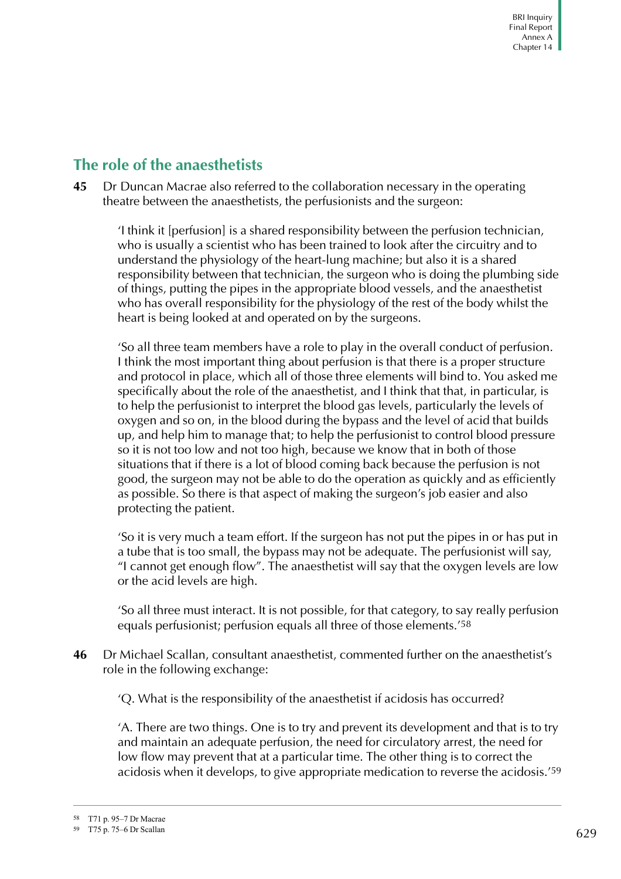## **The role of the anaesthetists**

**45** Dr Duncan Macrae also referred to the collaboration necessary in the operating theatre between the anaesthetists, the perfusionists and the surgeon:

'I think it [perfusion] is a shared responsibility between the perfusion technician, who is usually a scientist who has been trained to look after the circuitry and to understand the physiology of the heart-lung machine; but also it is a shared responsibility between that technician, the surgeon who is doing the plumbing side of things, putting the pipes in the appropriate blood vessels, and the anaesthetist who has overall responsibility for the physiology of the rest of the body whilst the heart is being looked at and operated on by the surgeons.

'So all three team members have a role to play in the overall conduct of perfusion. I think the most important thing about perfusion is that there is a proper structure and protocol in place, which all of those three elements will bind to. You asked me specifically about the role of the anaesthetist, and I think that that, in particular, is to help the perfusionist to interpret the blood gas levels, particularly the levels of oxygen and so on, in the blood during the bypass and the level of acid that builds up, and help him to manage that; to help the perfusionist to control blood pressure so it is not too low and not too high, because we know that in both of those situations that if there is a lot of blood coming back because the perfusion is not good, the surgeon may not be able to do the operation as quickly and as efficiently as possible. So there is that aspect of making the surgeon's job easier and also protecting the patient.

'So it is very much a team effort. If the surgeon has not put the pipes in or has put in a tube that is too small, the bypass may not be adequate. The perfusionist will say, "I cannot get enough flow". The anaesthetist will say that the oxygen levels are low or the acid levels are high.

'So all three must interact. It is not possible, for that category, to say really perfusion equals perfusionist; perfusion equals all three of those elements.'58

**46** Dr Michael Scallan, consultant anaesthetist, commented further on the anaesthetist's role in the following exchange:

'Q. What is the responsibility of the anaesthetist if acidosis has occurred?

'A. There are two things. One is to try and prevent its development and that is to try and maintain an adequate perfusion, the need for circulatory arrest, the need for low flow may prevent that at a particular time. The other thing is to correct the acidosis when it develops, to give appropriate medication to reverse the acidosis.'59

<sup>58</sup> T71 p. 95–7 Dr Macrae

<sup>59</sup> T75 p. 75–6 Dr Scallan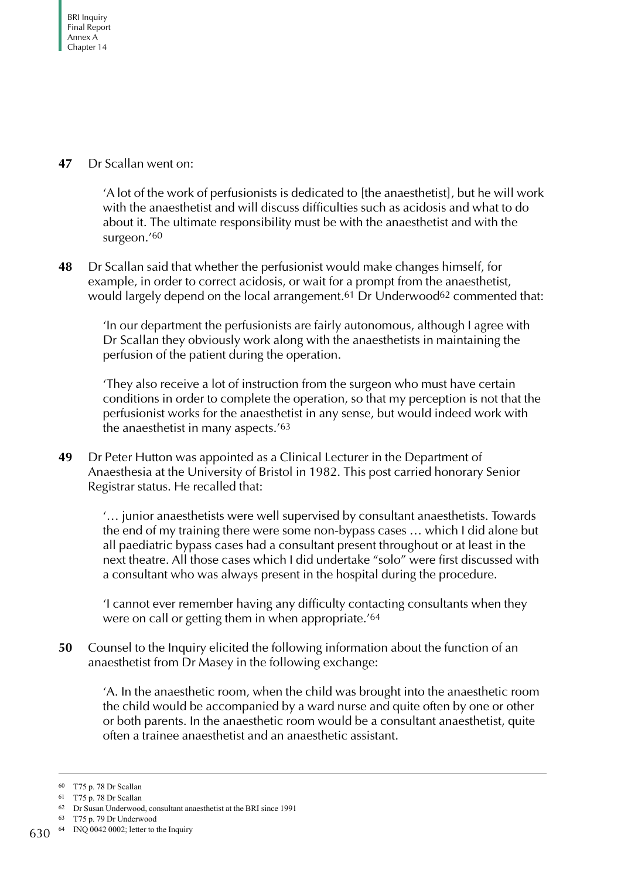**47** Dr Scallan went on:

'A lot of the work of perfusionists is dedicated to [the anaesthetist], but he will work with the anaesthetist and will discuss difficulties such as acidosis and what to do about it. The ultimate responsibility must be with the anaesthetist and with the surgeon.'60

**48** Dr Scallan said that whether the perfusionist would make changes himself, for example, in order to correct acidosis, or wait for a prompt from the anaesthetist, would largely depend on the local arrangement.<sup>61</sup> Dr Underwood<sup>62</sup> commented that:

'In our department the perfusionists are fairly autonomous, although I agree with Dr Scallan they obviously work along with the anaesthetists in maintaining the perfusion of the patient during the operation.

'They also receive a lot of instruction from the surgeon who must have certain conditions in order to complete the operation, so that my perception is not that the perfusionist works for the anaesthetist in any sense, but would indeed work with the anaesthetist in many aspects.'63

**49** Dr Peter Hutton was appointed as a Clinical Lecturer in the Department of Anaesthesia at the University of Bristol in 1982. This post carried honorary Senior Registrar status. He recalled that:

'… junior anaesthetists were well supervised by consultant anaesthetists. Towards the end of my training there were some non-bypass cases … which I did alone but all paediatric bypass cases had a consultant present throughout or at least in the next theatre. All those cases which I did undertake "solo" were first discussed with a consultant who was always present in the hospital during the procedure.

'I cannot ever remember having any difficulty contacting consultants when they were on call or getting them in when appropriate.'64

**50** Counsel to the Inquiry elicited the following information about the function of an anaesthetist from Dr Masey in the following exchange:

'A. In the anaesthetic room, when the child was brought into the anaesthetic room the child would be accompanied by a ward nurse and quite often by one or other or both parents. In the anaesthetic room would be a consultant anaesthetist, quite often a trainee anaesthetist and an anaesthetic assistant.

<sup>60</sup> T75 p. 78 Dr Scallan

<sup>61</sup> T75 p. 78 Dr Scallan

<sup>62</sup> Dr Susan Underwood, consultant anaesthetist at the BRI since 1991

<sup>63</sup> T75 p. 79 Dr Underwood

 $630$  <sup>64</sup> INQ 0042 0002; letter to the Inquiry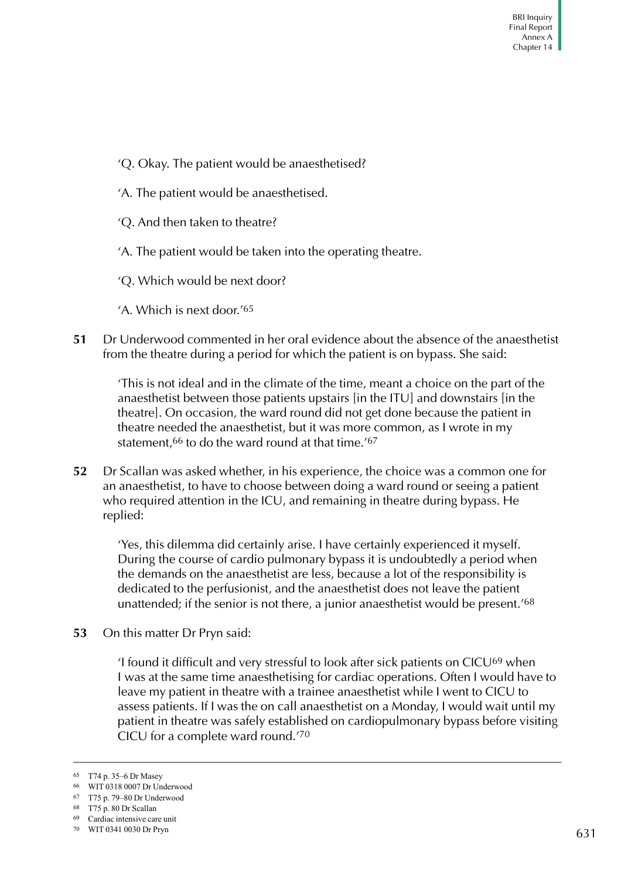- 'Q. Okay. The patient would be anaesthetised?
- 'A. The patient would be anaesthetised.
- 'Q. And then taken to theatre?
- 'A. The patient would be taken into the operating theatre.
- 'Q. Which would be next door?
- 'A. Which is next door.'65
- **51** Dr Underwood commented in her oral evidence about the absence of the anaesthetist from the theatre during a period for which the patient is on bypass. She said:

'This is not ideal and in the climate of the time, meant a choice on the part of the anaesthetist between those patients upstairs [in the ITU] and downstairs [in the theatre]. On occasion, the ward round did not get done because the patient in theatre needed the anaesthetist, but it was more common, as I wrote in my statement, <sup>66</sup> to do the ward round at that time.<sup>'67</sup>

**52** Dr Scallan was asked whether, in his experience, the choice was a common one for an anaesthetist, to have to choose between doing a ward round or seeing a patient who required attention in the ICU, and remaining in theatre during bypass. He replied:

'Yes, this dilemma did certainly arise. I have certainly experienced it myself. During the course of cardio pulmonary bypass it is undoubtedly a period when the demands on the anaesthetist are less, because a lot of the responsibility is dedicated to the perfusionist, and the anaesthetist does not leave the patient unattended; if the senior is not there, a junior anaesthetist would be present.'68

**53** On this matter Dr Pryn said:

'I found it difficult and very stressful to look after sick patients on CICU69 when I was at the same time anaesthetising for cardiac operations. Often I would have to leave my patient in theatre with a trainee anaesthetist while I went to CICU to assess patients. If I was the on call anaesthetist on a Monday, I would wait until my patient in theatre was safely established on cardiopulmonary bypass before visiting CICU for a complete ward round.'70

<sup>65</sup> T74 p. 35–6 Dr Masey

<sup>66</sup> WIT 0318 0007 Dr Underwood

<sup>67</sup> T75 p. 79–80 Dr Underwood

<sup>68</sup> T75 p. 80 Dr Scallan

<sup>69</sup> Cardiac intensive care unit

<sup>70</sup> WIT 0341 0030 Dr Pryn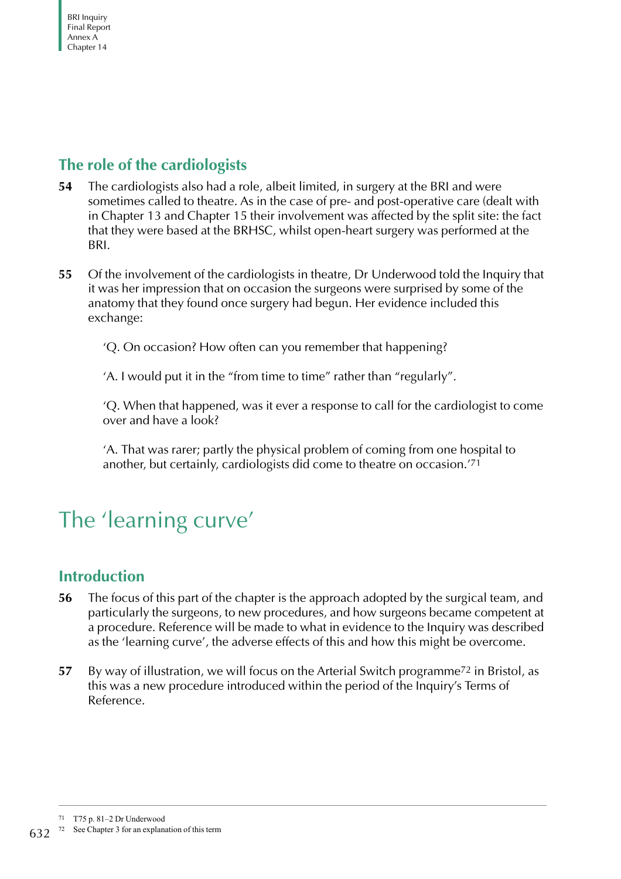## **The role of the cardiologists**

- **54** The cardiologists also had a role, albeit limited, in surgery at the BRI and were sometimes called to theatre. As in the case of pre- and post-operative care (dealt with in [Chapter 13](#page-0-0) and [Chapter 15](#page-64-0) their involvement was affected by the split site: the fact that they were based at the BRHSC, whilst open-heart surgery was performed at the BRI.
- **55** Of the involvement of the cardiologists in theatre, Dr Underwood told the Inquiry that it was her impression that on occasion the surgeons were surprised by some of the anatomy that they found once surgery had begun. Her evidence included this exchange:

'Q. On occasion? How often can you remember that happening?

'A. I would put it in the "from time to time" rather than "regularly".

'Q. When that happened, was it ever a response to call for the cardiologist to come over and have a look?

'A. That was rarer; partly the physical problem of coming from one hospital to another, but certainly, cardiologists did come to theatre on occasion.'71

## The 'learning curve'

## **Introduction**

- **56** The focus of this part of the chapter is the approach adopted by the surgical team, and particularly the surgeons, to new procedures, and how surgeons became competent at a procedure. Reference will be made to what in evidence to the Inquiry was described as the 'learning curve', the adverse effects of this and how this might be overcome.
- **57** By way of illustration, we will focus on the Arterial Switch programme72 in Bristol, as this was a new procedure introduced within the period of the Inquiry's Terms of Reference.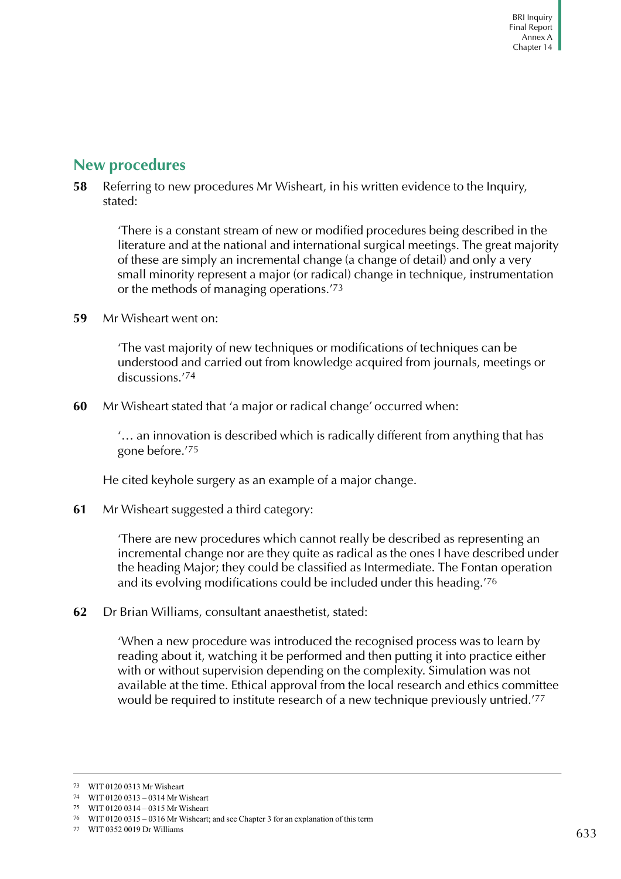## **New procedures**

**58** Referring to new procedures Mr Wisheart, in his written evidence to the Inquiry, stated:

'There is a constant stream of new or modified procedures being described in the literature and at the national and international surgical meetings. The great majority of these are simply an incremental change (a change of detail) and only a very small minority represent a major (or radical) change in technique, instrumentation or the methods of managing operations.'73

#### **59** Mr Wisheart went on:

'The vast majority of new techniques or modifications of techniques can be understood and carried out from knowledge acquired from journals, meetings or discussions.'74

**60** Mr Wisheart stated that 'a major or radical change' occurred when:

'… an innovation is described which is radically different from anything that has gone before.'75

He cited keyhole surgery as an example of a major change.

**61** Mr Wisheart suggested a third category:

'There are new procedures which cannot really be described as representing an incremental change nor are they quite as radical as the ones I have described under the heading Major; they could be classified as Intermediate. The Fontan operation and its evolving modifications could be included under this heading.'76

**62** Dr Brian Williams, consultant anaesthetist, stated:

'When a new procedure was introduced the recognised process was to learn by reading about it, watching it be performed and then putting it into practice either with or without supervision depending on the complexity. Simulation was not available at the time. Ethical approval from the local research and ethics committee would be required to institute research of a new technique previously untried.'77

<sup>73</sup> WIT 0120 0313 Mr Wisheart

<sup>74</sup> WIT 0120 0313 – 0314 Mr Wisheart

<sup>75</sup> WIT 0120 0314 – 0315 Mr Wisheart

<sup>76</sup> WIT 0120 0315 – 0316 Mr Wisheart; and see Chapter 3 for an explanation of this term

<sup>77</sup> WIT 0352 0019 Dr Williams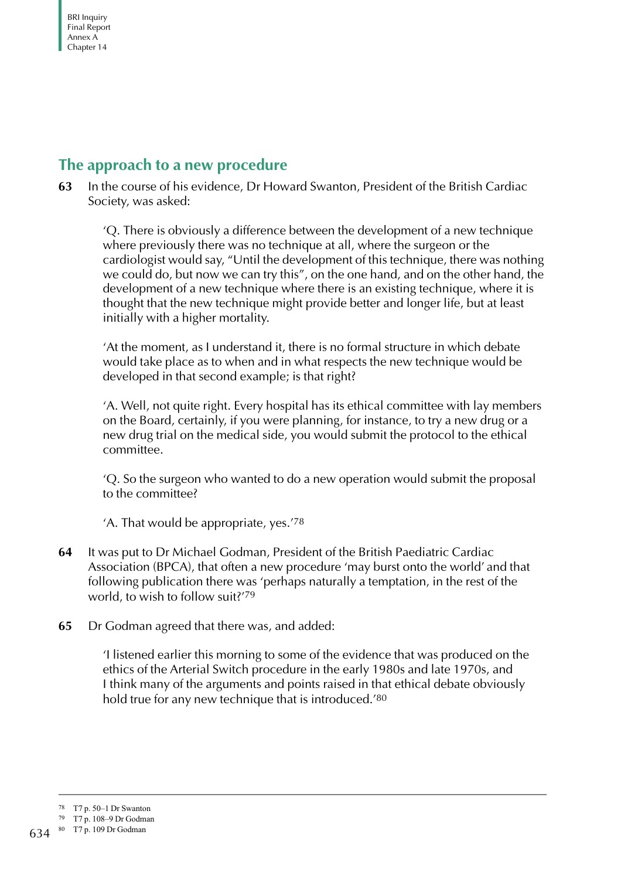## **The approach to a new procedure**

**63** In the course of his evidence, Dr Howard Swanton, President of the British Cardiac Society, was asked:

'Q. There is obviously a difference between the development of a new technique where previously there was no technique at all, where the surgeon or the cardiologist would say, "Until the development of this technique, there was nothing we could do, but now we can try this", on the one hand, and on the other hand, the development of a new technique where there is an existing technique, where it is thought that the new technique might provide better and longer life, but at least initially with a higher mortality.

'At the moment, as I understand it, there is no formal structure in which debate would take place as to when and in what respects the new technique would be developed in that second example; is that right?

'A. Well, not quite right. Every hospital has its ethical committee with lay members on the Board, certainly, if you were planning, for instance, to try a new drug or a new drug trial on the medical side, you would submit the protocol to the ethical committee.

'Q. So the surgeon who wanted to do a new operation would submit the proposal to the committee?

'A. That would be appropriate, yes.'78

- **64** It was put to Dr Michael Godman, President of the British Paediatric Cardiac Association (BPCA), that often a new procedure 'may burst onto the world' and that following publication there was 'perhaps naturally a temptation, in the rest of the world, to wish to follow suit?'79
- **65** Dr Godman agreed that there was, and added:

'I listened earlier this morning to some of the evidence that was produced on the ethics of the Arterial Switch procedure in the early 1980s and late 1970s, and I think many of the arguments and points raised in that ethical debate obviously hold true for any new technique that is introduced.<sup>'80</sup>

<sup>78</sup> T7 p. 50–1 Dr Swanton

<sup>79</sup> T7 p. 108–9 Dr Godman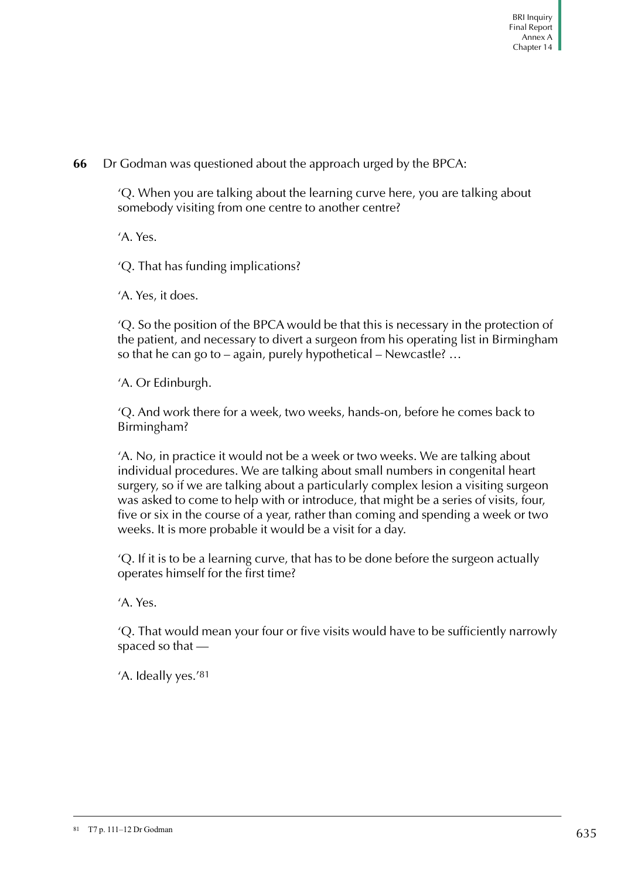**66** Dr Godman was questioned about the approach urged by the BPCA:

'Q. When you are talking about the learning curve here, you are talking about somebody visiting from one centre to another centre?

'A. Yes.

'Q. That has funding implications?

'A. Yes, it does.

'Q. So the position of the BPCA would be that this is necessary in the protection of the patient, and necessary to divert a surgeon from his operating list in Birmingham so that he can go to – again, purely hypothetical – Newcastle? …

'A. Or Edinburgh.

'Q. And work there for a week, two weeks, hands-on, before he comes back to Birmingham?

'A. No, in practice it would not be a week or two weeks. We are talking about individual procedures. We are talking about small numbers in congenital heart surgery, so if we are talking about a particularly complex lesion a visiting surgeon was asked to come to help with or introduce, that might be a series of visits, four, five or six in the course of a year, rather than coming and spending a week or two weeks. It is more probable it would be a visit for a day.

'Q. If it is to be a learning curve, that has to be done before the surgeon actually operates himself for the first time?

'A. Yes.

'Q. That would mean your four or five visits would have to be sufficiently narrowly spaced so that —

'A. Ideally yes.'81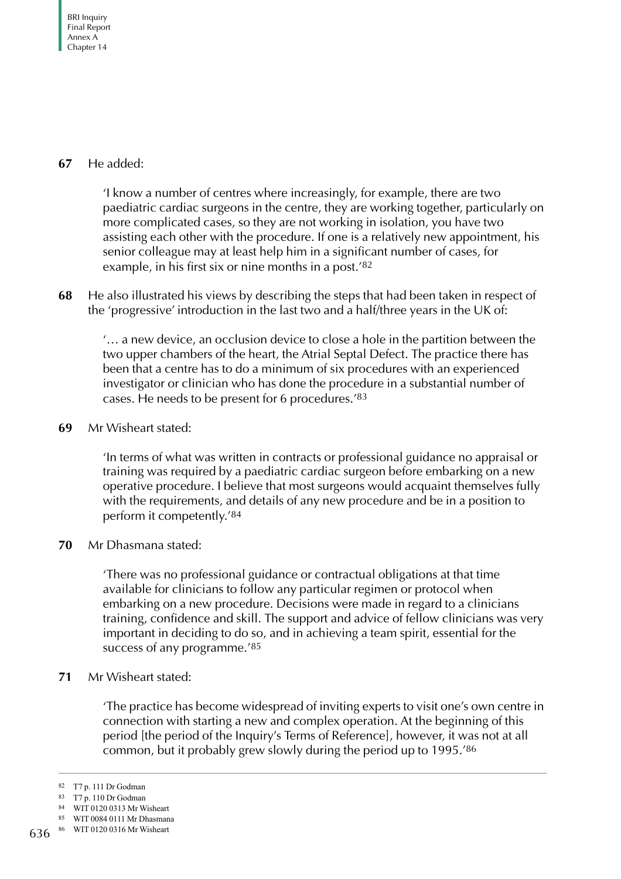#### **67** He added:

'I know a number of centres where increasingly, for example, there are two paediatric cardiac surgeons in the centre, they are working together, particularly on more complicated cases, so they are not working in isolation, you have two assisting each other with the procedure. If one is a relatively new appointment, his senior colleague may at least help him in a significant number of cases, for example, in his first six or nine months in a post.'82

**68** He also illustrated his views by describing the steps that had been taken in respect of the 'progressive' introduction in the last two and a half/three years in the UK of:

'… a new device, an occlusion device to close a hole in the partition between the two upper chambers of the heart, the Atrial Septal Defect. The practice there has been that a centre has to do a minimum of six procedures with an experienced investigator or clinician who has done the procedure in a substantial number of cases. He needs to be present for 6 procedures.'83

#### **69** Mr Wisheart stated:

'In terms of what was written in contracts or professional guidance no appraisal or training was required by a paediatric cardiac surgeon before embarking on a new operative procedure. I believe that most surgeons would acquaint themselves fully with the requirements, and details of any new procedure and be in a position to perform it competently.'84

#### **70** Mr Dhasmana stated:

'There was no professional guidance or contractual obligations at that time available for clinicians to follow any particular regimen or protocol when embarking on a new procedure. Decisions were made in regard to a clinicians training, confidence and skill. The support and advice of fellow clinicians was very important in deciding to do so, and in achieving a team spirit, essential for the success of any programme.'85

#### **71** Mr Wisheart stated:

'The practice has become widespread of inviting experts to visit one's own centre in connection with starting a new and complex operation. At the beginning of this period [the period of the Inquiry's Terms of Reference], however, it was not at all common, but it probably grew slowly during the period up to 1995.'86

<sup>82</sup> T7 p. 111 Dr Godman

<sup>83</sup> T7 p. 110 Dr Godman

<sup>84</sup> WIT 0120 0313 Mr Wisheart

<sup>85</sup> WIT 0084 0111 Mr Dhasmana 86 WIT 0120 0316 Mr Wisheart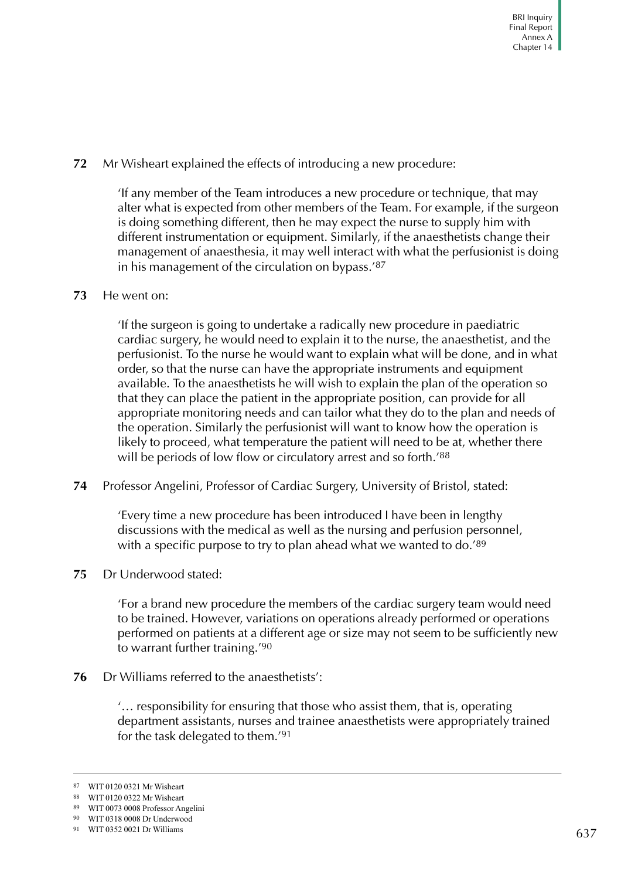#### **72** Mr Wisheart explained the effects of introducing a new procedure:

'If any member of the Team introduces a new procedure or technique, that may alter what is expected from other members of the Team. For example, if the surgeon is doing something different, then he may expect the nurse to supply him with different instrumentation or equipment. Similarly, if the anaesthetists change their management of anaesthesia, it may well interact with what the perfusionist is doing in his management of the circulation on bypass.'87

#### **73** He went on:

'If the surgeon is going to undertake a radically new procedure in paediatric cardiac surgery, he would need to explain it to the nurse, the anaesthetist, and the perfusionist. To the nurse he would want to explain what will be done, and in what order, so that the nurse can have the appropriate instruments and equipment available. To the anaesthetists he will wish to explain the plan of the operation so that they can place the patient in the appropriate position, can provide for all appropriate monitoring needs and can tailor what they do to the plan and needs of the operation. Similarly the perfusionist will want to know how the operation is likely to proceed, what temperature the patient will need to be at, whether there will be periods of low flow or circulatory arrest and so forth.<sup>'88</sup>

#### **74** Professor Angelini, Professor of Cardiac Surgery, University of Bristol, stated:

'Every time a new procedure has been introduced I have been in lengthy discussions with the medical as well as the nursing and perfusion personnel, with a specific purpose to try to plan ahead what we wanted to do.<sup>'89</sup>

#### **75** Dr Underwood stated:

'For a brand new procedure the members of the cardiac surgery team would need to be trained. However, variations on operations already performed or operations performed on patients at a different age or size may not seem to be sufficiently new to warrant further training.'90

#### **76** Dr Williams referred to the anaesthetists':

'… responsibility for ensuring that those who assist them, that is, operating department assistants, nurses and trainee anaesthetists were appropriately trained for the task delegated to them.'91

<sup>87</sup> WIT 0120 0321 Mr Wisheart

<sup>88</sup> WIT 0120 0322 Mr Wisheart

<sup>89</sup> WIT 0073 0008 Professor Angelini

<sup>90</sup> WIT 0318 0008 Dr Underwood

<sup>91</sup> WIT 0352 0021 Dr Williams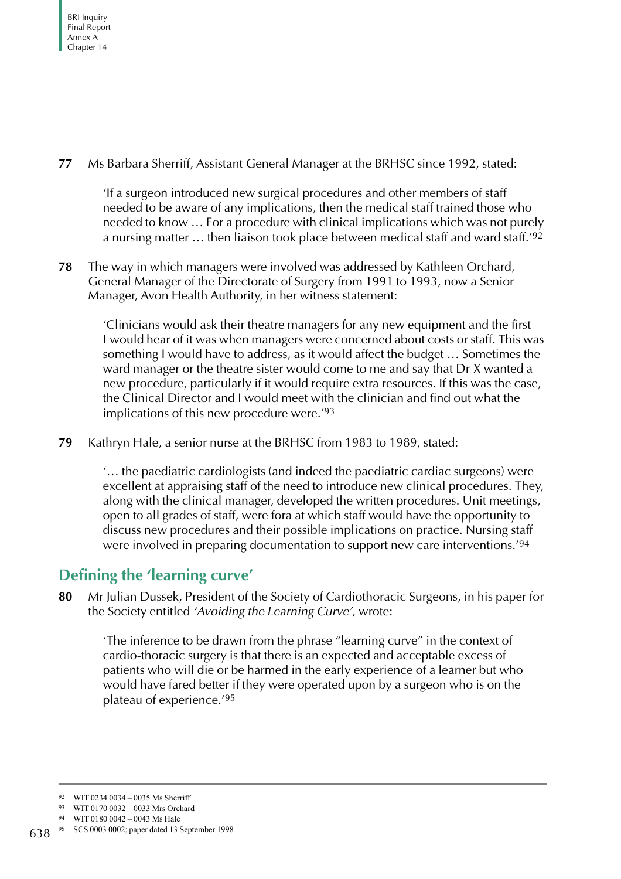**77** Ms Barbara Sherriff, Assistant General Manager at the BRHSC since 1992, stated:

'If a surgeon introduced new surgical procedures and other members of staff needed to be aware of any implications, then the medical staff trained those who needed to know … For a procedure with clinical implications which was not purely a nursing matter ... then liaison took place between medical staff and ward staff.<sup>'92</sup>

**78** The way in which managers were involved was addressed by Kathleen Orchard, General Manager of the Directorate of Surgery from 1991 to 1993, now a Senior Manager, Avon Health Authority, in her witness statement:

'Clinicians would ask their theatre managers for any new equipment and the first I would hear of it was when managers were concerned about costs or staff. This was something I would have to address, as it would affect the budget … Sometimes the ward manager or the theatre sister would come to me and say that Dr X wanted a new procedure, particularly if it would require extra resources. If this was the case, the Clinical Director and I would meet with the clinician and find out what the implications of this new procedure were.'93

**79** Kathryn Hale, a senior nurse at the BRHSC from 1983 to 1989, stated:

'… the paediatric cardiologists (and indeed the paediatric cardiac surgeons) were excellent at appraising staff of the need to introduce new clinical procedures. They, along with the clinical manager, developed the written procedures. Unit meetings, open to all grades of staff, were fora at which staff would have the opportunity to discuss new procedures and their possible implications on practice. Nursing staff were involved in preparing documentation to support new care interventions.'94

## **Defining the 'learning curve'**

**80** Mr Julian Dussek, President of the Society of Cardiothoracic Surgeons, in his paper for the Society entitled 'Avoiding the Learning Curve', wrote:

'The inference to be drawn from the phrase "learning curve" in the context of cardio-thoracic surgery is that there is an expected and acceptable excess of patients who will die or be harmed in the early experience of a learner but who would have fared better if they were operated upon by a surgeon who is on the plateau of experience.'95

<sup>92</sup> WIT 0234 0034 – 0035 Ms Sherriff

<sup>93</sup> WIT 0170 0032 – 0033 Mrs Orchard

<sup>94</sup> WIT 0180 0042 – 0043 Ms Hale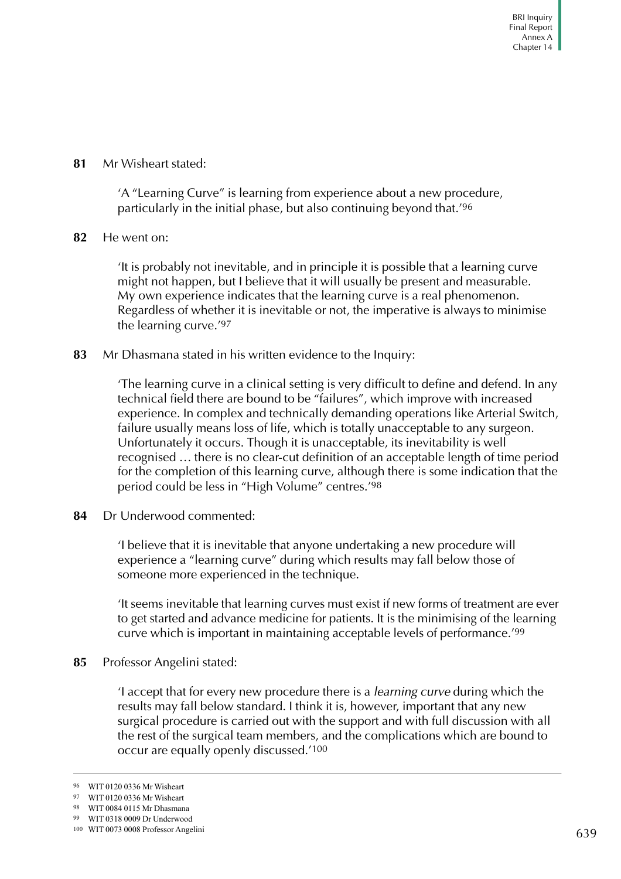#### **81** Mr Wisheart stated:

'A "Learning Curve" is learning from experience about a new procedure, particularly in the initial phase, but also continuing beyond that.'96

#### **82** He went on:

'It is probably not inevitable, and in principle it is possible that a learning curve might not happen, but I believe that it will usually be present and measurable. My own experience indicates that the learning curve is a real phenomenon. Regardless of whether it is inevitable or not, the imperative is always to minimise the learning curve.'97

#### **83** Mr Dhasmana stated in his written evidence to the Inquiry:

'The learning curve in a clinical setting is very difficult to define and defend. In any technical field there are bound to be "failures", which improve with increased experience. In complex and technically demanding operations like Arterial Switch, failure usually means loss of life, which is totally unacceptable to any surgeon. Unfortunately it occurs. Though it is unacceptable, its inevitability is well recognised … there is no clear-cut definition of an acceptable length of time period for the completion of this learning curve, although there is some indication that the period could be less in "High Volume" centres.'98

**84** Dr Underwood commented:

'I believe that it is inevitable that anyone undertaking a new procedure will experience a "learning curve" during which results may fall below those of someone more experienced in the technique.

'It seems inevitable that learning curves must exist if new forms of treatment are ever to get started and advance medicine for patients. It is the minimising of the learning curve which is important in maintaining acceptable levels of performance.'99

#### **85** Professor Angelini stated:

'I accept that for every new procedure there is a learning curve during which the results may fall below standard. I think it is, however, important that any new surgical procedure is carried out with the support and with full discussion with all the rest of the surgical team members, and the complications which are bound to occur are equally openly discussed.'100

<sup>96</sup> WIT 0120 0336 Mr Wisheart

<sup>97</sup> WIT 0120 0336 Mr Wisheart

<sup>98</sup> WIT 0084 0115 Mr Dhasmana

<sup>99</sup> WIT 0318 0009 Dr Underwood

<sup>100</sup> WIT 0073 0008 Professor Angelini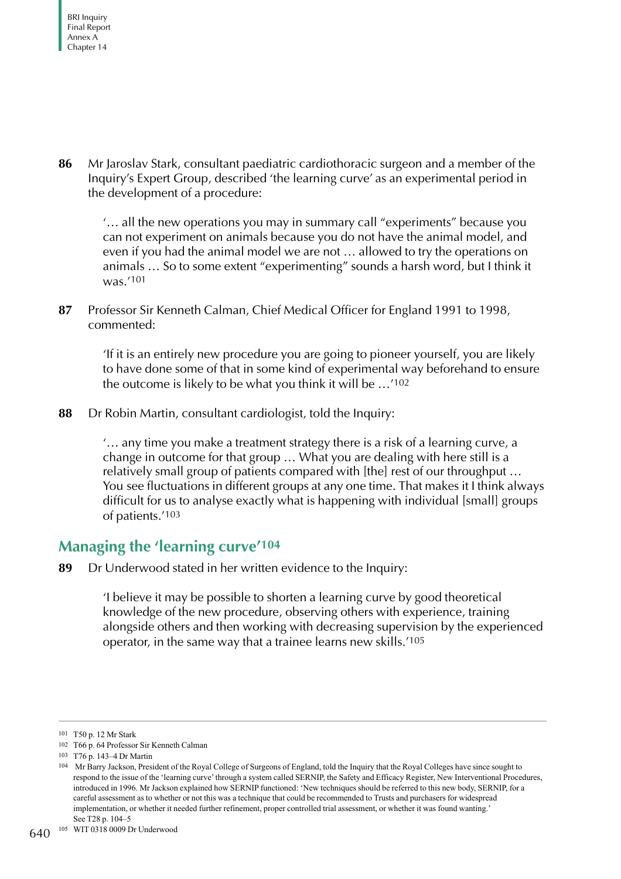**86** Mr Jaroslav Stark, consultant paediatric cardiothoracic surgeon and a member of the Inquiry's Expert Group, described 'the learning curve' as an experimental period in the development of a procedure:

'… all the new operations you may in summary call "experiments" because you can not experiment on animals because you do not have the animal model, and even if you had the animal model we are not … allowed to try the operations on animals … So to some extent "experimenting" sounds a harsh word, but I think it was.'101

**87** Professor Sir Kenneth Calman, Chief Medical Officer for England 1991 to 1998, commented:

'If it is an entirely new procedure you are going to pioneer yourself, you are likely to have done some of that in some kind of experimental way beforehand to ensure the outcome is likely to be what you think it will be …'102

**88** Dr Robin Martin, consultant cardiologist, told the Inquiry:

'… any time you make a treatment strategy there is a risk of a learning curve, a change in outcome for that group … What you are dealing with here still is a relatively small group of patients compared with [the] rest of our throughput … You see fluctuations in different groups at any one time. That makes it I think always difficult for us to analyse exactly what is happening with individual [small] groups of patients.'103

## **Managing the 'learning curve'104**

**89** Dr Underwood stated in her written evidence to the Inquiry:

'I believe it may be possible to shorten a learning curve by good theoretical knowledge of the new procedure, observing others with experience, training alongside others and then working with decreasing supervision by the experienced operator, in the same way that a trainee learns new skills.'105

<sup>101</sup> T50 p. 12 Mr Stark

<sup>102</sup> T66 p. 64 Professor Sir Kenneth Calman

<sup>103</sup> T76 p. 143–4 Dr Martin

<sup>104</sup> Mr Barry Jackson, President of the Royal College of Surgeons of England, told the Inquiry that the Royal Colleges have since sought to respond to the issue of the 'learning curve' through a system called SERNIP, the Safety and Efficacy Register, New Interventional Procedures, introduced in 1996. Mr Jackson explained how SERNIP functioned: 'New techniques should be referred to this new body, SERNIP, for a careful assessment as to whether or not this was a technique that could be recommended to Trusts and purchasers for widespread implementation, or whether it needed further refinement, proper controlled trial assessment, or whether it was found wanting.' See T28 p. 104–5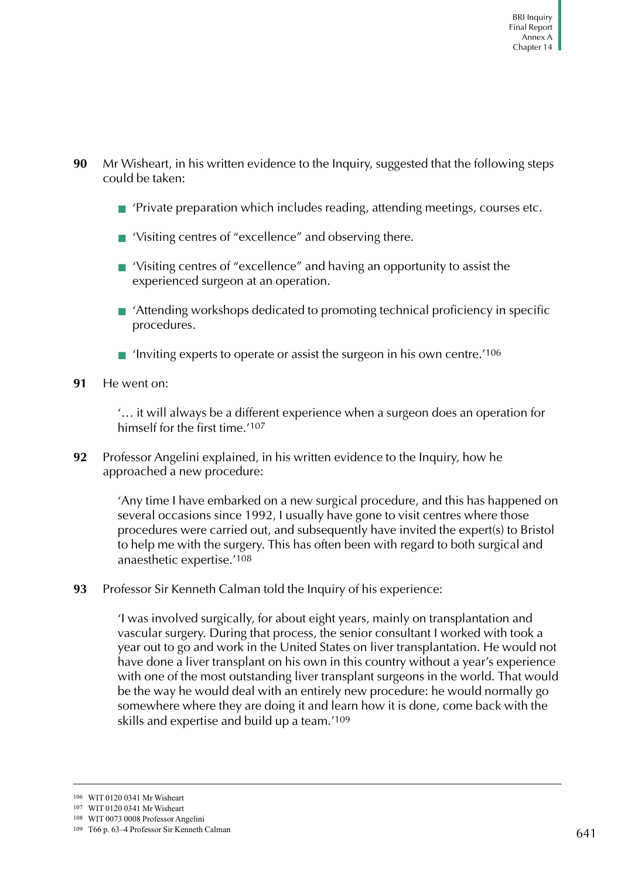- **90** Mr Wisheart, in his written evidence to the Inquiry, suggested that the following steps could be taken:
	- 'Private preparation which includes reading, attending meetings, courses etc.
	- 'Visiting centres of "excellence" and observing there.
	- 'Visiting centres of "excellence" and having an opportunity to assist the experienced surgeon at an operation.
	- 'Attending workshops dedicated to promoting technical proficiency in specific procedures.
	- 'Inviting experts to operate or assist the surgeon in his own centre.<sup>'106</sup>
- **91** He went on:

'… it will always be a different experience when a surgeon does an operation for himself for the first time.'107

**92** Professor Angelini explained, in his written evidence to the Inquiry, how he approached a new procedure:

> 'Any time I have embarked on a new surgical procedure, and this has happened on several occasions since 1992, I usually have gone to visit centres where those procedures were carried out, and subsequently have invited the expert(s) to Bristol to help me with the surgery. This has often been with regard to both surgical and anaesthetic expertise.'108

**93** Professor Sir Kenneth Calman told the Inquiry of his experience:

'I was involved surgically, for about eight years, mainly on transplantation and vascular surgery. During that process, the senior consultant I worked with took a year out to go and work in the United States on liver transplantation. He would not have done a liver transplant on his own in this country without a year's experience with one of the most outstanding liver transplant surgeons in the world. That would be the way he would deal with an entirely new procedure: he would normally go somewhere where they are doing it and learn how it is done, come back with the skills and expertise and build up a team.'109

<sup>106</sup> WIT 0120 0341 Mr Wisheart

<sup>107</sup> WIT 0120 0341 Mr Wisheart

<sup>108</sup> WIT 0073 0008 Professor Angelini

<sup>109</sup> T66 p. 63–4 Professor Sir Kenneth Calman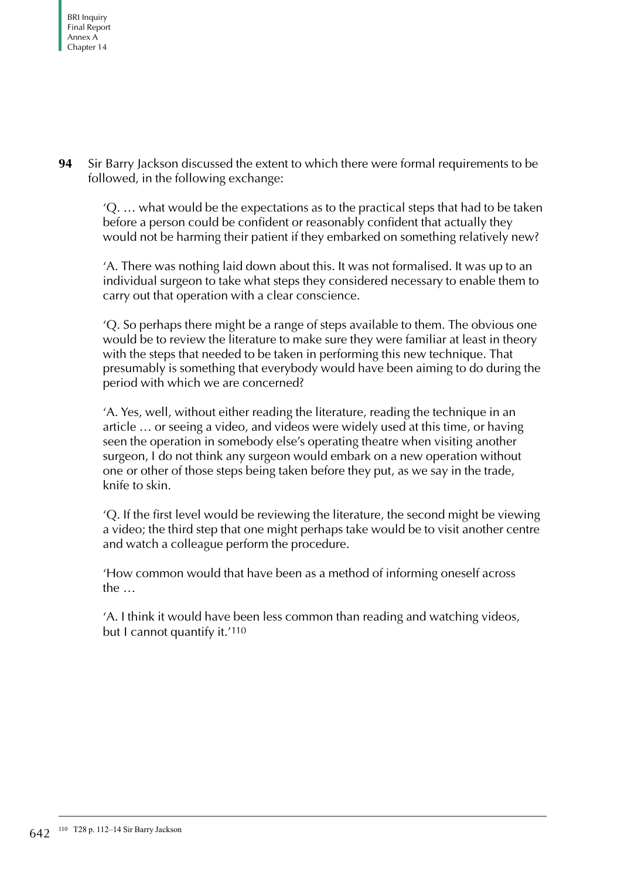**94** Sir Barry Jackson discussed the extent to which there were formal requirements to be followed, in the following exchange:

'Q. … what would be the expectations as to the practical steps that had to be taken before a person could be confident or reasonably confident that actually they would not be harming their patient if they embarked on something relatively new?

'A. There was nothing laid down about this. It was not formalised. It was up to an individual surgeon to take what steps they considered necessary to enable them to carry out that operation with a clear conscience.

'Q. So perhaps there might be a range of steps available to them. The obvious one would be to review the literature to make sure they were familiar at least in theory with the steps that needed to be taken in performing this new technique. That presumably is something that everybody would have been aiming to do during the period with which we are concerned?

'A. Yes, well, without either reading the literature, reading the technique in an article … or seeing a video, and videos were widely used at this time, or having seen the operation in somebody else's operating theatre when visiting another surgeon, I do not think any surgeon would embark on a new operation without one or other of those steps being taken before they put, as we say in the trade, knife to skin.

'Q. If the first level would be reviewing the literature, the second might be viewing a video; the third step that one might perhaps take would be to visit another centre and watch a colleague perform the procedure.

'How common would that have been as a method of informing oneself across the …

'A. I think it would have been less common than reading and watching videos, but I cannot quantify it.'110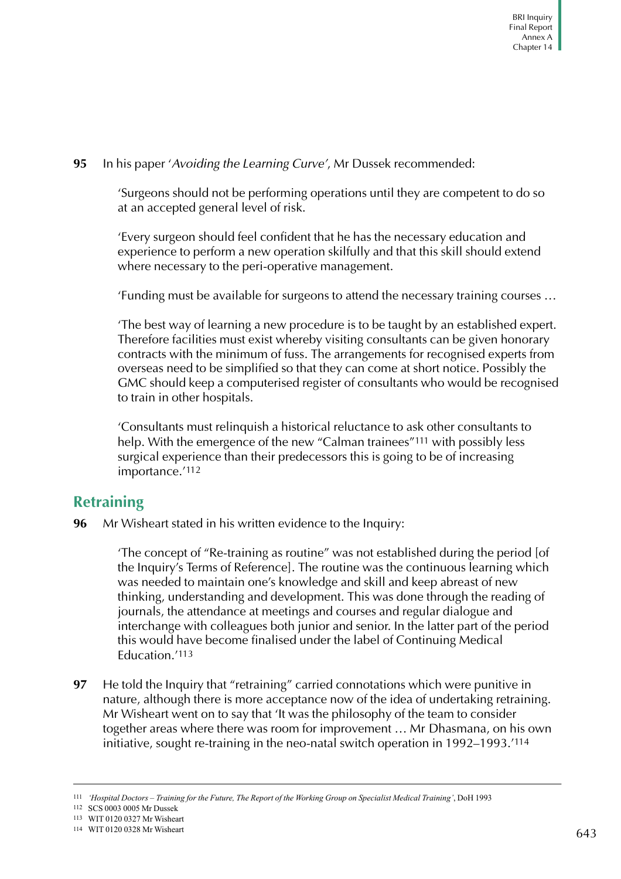#### **95** In his paper 'Avoiding the Learning Curve', Mr Dussek recommended:

'Surgeons should not be performing operations until they are competent to do so at an accepted general level of risk.

'Every surgeon should feel confident that he has the necessary education and experience to perform a new operation skilfully and that this skill should extend where necessary to the peri-operative management.

'Funding must be available for surgeons to attend the necessary training courses …

'The best way of learning a new procedure is to be taught by an established expert. Therefore facilities must exist whereby visiting consultants can be given honorary contracts with the minimum of fuss. The arrangements for recognised experts from overseas need to be simplified so that they can come at short notice. Possibly the GMC should keep a computerised register of consultants who would be recognised to train in other hospitals.

'Consultants must relinquish a historical reluctance to ask other consultants to help. With the emergence of the new "Calman trainees"111 with possibly less surgical experience than their predecessors this is going to be of increasing importance.'112

## **Retraining**

**96** Mr Wisheart stated in his written evidence to the Inquiry:

'The concept of "Re-training as routine" was not established during the period [of the Inquiry's Terms of Reference]. The routine was the continuous learning which was needed to maintain one's knowledge and skill and keep abreast of new thinking, understanding and development. This was done through the reading of journals, the attendance at meetings and courses and regular dialogue and interchange with colleagues both junior and senior. In the latter part of the period this would have become finalised under the label of Continuing Medical Education.'113

**97** He told the Inquiry that "retraining" carried connotations which were punitive in nature, although there is more acceptance now of the idea of undertaking retraining. Mr Wisheart went on to say that 'It was the philosophy of the team to consider together areas where there was room for improvement … Mr Dhasmana, on his own initiative, sought re-training in the neo-natal switch operation in 1992–1993.'114

<sup>111</sup> *'Hospital Doctors – Training for the Future, The Report of the Working Group on Specialist Medical Training'*, DoH 1993

<sup>112</sup> SCS 0003 0005 Mr Dussek

<sup>113</sup> WIT 0120 0327 Mr Wisheart

<sup>114</sup> WIT 0120 0328 Mr Wisheart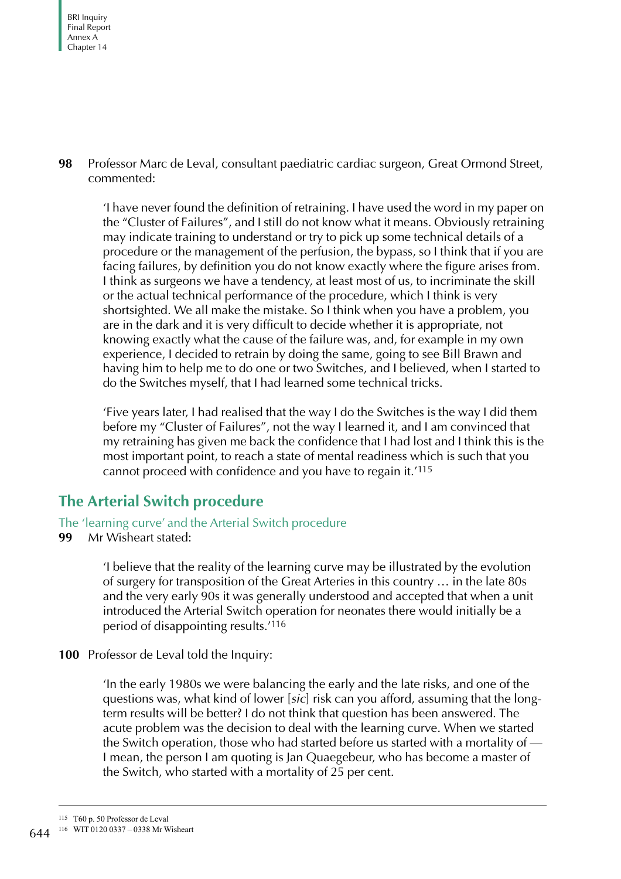**98** Professor Marc de Leval, consultant paediatric cardiac surgeon, Great Ormond Street, commented:

'I have never found the definition of retraining. I have used the word in my paper on the "Cluster of Failures", and I still do not know what it means. Obviously retraining may indicate training to understand or try to pick up some technical details of a procedure or the management of the perfusion, the bypass, so I think that if you are facing failures, by definition you do not know exactly where the figure arises from. I think as surgeons we have a tendency, at least most of us, to incriminate the skill or the actual technical performance of the procedure, which I think is very shortsighted. We all make the mistake. So I think when you have a problem, you are in the dark and it is very difficult to decide whether it is appropriate, not knowing exactly what the cause of the failure was, and, for example in my own experience, I decided to retrain by doing the same, going to see Bill Brawn and having him to help me to do one or two Switches, and I believed, when I started to do the Switches myself, that I had learned some technical tricks.

'Five years later, I had realised that the way I do the Switches is the way I did them before my "Cluster of Failures", not the way I learned it, and I am convinced that my retraining has given me back the confidence that I had lost and I think this is the most important point, to reach a state of mental readiness which is such that you cannot proceed with confidence and you have to regain it.'115

## **The Arterial Switch procedure**

- The 'learning curve' and the Arterial Switch procedure
- **99** Mr Wisheart stated:

'I believe that the reality of the learning curve may be illustrated by the evolution of surgery for transposition of the Great Arteries in this country … in the late 80s and the very early 90s it was generally understood and accepted that when a unit introduced the Arterial Switch operation for neonates there would initially be a period of disappointing results.'116

**100** Professor de Leval told the Inquiry:

'In the early 1980s we were balancing the early and the late risks, and one of the questions was, what kind of lower [sic] risk can you afford, assuming that the longterm results will be better? I do not think that question has been answered. The acute problem was the decision to deal with the learning curve. When we started the Switch operation, those who had started before us started with a mortality of — I mean, the person I am quoting is Jan Quaegebeur, who has become a master of the Switch, who started with a mortality of 25 per cent.

115 T60 p. 50 Professor de Leval 116 WIT 0120 0337 – 0338 Mr Wisheart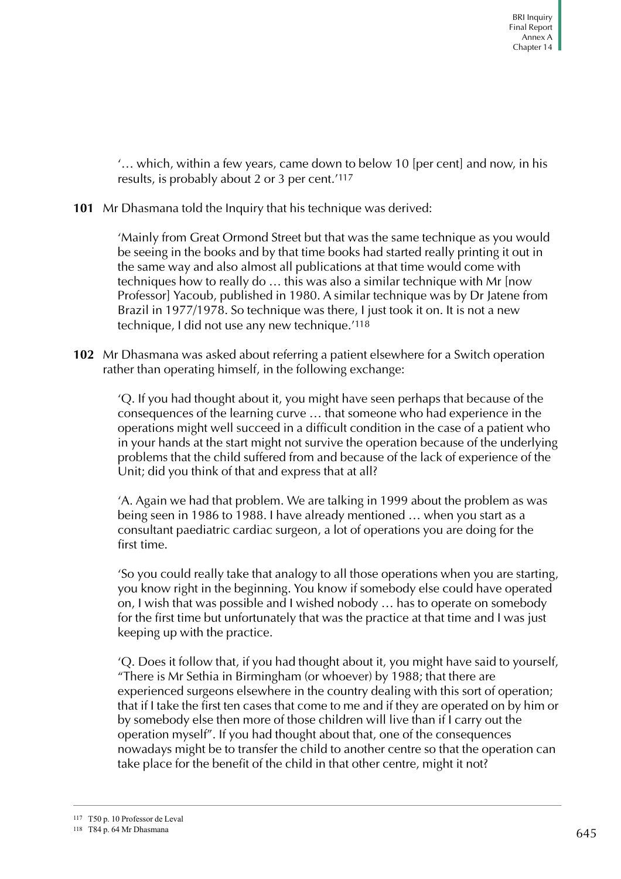'… which, within a few years, came down to below 10 [per cent] and now, in his results, is probably about 2 or 3 per cent.'117

#### **101** Mr Dhasmana told the Inquiry that his technique was derived:

'Mainly from Great Ormond Street but that was the same technique as you would be seeing in the books and by that time books had started really printing it out in the same way and also almost all publications at that time would come with techniques how to really do … this was also a similar technique with Mr [now Professor] Yacoub, published in 1980. A similar technique was by Dr Jatene from Brazil in 1977/1978. So technique was there, I just took it on. It is not a new technique, I did not use any new technique.'118

**102** Mr Dhasmana was asked about referring a patient elsewhere for a Switch operation rather than operating himself, in the following exchange:

'Q. If you had thought about it, you might have seen perhaps that because of the consequences of the learning curve … that someone who had experience in the operations might well succeed in a difficult condition in the case of a patient who in your hands at the start might not survive the operation because of the underlying problems that the child suffered from and because of the lack of experience of the Unit; did you think of that and express that at all?

'A. Again we had that problem. We are talking in 1999 about the problem as was being seen in 1986 to 1988. I have already mentioned … when you start as a consultant paediatric cardiac surgeon, a lot of operations you are doing for the first time.

'So you could really take that analogy to all those operations when you are starting, you know right in the beginning. You know if somebody else could have operated on, I wish that was possible and I wished nobody … has to operate on somebody for the first time but unfortunately that was the practice at that time and I was just keeping up with the practice.

'Q. Does it follow that, if you had thought about it, you might have said to yourself, "There is Mr Sethia in Birmingham (or whoever) by 1988; that there are experienced surgeons elsewhere in the country dealing with this sort of operation; that if I take the first ten cases that come to me and if they are operated on by him or by somebody else then more of those children will live than if I carry out the operation myself". If you had thought about that, one of the consequences nowadays might be to transfer the child to another centre so that the operation can take place for the benefit of the child in that other centre, might it not?

<sup>117</sup> T50 p. 10 Professor de Leval

<sup>118</sup> T84 p. 64 Mr Dhasmana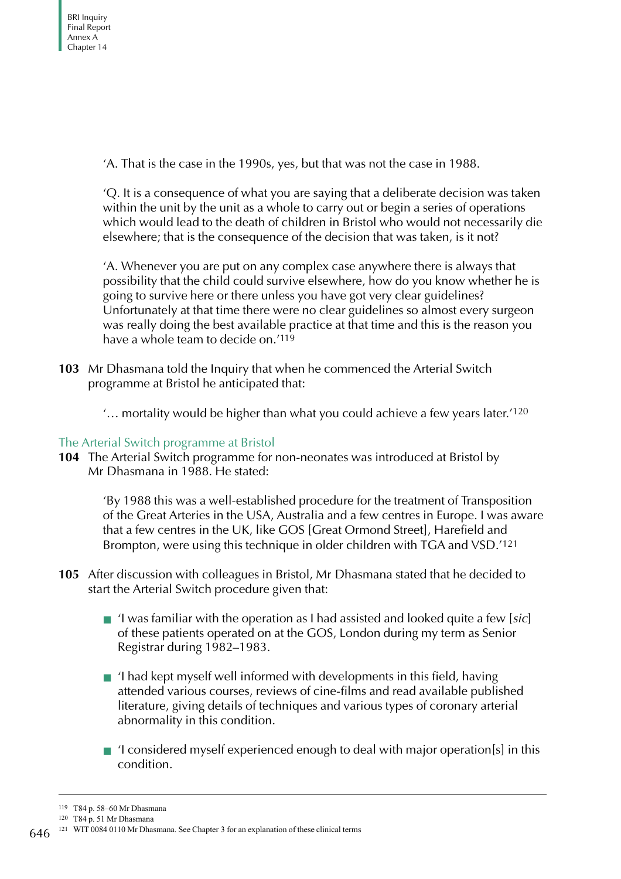'A. That is the case in the 1990s, yes, but that was not the case in 1988.

'Q. It is a consequence of what you are saying that a deliberate decision was taken within the unit by the unit as a whole to carry out or begin a series of operations which would lead to the death of children in Bristol who would not necessarily die elsewhere; that is the consequence of the decision that was taken, is it not?

'A. Whenever you are put on any complex case anywhere there is always that possibility that the child could survive elsewhere, how do you know whether he is going to survive here or there unless you have got very clear guidelines? Unfortunately at that time there were no clear guidelines so almost every surgeon was really doing the best available practice at that time and this is the reason you have a whole team to decide on.'119

**103** Mr Dhasmana told the Inquiry that when he commenced the Arterial Switch programme at Bristol he anticipated that:

'… mortality would be higher than what you could achieve a few years later.'120

#### The Arterial Switch programme at Bristol

**104** The Arterial Switch programme for non-neonates was introduced at Bristol by Mr Dhasmana in 1988. He stated:

'By 1988 this was a well-established procedure for the treatment of Transposition of the Great Arteries in the USA, Australia and a few centres in Europe. I was aware that a few centres in the UK, like GOS [Great Ormond Street], Harefield and Brompton, were using this technique in older children with TGA and VSD.'121

- **105** After discussion with colleagues in Bristol, Mr Dhasmana stated that he decided to start the Arterial Switch procedure given that:
	- $\blacksquare$  'I was familiar with the operation as I had assisted and looked quite a few [sic] of these patients operated on at the GOS, London during my term as Senior Registrar during 1982–1983.
	- 'I had kept myself well informed with developments in this field, having attended various courses, reviews of cine-films and read available published literature, giving details of techniques and various types of coronary arterial abnormality in this condition.
	- <sup>'</sup>I considered myself experienced enough to deal with major operation[s] in this condition.

<sup>119</sup> T84 p. 58–60 Mr Dhasmana

<sup>120</sup> T84 p. 51 Mr Dhasmana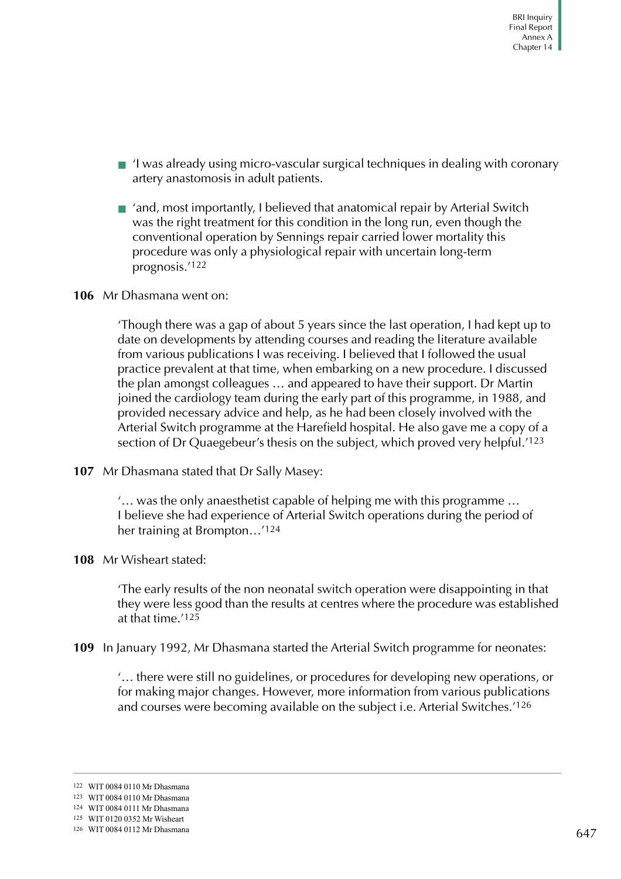- 1 was already using micro-vascular surgical techniques in dealing with coronary artery anastomosis in adult patients.
- 'and, most importantly, I believed that anatomical repair by Arterial Switch was the right treatment for this condition in the long run, even though the conventional operation by Sennings repair carried lower mortality this procedure was only a physiological repair with uncertain long-term prognosis.'122

#### **106** Mr Dhasmana went on:

'Though there was a gap of about 5 years since the last operation, I had kept up to date on developments by attending courses and reading the literature available from various publications I was receiving. I believed that I followed the usual practice prevalent at that time, when embarking on a new procedure. I discussed the plan amongst colleagues … and appeared to have their support. Dr Martin joined the cardiology team during the early part of this programme, in 1988, and provided necessary advice and help, as he had been closely involved with the Arterial Switch programme at the Harefield hospital. He also gave me a copy of a section of Dr Quaegebeur's thesis on the subject, which proved very helpful.'123

**107** Mr Dhasmana stated that Dr Sally Masey:

'… was the only anaesthetist capable of helping me with this programme … I believe she had experience of Arterial Switch operations during the period of her training at Brompton…'124

#### **108** Mr Wisheart stated:

'The early results of the non neonatal switch operation were disappointing in that they were less good than the results at centres where the procedure was established at that time.'125

**109** In January 1992, Mr Dhasmana started the Arterial Switch programme for neonates:

'… there were still no guidelines, or procedures for developing new operations, or for making major changes. However, more information from various publications and courses were becoming available on the subject i.e. Arterial Switches.'126

<sup>122</sup> WIT 0084 0110 Mr Dhasmana

<sup>123</sup> WIT 0084 0110 Mr Dhasmana

<sup>124</sup> WIT 0084 0111 Mr Dhasmana

<sup>125</sup> WIT 0120 0352 Mr Wisheart

<sup>126</sup> WIT 0084 0112 Mr Dhasmana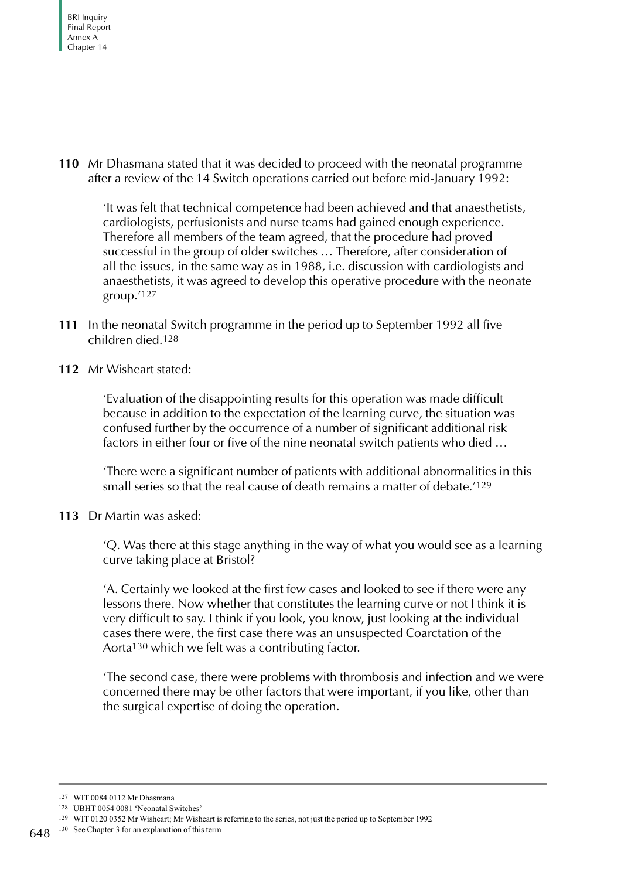**110** Mr Dhasmana stated that it was decided to proceed with the neonatal programme after a review of the 14 Switch operations carried out before mid-January 1992:

'It was felt that technical competence had been achieved and that anaesthetists, cardiologists, perfusionists and nurse teams had gained enough experience. Therefore all members of the team agreed, that the procedure had proved successful in the group of older switches … Therefore, after consideration of all the issues, in the same way as in 1988, i.e. discussion with cardiologists and anaesthetists, it was agreed to develop this operative procedure with the neonate group.'127

- **111** In the neonatal Switch programme in the period up to September 1992 all five children died.128
- **112** Mr Wisheart stated:

'Evaluation of the disappointing results for this operation was made difficult because in addition to the expectation of the learning curve, the situation was confused further by the occurrence of a number of significant additional risk factors in either four or five of the nine neonatal switch patients who died …

'There were a significant number of patients with additional abnormalities in this small series so that the real cause of death remains a matter of debate.'129

**113** Dr Martin was asked:

'Q. Was there at this stage anything in the way of what you would see as a learning curve taking place at Bristol?

'A. Certainly we looked at the first few cases and looked to see if there were any lessons there. Now whether that constitutes the learning curve or not I think it is very difficult to say. I think if you look, you know, just looking at the individual cases there were, the first case there was an unsuspected Coarctation of the Aorta130 which we felt was a contributing factor.

'The second case, there were problems with thrombosis and infection and we were concerned there may be other factors that were important, if you like, other than the surgical expertise of doing the operation.

<sup>127</sup> WIT 0084 0112 Mr Dhasmana

<sup>128</sup> UBHT 0054 0081 'Neonatal Switches'

<sup>129</sup> WIT 0120 0352 Mr Wisheart; Mr Wisheart is referring to the series, not just the period up to September 1992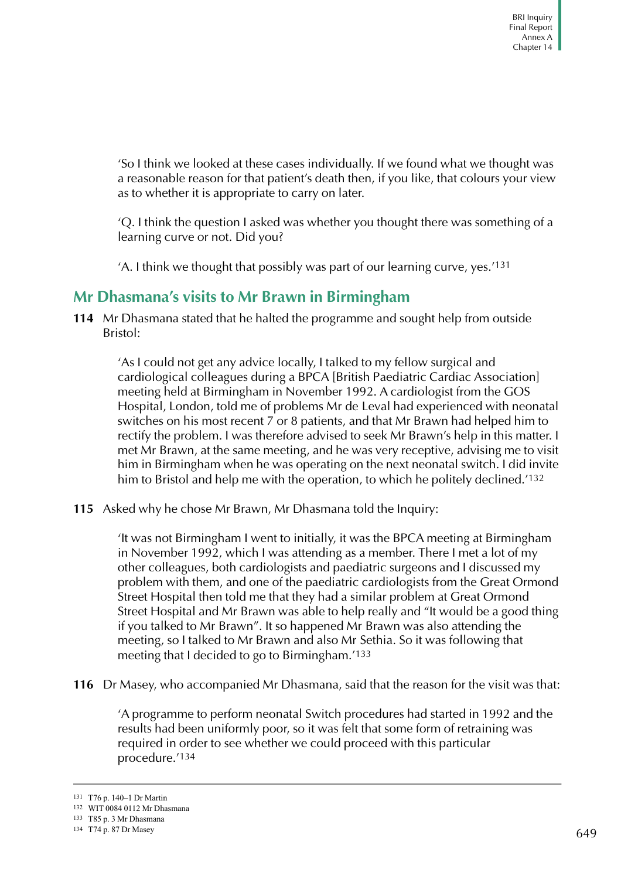'So I think we looked at these cases individually. If we found what we thought was a reasonable reason for that patient's death then, if you like, that colours your view as to whether it is appropriate to carry on later.

'Q. I think the question I asked was whether you thought there was something of a learning curve or not. Did you?

'A. I think we thought that possibly was part of our learning curve, yes.'131

### **Mr Dhasmana's visits to Mr Brawn in Birmingham**

**114** Mr Dhasmana stated that he halted the programme and sought help from outside Bristol:

'As I could not get any advice locally, I talked to my fellow surgical and cardiological colleagues during a BPCA [British Paediatric Cardiac Association] meeting held at Birmingham in November 1992. A cardiologist from the GOS Hospital, London, told me of problems Mr de Leval had experienced with neonatal switches on his most recent 7 or 8 patients, and that Mr Brawn had helped him to rectify the problem. I was therefore advised to seek Mr Brawn's help in this matter. I met Mr Brawn, at the same meeting, and he was very receptive, advising me to visit him in Birmingham when he was operating on the next neonatal switch. I did invite him to Bristol and help me with the operation, to which he politely declined.'132

**115** Asked why he chose Mr Brawn, Mr Dhasmana told the Inquiry:

'It was not Birmingham I went to initially, it was the BPCA meeting at Birmingham in November 1992, which I was attending as a member. There I met a lot of my other colleagues, both cardiologists and paediatric surgeons and I discussed my problem with them, and one of the paediatric cardiologists from the Great Ormond Street Hospital then told me that they had a similar problem at Great Ormond Street Hospital and Mr Brawn was able to help really and "It would be a good thing if you talked to Mr Brawn". It so happened Mr Brawn was also attending the meeting, so I talked to Mr Brawn and also Mr Sethia. So it was following that meeting that I decided to go to Birmingham.'133

**116** Dr Masey, who accompanied Mr Dhasmana, said that the reason for the visit was that:

'A programme to perform neonatal Switch procedures had started in 1992 and the results had been uniformly poor, so it was felt that some form of retraining was required in order to see whether we could proceed with this particular procedure.'134

<sup>131</sup> T76 p. 140–1 Dr Martin

<sup>132</sup> WIT 0084 0112 Mr Dhasmana

<sup>133</sup> T85 p. 3 Mr Dhasmana

<sup>134</sup> T74 p. 87 Dr Masey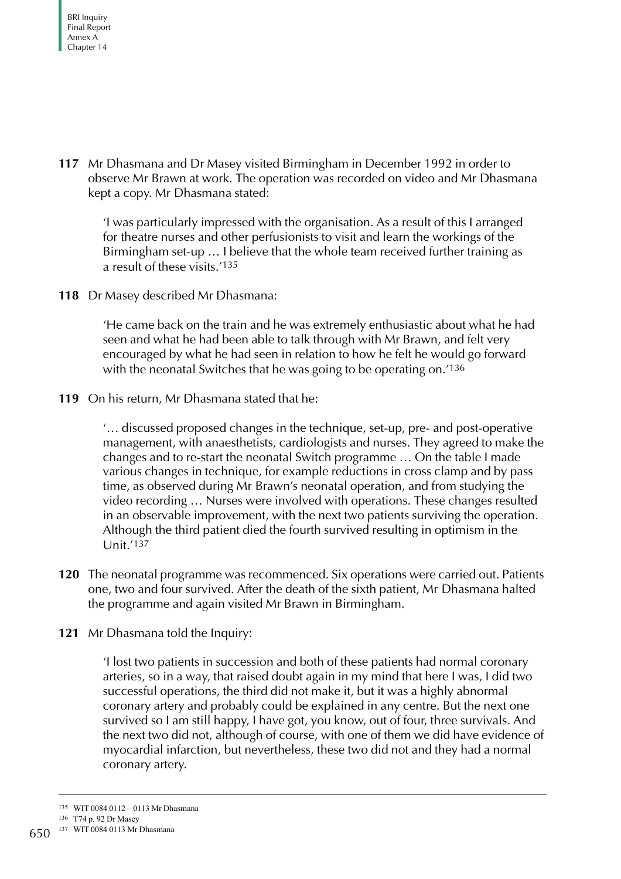**117** Mr Dhasmana and Dr Masey visited Birmingham in December 1992 in order to observe Mr Brawn at work. The operation was recorded on video and Mr Dhasmana kept a copy. Mr Dhasmana stated:

'I was particularly impressed with the organisation. As a result of this I arranged for theatre nurses and other perfusionists to visit and learn the workings of the Birmingham set-up … I believe that the whole team received further training as a result of these visits.'135

**118** Dr Masey described Mr Dhasmana:

'He came back on the train and he was extremely enthusiastic about what he had seen and what he had been able to talk through with Mr Brawn, and felt very encouraged by what he had seen in relation to how he felt he would go forward with the neonatal Switches that he was going to be operating on.<sup>'136</sup>

**119** On his return, Mr Dhasmana stated that he:

'… discussed proposed changes in the technique, set-up, pre- and post-operative management, with anaesthetists, cardiologists and nurses. They agreed to make the changes and to re-start the neonatal Switch programme … On the table I made various changes in technique, for example reductions in cross clamp and by pass time, as observed during Mr Brawn's neonatal operation, and from studying the video recording … Nurses were involved with operations. These changes resulted in an observable improvement, with the next two patients surviving the operation. Although the third patient died the fourth survived resulting in optimism in the Unit.'137

- **120** The neonatal programme was recommenced. Six operations were carried out. Patients one, two and four survived. After the death of the sixth patient, Mr Dhasmana halted the programme and again visited Mr Brawn in Birmingham.
- **121** Mr Dhasmana told the Inquiry:

'I lost two patients in succession and both of these patients had normal coronary arteries, so in a way, that raised doubt again in my mind that here I was, I did two successful operations, the third did not make it, but it was a highly abnormal coronary artery and probably could be explained in any centre. But the next one survived so I am still happy, I have got, you know, out of four, three survivals. And the next two did not, although of course, with one of them we did have evidence of myocardial infarction, but nevertheless, these two did not and they had a normal coronary artery.

<sup>135</sup> WIT 0084 0112 – 0113 Mr Dhasmana

<sup>136</sup> T74 p. 92 Dr Masey

<sup>137</sup> WIT 0084 0113 Mr Dhasmana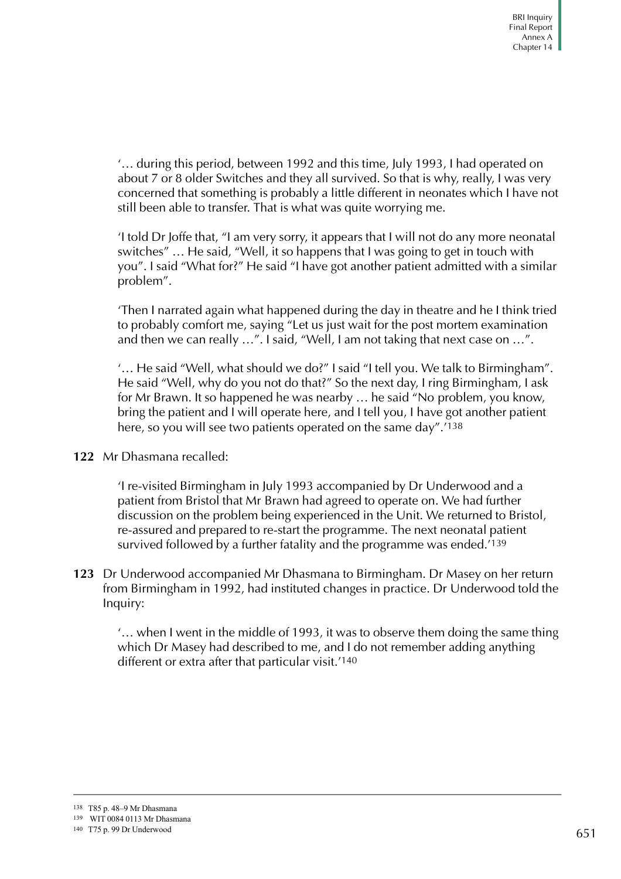'… during this period, between 1992 and this time, July 1993, I had operated on about 7 or 8 older Switches and they all survived. So that is why, really, I was very concerned that something is probably a little different in neonates which I have not still been able to transfer. That is what was quite worrying me.

'I told Dr Joffe that, "I am very sorry, it appears that I will not do any more neonatal switches" … He said, "Well, it so happens that I was going to get in touch with you". I said "What for?" He said "I have got another patient admitted with a similar problem".

'Then I narrated again what happened during the day in theatre and he I think tried to probably comfort me, saying "Let us just wait for the post mortem examination and then we can really …". I said, "Well, I am not taking that next case on …".

'… He said "Well, what should we do?" I said "I tell you. We talk to Birmingham". He said "Well, why do you not do that?" So the next day, I ring Birmingham, I ask for Mr Brawn. It so happened he was nearby … he said "No problem, you know, bring the patient and I will operate here, and I tell you, I have got another patient here, so you will see two patients operated on the same day".'138

**122** Mr Dhasmana recalled:

'I re-visited Birmingham in July 1993 accompanied by Dr Underwood and a patient from Bristol that Mr Brawn had agreed to operate on. We had further discussion on the problem being experienced in the Unit. We returned to Bristol, re-assured and prepared to re-start the programme. The next neonatal patient survived followed by a further fatality and the programme was ended.'139

**123** Dr Underwood accompanied Mr Dhasmana to Birmingham. Dr Masey on her return from Birmingham in 1992, had instituted changes in practice. Dr Underwood told the Inquiry:

'… when I went in the middle of 1993, it was to observe them doing the same thing which Dr Masey had described to me, and I do not remember adding anything different or extra after that particular visit.'140

<sup>138</sup> T85 p. 48–9 Mr Dhasmana

<sup>139</sup> WIT 0084 0113 Mr Dhasmana

<sup>140</sup> T75 p. 99 Dr Underwood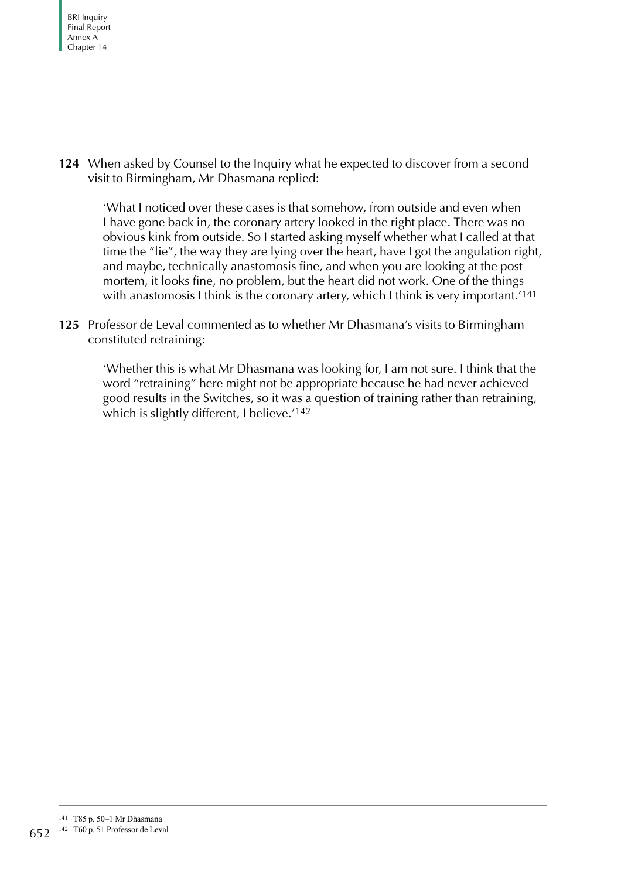

**124** When asked by Counsel to the Inquiry what he expected to discover from a second visit to Birmingham, Mr Dhasmana replied:

'What I noticed over these cases is that somehow, from outside and even when I have gone back in, the coronary artery looked in the right place. There was no obvious kink from outside. So I started asking myself whether what I called at that time the "lie", the way they are lying over the heart, have I got the angulation right, and maybe, technically anastomosis fine, and when you are looking at the post mortem, it looks fine, no problem, but the heart did not work. One of the things with anastomosis I think is the coronary artery, which I think is very important.<sup>'141</sup>

**125** Professor de Leval commented as to whether Mr Dhasmana's visits to Birmingham constituted retraining:

'Whether this is what Mr Dhasmana was looking for, I am not sure. I think that the word "retraining" here might not be appropriate because he had never achieved good results in the Switches, so it was a question of training rather than retraining, which is slightly different, I believe.<sup>'142</sup>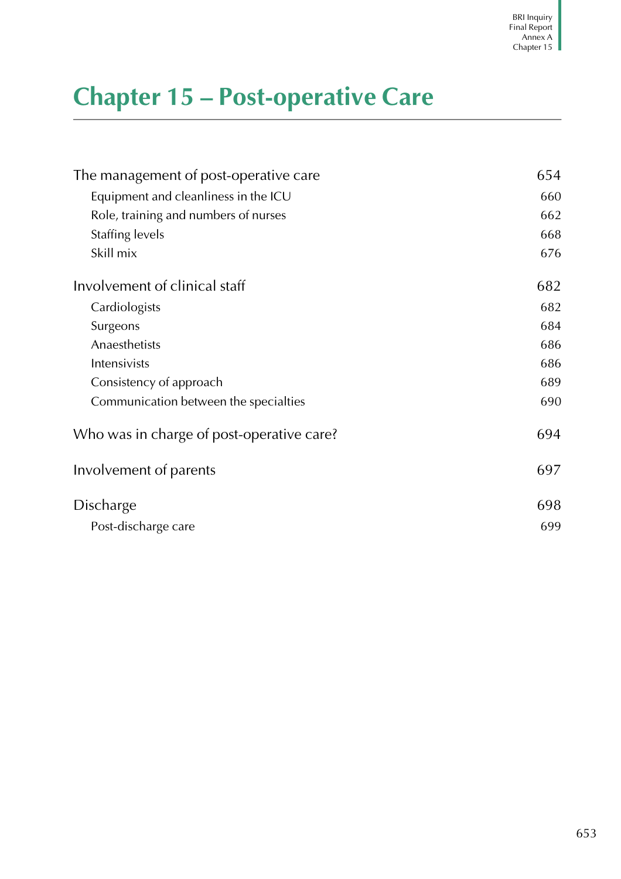# <span id="page-64-0"></span>**Chapter 15 – Post-operative Care**

| The management of post-operative care     | 654 |
|-------------------------------------------|-----|
| Equipment and cleanliness in the ICU      | 660 |
| Role, training and numbers of nurses      | 662 |
| <b>Staffing levels</b>                    | 668 |
| Skill mix                                 | 676 |
| Involvement of clinical staff             | 682 |
| Cardiologists                             | 682 |
| Surgeons                                  | 684 |
| Anaesthetists                             | 686 |
| Intensivists                              | 686 |
| Consistency of approach                   | 689 |
| Communication between the specialties     | 690 |
| Who was in charge of post-operative care? | 694 |
| Involvement of parents                    | 697 |
| Discharge                                 | 698 |
| Post-discharge care                       | 699 |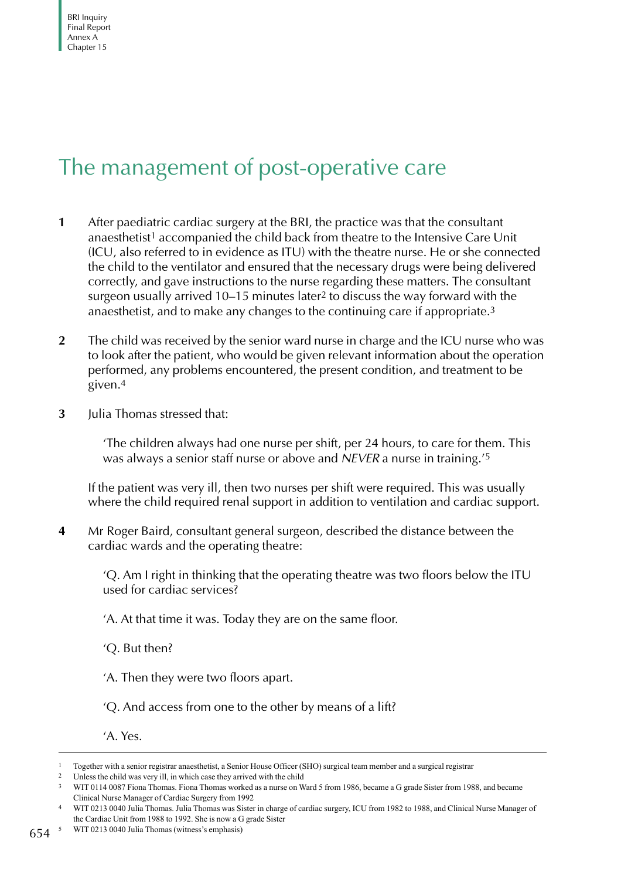## <span id="page-65-0"></span>The management of post-operative care

- **1** After paediatric cardiac surgery at the BRI, the practice was that the consultant anaesthetist<sup>1</sup> accompanied the child back from theatre to the Intensive Care Unit (ICU, also referred to in evidence as ITU) with the theatre nurse. He or she connected the child to the ventilator and ensured that the necessary drugs were being delivered correctly, and gave instructions to the nurse regarding these matters. The consultant surgeon usually arrived 10–15 minutes later2 to discuss the way forward with the anaesthetist, and to make any changes to the continuing care if appropriate.3
- **2** The child was received by the senior ward nurse in charge and the ICU nurse who was to look after the patient, who would be given relevant information about the operation performed, any problems encountered, the present condition, and treatment to be given.4
- **3** Julia Thomas stressed that:

'The children always had one nurse per shift, per 24 hours, to care for them. This was always a senior staff nurse or above and NEVER a nurse in training.'5

If the patient was very ill, then two nurses per shift were required. This was usually where the child required renal support in addition to ventilation and cardiac support.

**4** Mr Roger Baird, consultant general surgeon, described the distance between the cardiac wards and the operating theatre:

'Q. Am I right in thinking that the operating theatre was two floors below the ITU used for cardiac services?

'A. At that time it was. Today they are on the same floor.

'Q. But then?

'A. Then they were two floors apart.

'Q. And access from one to the other by means of a lift?

'A. Yes.

<sup>1</sup> Together with a senior registrar anaesthetist, a Senior House Officer (SHO) surgical team member and a surgical registrar

<sup>2</sup> Unless the child was very ill, in which case they arrived with the child

<sup>3</sup> WIT 0114 0087 Fiona Thomas. Fiona Thomas worked as a nurse on Ward 5 from 1986, became a G grade Sister from 1988, and became Clinical Nurse Manager of Cardiac Surgery from 1992

WIT 0213 0040 Julia Thomas. Julia Thomas was Sister in charge of cardiac surgery, ICU from 1982 to 1988, and Clinical Nurse Manager of the Cardiac Unit from 1988 to 1992. She is now a G grade Sister

 $654$ <sup>5</sup> 5 WIT 0213 0040 Julia Thomas (witness's emphasis)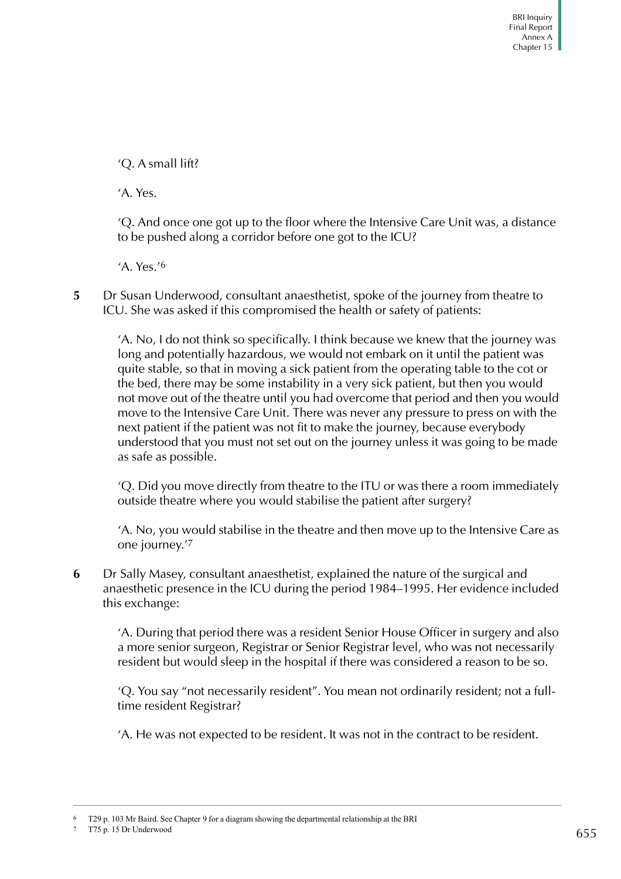'Q. A small lift?

'A. Yes.

'Q. And once one got up to the floor where the Intensive Care Unit was, a distance to be pushed along a corridor before one got to the ICU?

'A. Yes.'6

**5** Dr Susan Underwood, consultant anaesthetist, spoke of the journey from theatre to ICU. She was asked if this compromised the health or safety of patients:

'A. No, I do not think so specifically. I think because we knew that the journey was long and potentially hazardous, we would not embark on it until the patient was quite stable, so that in moving a sick patient from the operating table to the cot or the bed, there may be some instability in a very sick patient, but then you would not move out of the theatre until you had overcome that period and then you would move to the Intensive Care Unit. There was never any pressure to press on with the next patient if the patient was not fit to make the journey, because everybody understood that you must not set out on the journey unless it was going to be made as safe as possible.

'Q. Did you move directly from theatre to the ITU or was there a room immediately outside theatre where you would stabilise the patient after surgery?

'A. No, you would stabilise in the theatre and then move up to the Intensive Care as one journey.'7

**6** Dr Sally Masey, consultant anaesthetist, explained the nature of the surgical and anaesthetic presence in the ICU during the period 1984–1995. Her evidence included this exchange:

'A. During that period there was a resident Senior House Officer in surgery and also a more senior surgeon, Registrar or Senior Registrar level, who was not necessarily resident but would sleep in the hospital if there was considered a reason to be so.

'Q. You say "not necessarily resident". You mean not ordinarily resident; not a fulltime resident Registrar?

'A. He was not expected to be resident. It was not in the contract to be resident.

<sup>6</sup> T29 p. 103 Mr Baird. See Chapter 9 for a diagram showing the departmental relationship at the BRI

<sup>7</sup> T75 p. 15 Dr Underwood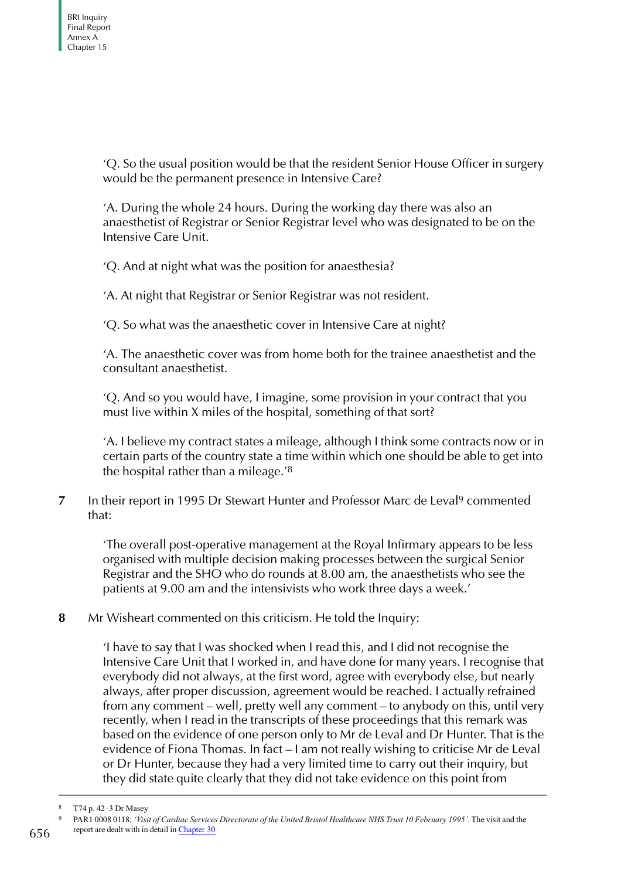'Q. So the usual position would be that the resident Senior House Officer in surgery would be the permanent presence in Intensive Care?

'A. During the whole 24 hours. During the working day there was also an anaesthetist of Registrar or Senior Registrar level who was designated to be on the Intensive Care Unit.

'Q. And at night what was the position for anaesthesia?

'A. At night that Registrar or Senior Registrar was not resident.

'Q. So what was the anaesthetic cover in Intensive Care at night?

'A. The anaesthetic cover was from home both for the trainee anaesthetist and the consultant anaesthetist.

'Q. And so you would have, I imagine, some provision in your contract that you must live within X miles of the hospital, something of that sort?

'A. I believe my contract states a mileage, although I think some contracts now or in certain parts of the country state a time within which one should be able to get into the hospital rather than a mileage.'8

**7** In their report in 1995 Dr Stewart Hunter and Professor Marc de Leval9 commented that:

'The overall post-operative management at the Royal Infirmary appears to be less organised with multiple decision making processes between the surgical Senior Registrar and the SHO who do rounds at 8.00 am, the anaesthetists who see the patients at 9.00 am and the intensivists who work three days a week.'

#### **8** Mr Wisheart commented on this criticism. He told the Inquiry:

'I have to say that I was shocked when I read this, and I did not recognise the Intensive Care Unit that I worked in, and have done for many years. I recognise that everybody did not always, at the first word, agree with everybody else, but nearly always, after proper discussion, agreement would be reached. I actually refrained from any comment – well, pretty well any comment – to anybody on this, until very recently, when I read in the transcripts of these proceedings that this remark was based on the evidence of one person only to Mr de Leval and Dr Hunter. That is the evidence of Fiona Thomas. In fact – I am not really wishing to criticise Mr de Leval or Dr Hunter, because they had a very limited time to carry out their inquiry, but they did state quite clearly that they did not take evidence on this point from

<sup>8</sup> T74 p. 42–3 Dr Masey

<sup>9</sup> PAR1 0008 0118; *'Visit of Cardiac Services Directorate of the United Bristol Healthcare NHS Trust 10 February 1995'*. The visit and the report are dealt with in detail in Chapter 30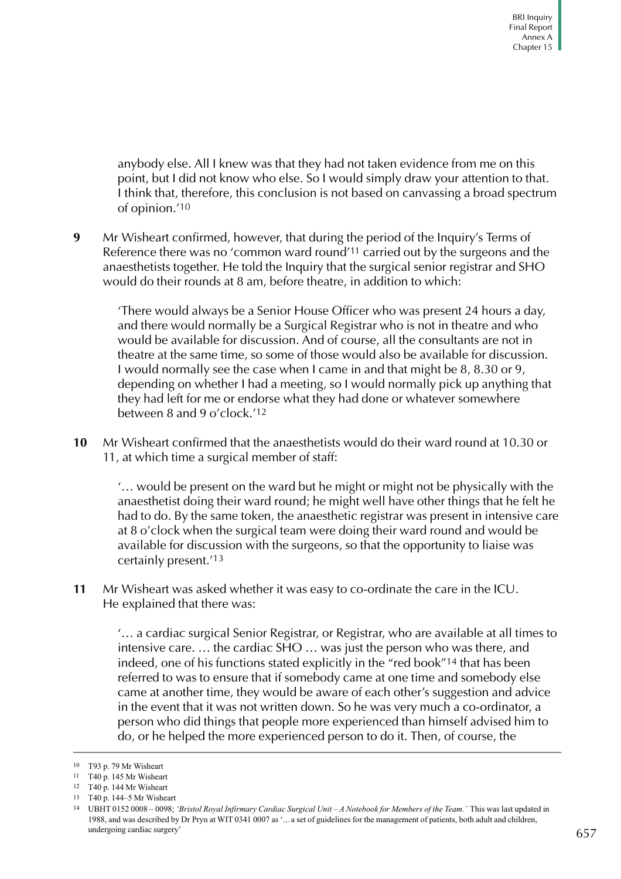anybody else. All I knew was that they had not taken evidence from me on this point, but I did not know who else. So I would simply draw your attention to that. I think that, therefore, this conclusion is not based on canvassing a broad spectrum of opinion.'10

**9** Mr Wisheart confirmed, however, that during the period of the Inquiry's Terms of Reference there was no 'common ward round'11 carried out by the surgeons and the anaesthetists together. He told the Inquiry that the surgical senior registrar and SHO would do their rounds at 8 am, before theatre, in addition to which:

'There would always be a Senior House Officer who was present 24 hours a day, and there would normally be a Surgical Registrar who is not in theatre and who would be available for discussion. And of course, all the consultants are not in theatre at the same time, so some of those would also be available for discussion. I would normally see the case when I came in and that might be 8, 8.30 or 9, depending on whether I had a meeting, so I would normally pick up anything that they had left for me or endorse what they had done or whatever somewhere between 8 and 9 o'clock.'12

**10** Mr Wisheart confirmed that the anaesthetists would do their ward round at 10.30 or 11, at which time a surgical member of staff:

'… would be present on the ward but he might or might not be physically with the anaesthetist doing their ward round; he might well have other things that he felt he had to do. By the same token, the anaesthetic registrar was present in intensive care at 8 o'clock when the surgical team were doing their ward round and would be available for discussion with the surgeons, so that the opportunity to liaise was certainly present.'13

**11** Mr Wisheart was asked whether it was easy to co-ordinate the care in the ICU. He explained that there was:

'… a cardiac surgical Senior Registrar, or Registrar, who are available at all times to intensive care. … the cardiac SHO … was just the person who was there, and indeed, one of his functions stated explicitly in the "red book"14 that has been referred to was to ensure that if somebody came at one time and somebody else came at another time, they would be aware of each other's suggestion and advice in the event that it was not written down. So he was very much a co-ordinator, a person who did things that people more experienced than himself advised him to do, or he helped the more experienced person to do it. Then, of course, the

<sup>10</sup> T93 p. 79 Mr Wisheart

<sup>11</sup> T40 p. 145 Mr Wisheart

<sup>12</sup> T40 p. 144 Mr Wisheart

<sup>13</sup> T40 p. 144–5 Mr Wisheart

<sup>14</sup> UBHT 0152 0008 – 0098; *'Bristol Royal Infirmary Cardiac Surgical Unit – A Notebook for Members of the Team.'* This was last updated in 1988, and was described by Dr Pryn at WIT 0341 0007 as '... a set of guidelines for the management of patients, both adult and children, undergoing cardiac surgery'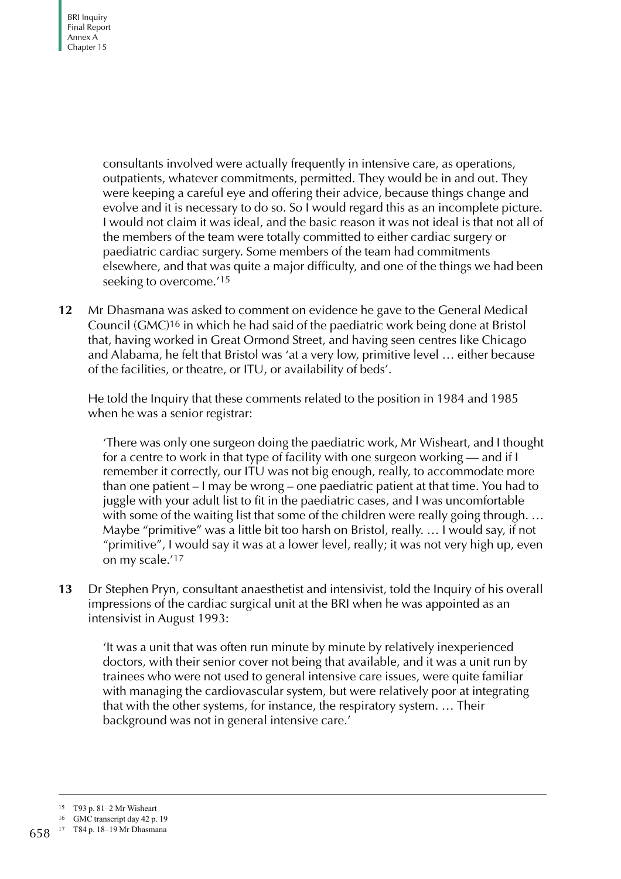consultants involved were actually frequently in intensive care, as operations, outpatients, whatever commitments, permitted. They would be in and out. They were keeping a careful eye and offering their advice, because things change and evolve and it is necessary to do so. So I would regard this as an incomplete picture. I would not claim it was ideal, and the basic reason it was not ideal is that not all of the members of the team were totally committed to either cardiac surgery or paediatric cardiac surgery. Some members of the team had commitments elsewhere, and that was quite a major difficulty, and one of the things we had been seeking to overcome.'15

**12** Mr Dhasmana was asked to comment on evidence he gave to the General Medical Council (GMC)16 in which he had said of the paediatric work being done at Bristol that, having worked in Great Ormond Street, and having seen centres like Chicago and Alabama, he felt that Bristol was 'at a very low, primitive level … either because of the facilities, or theatre, or ITU, or availability of beds'.

He told the Inquiry that these comments related to the position in 1984 and 1985 when he was a senior registrar:

'There was only one surgeon doing the paediatric work, Mr Wisheart, and I thought for a centre to work in that type of facility with one surgeon working — and if I remember it correctly, our ITU was not big enough, really, to accommodate more than one patient – I may be wrong – one paediatric patient at that time. You had to juggle with your adult list to fit in the paediatric cases, and I was uncomfortable with some of the waiting list that some of the children were really going through. ... Maybe "primitive" was a little bit too harsh on Bristol, really. … I would say, if not "primitive", I would say it was at a lower level, really; it was not very high up, even on my scale.'17

**13** Dr Stephen Pryn, consultant anaesthetist and intensivist, told the Inquiry of his overall impressions of the cardiac surgical unit at the BRI when he was appointed as an intensivist in August 1993:

'It was a unit that was often run minute by minute by relatively inexperienced doctors, with their senior cover not being that available, and it was a unit run by trainees who were not used to general intensive care issues, were quite familiar with managing the cardiovascular system, but were relatively poor at integrating that with the other systems, for instance, the respiratory system. … Their background was not in general intensive care.'

<sup>15</sup> T93 p. 81–2 Mr Wisheart

<sup>16</sup> GMC transcript day 42 p. 19 17 T84 p. 18–19 Mr Dhasmana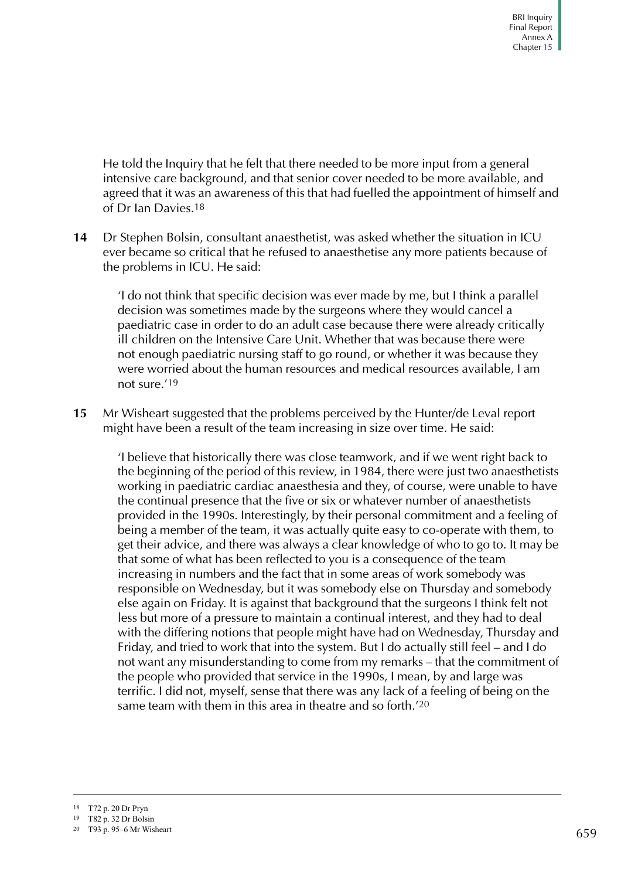He told the Inquiry that he felt that there needed to be more input from a general intensive care background, and that senior cover needed to be more available, and agreed that it was an awareness of this that had fuelled the appointment of himself and of Dr Ian Davies.18

**14** Dr Stephen Bolsin, consultant anaesthetist, was asked whether the situation in ICU ever became so critical that he refused to anaesthetise any more patients because of the problems in ICU. He said:

'I do not think that specific decision was ever made by me, but I think a parallel decision was sometimes made by the surgeons where they would cancel a paediatric case in order to do an adult case because there were already critically ill children on the Intensive Care Unit. Whether that was because there were not enough paediatric nursing staff to go round, or whether it was because they were worried about the human resources and medical resources available, I am not sure.'19

**15** Mr Wisheart suggested that the problems perceived by the Hunter/de Leval report might have been a result of the team increasing in size over time. He said:

'I believe that historically there was close teamwork, and if we went right back to the beginning of the period of this review, in 1984, there were just two anaesthetists working in paediatric cardiac anaesthesia and they, of course, were unable to have the continual presence that the five or six or whatever number of anaesthetists provided in the 1990s. Interestingly, by their personal commitment and a feeling of being a member of the team, it was actually quite easy to co-operate with them, to get their advice, and there was always a clear knowledge of who to go to. It may be that some of what has been reflected to you is a consequence of the team increasing in numbers and the fact that in some areas of work somebody was responsible on Wednesday, but it was somebody else on Thursday and somebody else again on Friday. It is against that background that the surgeons I think felt not less but more of a pressure to maintain a continual interest, and they had to deal with the differing notions that people might have had on Wednesday, Thursday and Friday, and tried to work that into the system. But I do actually still feel – and I do not want any misunderstanding to come from my remarks – that the commitment of the people who provided that service in the 1990s, I mean, by and large was terrific. I did not, myself, sense that there was any lack of a feeling of being on the same team with them in this area in theatre and so forth.'20

<sup>18</sup> T72 p. 20 Dr Pryn

<sup>19</sup> T82 p. 32 Dr Bolsin

<sup>20</sup> T93 p. 95–6 Mr Wisheart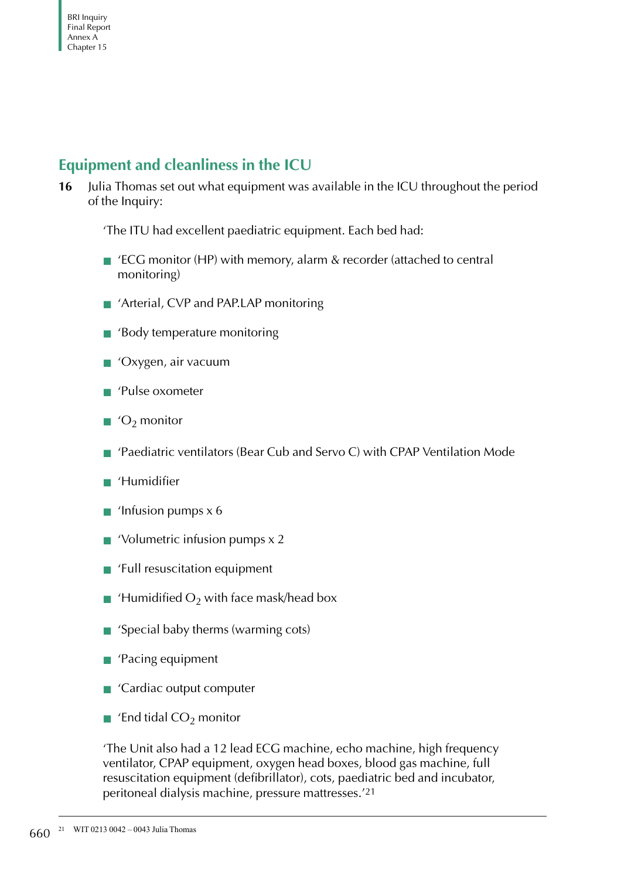## <span id="page-71-0"></span>**Equipment and cleanliness in the ICU**

**16** Julia Thomas set out what equipment was available in the ICU throughout the period of the Inquiry:

'The ITU had excellent paediatric equipment. Each bed had:

- 'ECG monitor (HP) with memory, alarm & recorder (attached to central monitoring)
- 'Arterial, CVP and PAP.LAP monitoring
- Body temperature monitoring
- 'Oxygen, air vacuum
- 'Pulse oxometer
- $\Box$  'O<sub>2</sub> monitor
- Paediatric ventilators (Bear Cub and Servo C) with CPAP Ventilation Mode
- 'Humidifier
- $\blacksquare$  'Infusion pumps  $\times$  6
- 'Volumetric infusion pumps x 2
- 'Full resuscitation equipment
- **■** 'Humidified  $O_2$  with face mask/head box
- 'Special baby therms (warming cots)
- *'Pacing equipment*
- 'Cardiac output computer
- **■** 'End tidal  $CO<sub>2</sub>$  monitor

'The Unit also had a 12 lead ECG machine, echo machine, high frequency ventilator, CPAP equipment, oxygen head boxes, blood gas machine, full resuscitation equipment (defibrillator), cots, paediatric bed and incubator, peritoneal dialysis machine, pressure mattresses.'21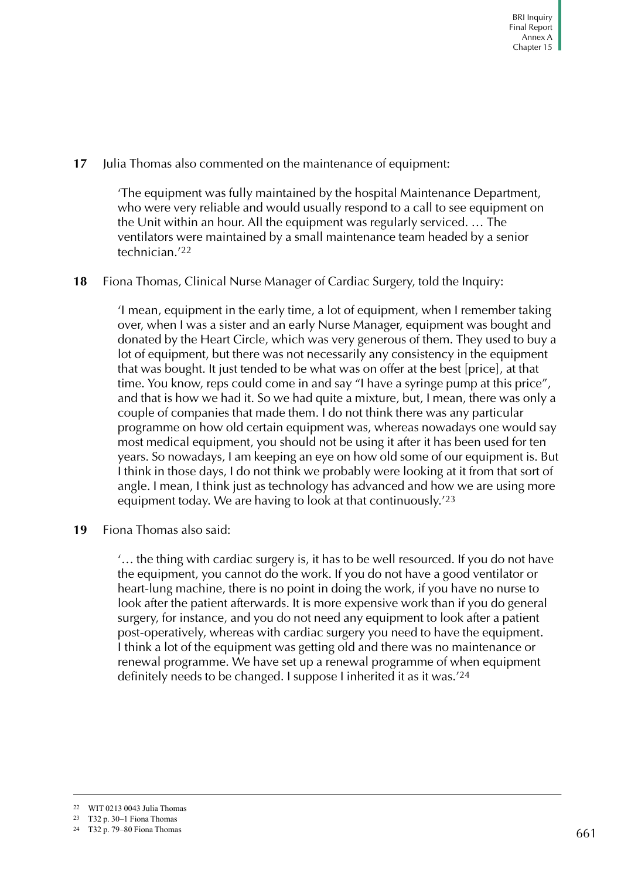**17** Julia Thomas also commented on the maintenance of equipment:

'The equipment was fully maintained by the hospital Maintenance Department, who were very reliable and would usually respond to a call to see equipment on the Unit within an hour. All the equipment was regularly serviced. … The ventilators were maintained by a small maintenance team headed by a senior technician.'22

**18** Fiona Thomas, Clinical Nurse Manager of Cardiac Surgery, told the Inquiry:

'I mean, equipment in the early time, a lot of equipment, when I remember taking over, when I was a sister and an early Nurse Manager, equipment was bought and donated by the Heart Circle, which was very generous of them. They used to buy a lot of equipment, but there was not necessarily any consistency in the equipment that was bought. It just tended to be what was on offer at the best [price], at that time. You know, reps could come in and say "I have a syringe pump at this price", and that is how we had it. So we had quite a mixture, but, I mean, there was only a couple of companies that made them. I do not think there was any particular programme on how old certain equipment was, whereas nowadays one would say most medical equipment, you should not be using it after it has been used for ten years. So nowadays, I am keeping an eye on how old some of our equipment is. But I think in those days, I do not think we probably were looking at it from that sort of angle. I mean, I think just as technology has advanced and how we are using more equipment today. We are having to look at that continuously.'23

**19** Fiona Thomas also said:

'… the thing with cardiac surgery is, it has to be well resourced. If you do not have the equipment, you cannot do the work. If you do not have a good ventilator or heart-lung machine, there is no point in doing the work, if you have no nurse to look after the patient afterwards. It is more expensive work than if you do general surgery, for instance, and you do not need any equipment to look after a patient post-operatively, whereas with cardiac surgery you need to have the equipment. I think a lot of the equipment was getting old and there was no maintenance or renewal programme. We have set up a renewal programme of when equipment definitely needs to be changed. I suppose I inherited it as it was.'24

<sup>22</sup> WIT 0213 0043 Julia Thomas

<sup>23</sup> T32 p. 30–1 Fiona Thomas

<sup>24</sup> T32 p. 79–80 Fiona Thomas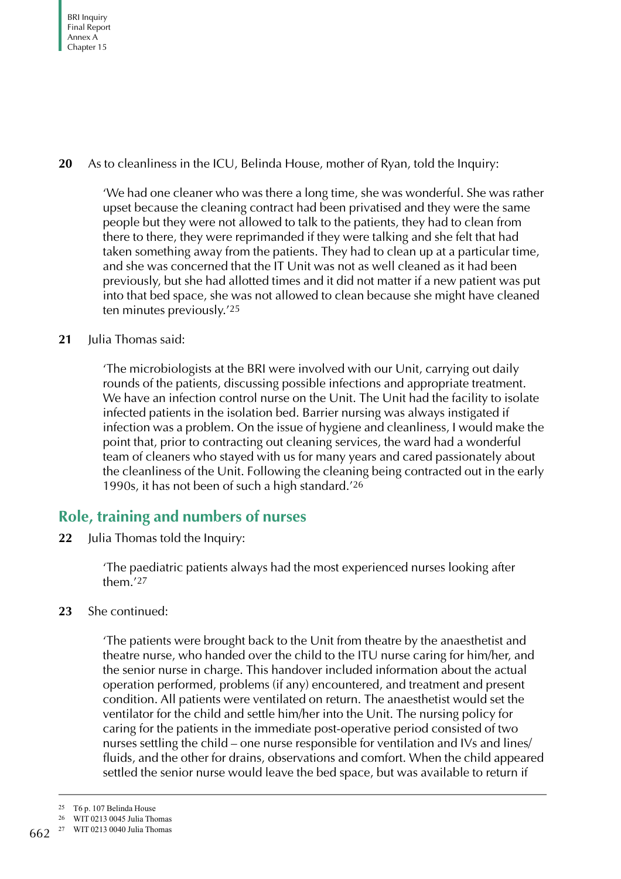**20** As to cleanliness in the ICU, Belinda House, mother of Ryan, told the Inquiry:

'We had one cleaner who was there a long time, she was wonderful. She was rather upset because the cleaning contract had been privatised and they were the same people but they were not allowed to talk to the patients, they had to clean from there to there, they were reprimanded if they were talking and she felt that had taken something away from the patients. They had to clean up at a particular time, and she was concerned that the IT Unit was not as well cleaned as it had been previously, but she had allotted times and it did not matter if a new patient was put into that bed space, she was not allowed to clean because she might have cleaned ten minutes previously.'25

#### **21** Julia Thomas said:

'The microbiologists at the BRI were involved with our Unit, carrying out daily rounds of the patients, discussing possible infections and appropriate treatment. We have an infection control nurse on the Unit. The Unit had the facility to isolate infected patients in the isolation bed. Barrier nursing was always instigated if infection was a problem. On the issue of hygiene and cleanliness, I would make the point that, prior to contracting out cleaning services, the ward had a wonderful team of cleaners who stayed with us for many years and cared passionately about the cleanliness of the Unit. Following the cleaning being contracted out in the early 1990s, it has not been of such a high standard.'26

## **Role, training and numbers of nurses**

**22** Julia Thomas told the Inquiry:

'The paediatric patients always had the most experienced nurses looking after them<sup>'27</sup>

**23** She continued:

'The patients were brought back to the Unit from theatre by the anaesthetist and theatre nurse, who handed over the child to the ITU nurse caring for him/her, and the senior nurse in charge. This handover included information about the actual operation performed, problems (if any) encountered, and treatment and present condition. All patients were ventilated on return. The anaesthetist would set the ventilator for the child and settle him/her into the Unit. The nursing policy for caring for the patients in the immediate post-operative period consisted of two nurses settling the child – one nurse responsible for ventilation and IVs and lines/ fluids, and the other for drains, observations and comfort. When the child appeared settled the senior nurse would leave the bed space, but was available to return if

<sup>25</sup> T6 p. 107 Belinda House

<sup>26</sup> WIT 0213 0045 Julia Thomas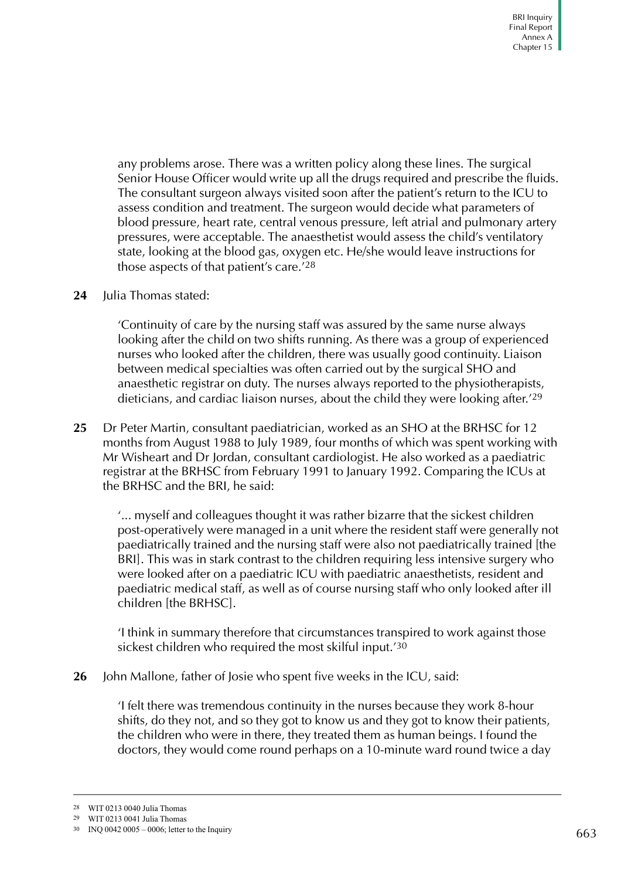any problems arose. There was a written policy along these lines. The surgical Senior House Officer would write up all the drugs required and prescribe the fluids. The consultant surgeon always visited soon after the patient's return to the ICU to assess condition and treatment. The surgeon would decide what parameters of blood pressure, heart rate, central venous pressure, left atrial and pulmonary artery pressures, were acceptable. The anaesthetist would assess the child's ventilatory state, looking at the blood gas, oxygen etc. He/she would leave instructions for those aspects of that patient's care.'28

**24** Julia Thomas stated:

'Continuity of care by the nursing staff was assured by the same nurse always looking after the child on two shifts running. As there was a group of experienced nurses who looked after the children, there was usually good continuity. Liaison between medical specialties was often carried out by the surgical SHO and anaesthetic registrar on duty. The nurses always reported to the physiotherapists, dieticians, and cardiac liaison nurses, about the child they were looking after.'29

**25** Dr Peter Martin, consultant paediatrician, worked as an SHO at the BRHSC for 12 months from August 1988 to July 1989, four months of which was spent working with Mr Wisheart and Dr Jordan, consultant cardiologist. He also worked as a paediatric registrar at the BRHSC from February 1991 to January 1992. Comparing the ICUs at the BRHSC and the BRI, he said:

'... myself and colleagues thought it was rather bizarre that the sickest children post-operatively were managed in a unit where the resident staff were generally not paediatrically trained and the nursing staff were also not paediatrically trained [the BRI]. This was in stark contrast to the children requiring less intensive surgery who were looked after on a paediatric ICU with paediatric anaesthetists, resident and paediatric medical staff, as well as of course nursing staff who only looked after ill children [the BRHSC].

'I think in summary therefore that circumstances transpired to work against those sickest children who required the most skilful input.'30

**26** John Mallone, father of Josie who spent five weeks in the ICU, said:

'I felt there was tremendous continuity in the nurses because they work 8-hour shifts, do they not, and so they got to know us and they got to know their patients, the children who were in there, they treated them as human beings. I found the doctors, they would come round perhaps on a 10-minute ward round twice a day

<sup>28</sup> WIT 0213 0040 Julia Thomas

<sup>29</sup> WIT 0213 0041 Julia Thomas

<sup>30</sup> INQ 0042 0005 – 0006; letter to the Inquiry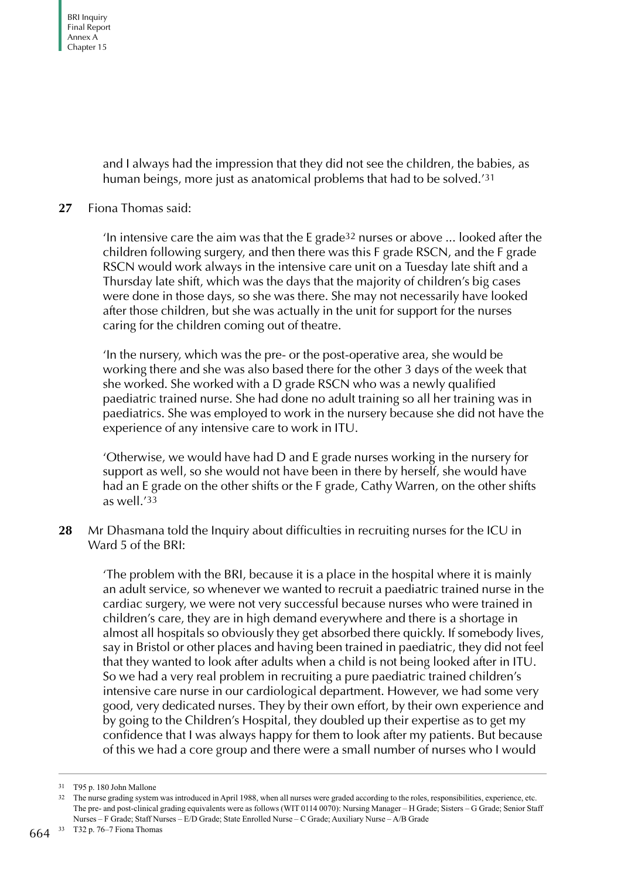and I always had the impression that they did not see the children, the babies, as human beings, more just as anatomical problems that had to be solved.'31

#### **27** Fiona Thomas said:

'In intensive care the aim was that the E grade32 nurses or above ... looked after the children following surgery, and then there was this F grade RSCN, and the F grade RSCN would work always in the intensive care unit on a Tuesday late shift and a Thursday late shift, which was the days that the majority of children's big cases were done in those days, so she was there. She may not necessarily have looked after those children, but she was actually in the unit for support for the nurses caring for the children coming out of theatre.

'In the nursery, which was the pre- or the post-operative area, she would be working there and she was also based there for the other 3 days of the week that she worked. She worked with a D grade RSCN who was a newly qualified paediatric trained nurse. She had done no adult training so all her training was in paediatrics. She was employed to work in the nursery because she did not have the experience of any intensive care to work in ITU.

'Otherwise, we would have had D and E grade nurses working in the nursery for support as well, so she would not have been in there by herself, she would have had an E grade on the other shifts or the F grade, Cathy Warren, on the other shifts as well.'33

**28** Mr Dhasmana told the Inquiry about difficulties in recruiting nurses for the ICU in Ward 5 of the BRI:

'The problem with the BRI, because it is a place in the hospital where it is mainly an adult service, so whenever we wanted to recruit a paediatric trained nurse in the cardiac surgery, we were not very successful because nurses who were trained in children's care, they are in high demand everywhere and there is a shortage in almost all hospitals so obviously they get absorbed there quickly. If somebody lives, say in Bristol or other places and having been trained in paediatric, they did not feel that they wanted to look after adults when a child is not being looked after in ITU. So we had a very real problem in recruiting a pure paediatric trained children's intensive care nurse in our cardiological department. However, we had some very good, very dedicated nurses. They by their own effort, by their own experience and by going to the Children's Hospital, they doubled up their expertise as to get my confidence that I was always happy for them to look after my patients. But because of this we had a core group and there were a small number of nurses who I would

<sup>31</sup> T95 p. 180 John Mallone

<sup>&</sup>lt;sup>32</sup> The nurse grading system was introduced in April 1988, when all nurses were graded according to the roles, responsibilities, experience, etc. The pre- and post-clinical grading equivalents were as follows (WIT 0114 0070): Nursing Manager – H Grade; Sisters – G Grade; Senior Staff Nurses – F Grade; Staff Nurses – E/D Grade; State Enrolled Nurse – C Grade; Auxiliary Nurse – A/B Grade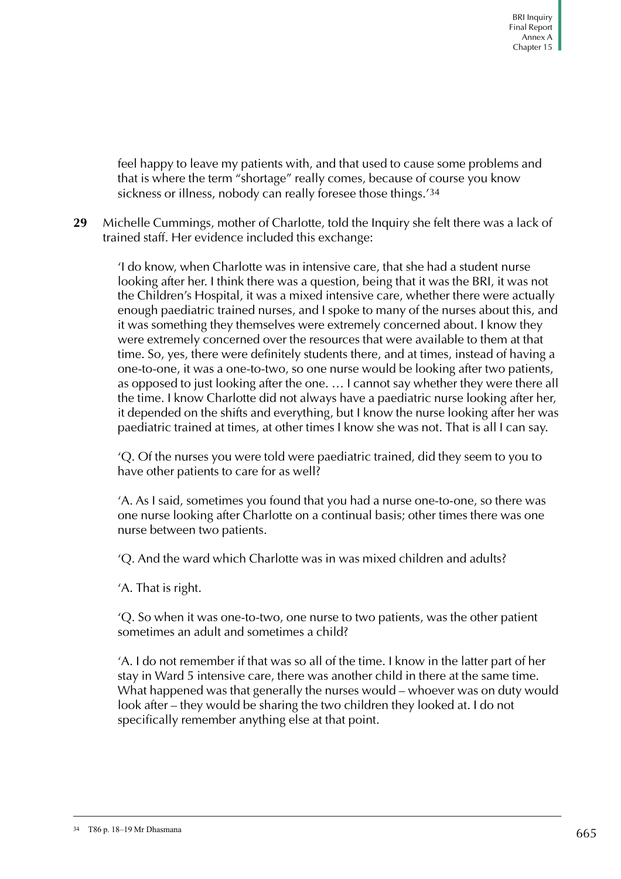feel happy to leave my patients with, and that used to cause some problems and that is where the term "shortage" really comes, because of course you know sickness or illness, nobody can really foresee those things.<sup>'34</sup>

**29** Michelle Cummings, mother of Charlotte, told the Inquiry she felt there was a lack of trained staff. Her evidence included this exchange:

'I do know, when Charlotte was in intensive care, that she had a student nurse looking after her. I think there was a question, being that it was the BRI, it was not the Children's Hospital, it was a mixed intensive care, whether there were actually enough paediatric trained nurses, and I spoke to many of the nurses about this, and it was something they themselves were extremely concerned about. I know they were extremely concerned over the resources that were available to them at that time. So, yes, there were definitely students there, and at times, instead of having a one-to-one, it was a one-to-two, so one nurse would be looking after two patients, as opposed to just looking after the one. … I cannot say whether they were there all the time. I know Charlotte did not always have a paediatric nurse looking after her, it depended on the shifts and everything, but I know the nurse looking after her was paediatric trained at times, at other times I know she was not. That is all I can say.

'Q. Of the nurses you were told were paediatric trained, did they seem to you to have other patients to care for as well?

'A. As I said, sometimes you found that you had a nurse one-to-one, so there was one nurse looking after Charlotte on a continual basis; other times there was one nurse between two patients.

'Q. And the ward which Charlotte was in was mixed children and adults?

'A. That is right.

'Q. So when it was one-to-two, one nurse to two patients, was the other patient sometimes an adult and sometimes a child?

'A. I do not remember if that was so all of the time. I know in the latter part of her stay in Ward 5 intensive care, there was another child in there at the same time. What happened was that generally the nurses would – whoever was on duty would look after – they would be sharing the two children they looked at. I do not specifically remember anything else at that point.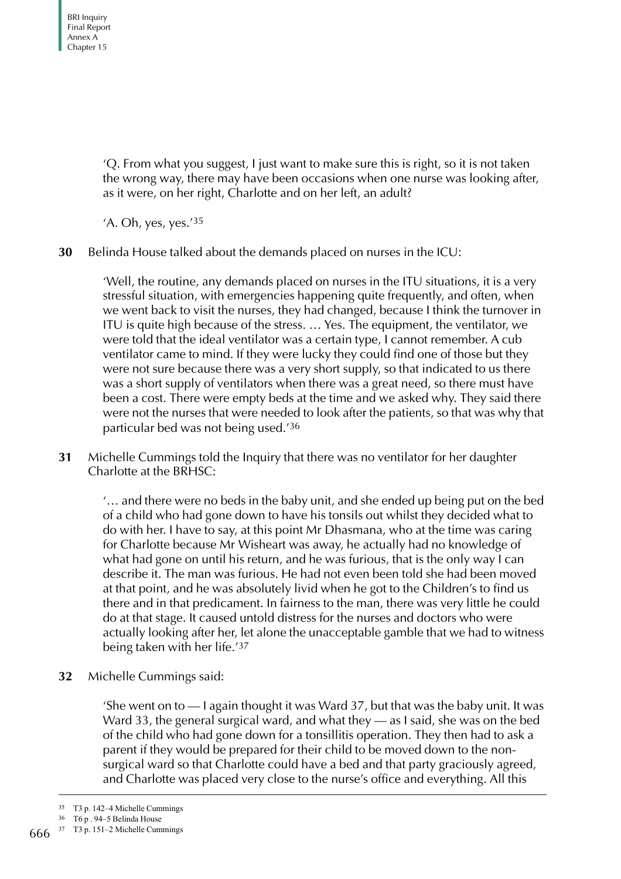'Q. From what you suggest, I just want to make sure this is right, so it is not taken the wrong way, there may have been occasions when one nurse was looking after, as it were, on her right, Charlotte and on her left, an adult?

'A. Oh, yes, yes.'35

**30** Belinda House talked about the demands placed on nurses in the ICU:

'Well, the routine, any demands placed on nurses in the ITU situations, it is a very stressful situation, with emergencies happening quite frequently, and often, when we went back to visit the nurses, they had changed, because I think the turnover in ITU is quite high because of the stress. … Yes. The equipment, the ventilator, we were told that the ideal ventilator was a certain type, I cannot remember. A cub ventilator came to mind. If they were lucky they could find one of those but they were not sure because there was a very short supply, so that indicated to us there was a short supply of ventilators when there was a great need, so there must have been a cost. There were empty beds at the time and we asked why. They said there were not the nurses that were needed to look after the patients, so that was why that particular bed was not being used.'36

**31** Michelle Cummings told the Inquiry that there was no ventilator for her daughter Charlotte at the BRHSC:

'… and there were no beds in the baby unit, and she ended up being put on the bed of a child who had gone down to have his tonsils out whilst they decided what to do with her. I have to say, at this point Mr Dhasmana, who at the time was caring for Charlotte because Mr Wisheart was away, he actually had no knowledge of what had gone on until his return, and he was furious, that is the only way I can describe it. The man was furious. He had not even been told she had been moved at that point, and he was absolutely livid when he got to the Children's to find us there and in that predicament. In fairness to the man, there was very little he could do at that stage. It caused untold distress for the nurses and doctors who were actually looking after her, let alone the unacceptable gamble that we had to witness being taken with her life.'37

**32** Michelle Cummings said:

'She went on to — I again thought it was Ward 37, but that was the baby unit. It was Ward 33, the general surgical ward, and what they — as I said, she was on the bed of the child who had gone down for a tonsillitis operation. They then had to ask a parent if they would be prepared for their child to be moved down to the nonsurgical ward so that Charlotte could have a bed and that party graciously agreed, and Charlotte was placed very close to the nurse's office and everything. All this

<sup>35</sup> T3 p. 142–4 Michelle Cummings

<sup>36</sup> T6 p . 94–5 Belinda House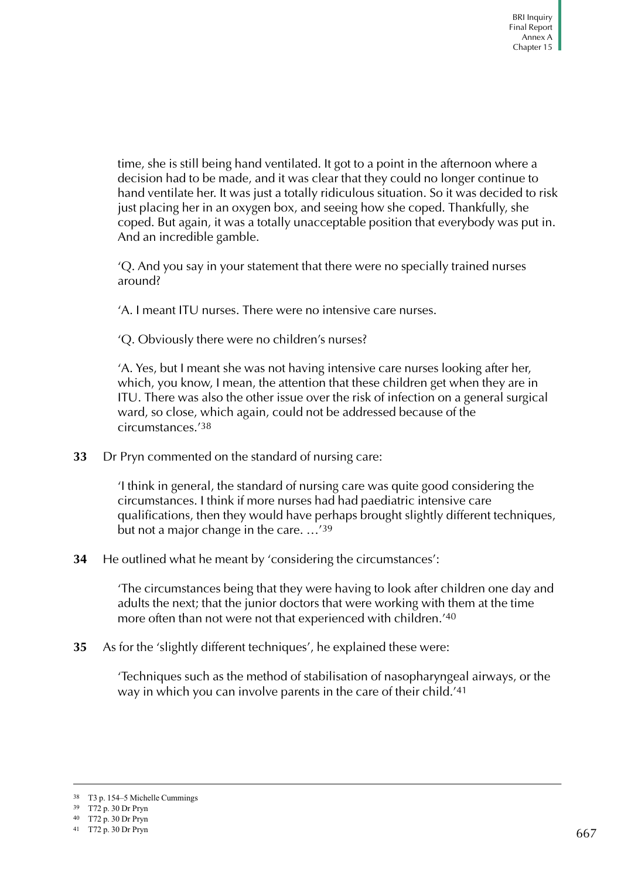time, she is still being hand ventilated. It got to a point in the afternoon where a decision had to be made, and it was clear that they could no longer continue to hand ventilate her. It was just a totally ridiculous situation. So it was decided to risk just placing her in an oxygen box, and seeing how she coped. Thankfully, she coped. But again, it was a totally unacceptable position that everybody was put in. And an incredible gamble.

'Q. And you say in your statement that there were no specially trained nurses around?

'A. I meant ITU nurses. There were no intensive care nurses.

'Q. Obviously there were no children's nurses?

'A. Yes, but I meant she was not having intensive care nurses looking after her, which, you know, I mean, the attention that these children get when they are in ITU. There was also the other issue over the risk of infection on a general surgical ward, so close, which again, could not be addressed because of the circumstances.'38

**33** Dr Pryn commented on the standard of nursing care:

'I think in general, the standard of nursing care was quite good considering the circumstances. I think if more nurses had had paediatric intensive care qualifications, then they would have perhaps brought slightly different techniques, but not a major change in the care. …'39

**34** He outlined what he meant by 'considering the circumstances':

'The circumstances being that they were having to look after children one day and adults the next; that the junior doctors that were working with them at the time more often than not were not that experienced with children.'40

**35** As for the 'slightly different techniques', he explained these were:

'Techniques such as the method of stabilisation of nasopharyngeal airways, or the way in which you can involve parents in the care of their child.'41

<sup>38</sup> T3 p. 154–5 Michelle Cummings

<sup>39</sup> T72 p. 30 Dr Pryn

<sup>40</sup> T72 p. 30 Dr Pryn

<sup>41</sup> T72 p. 30 Dr Pryn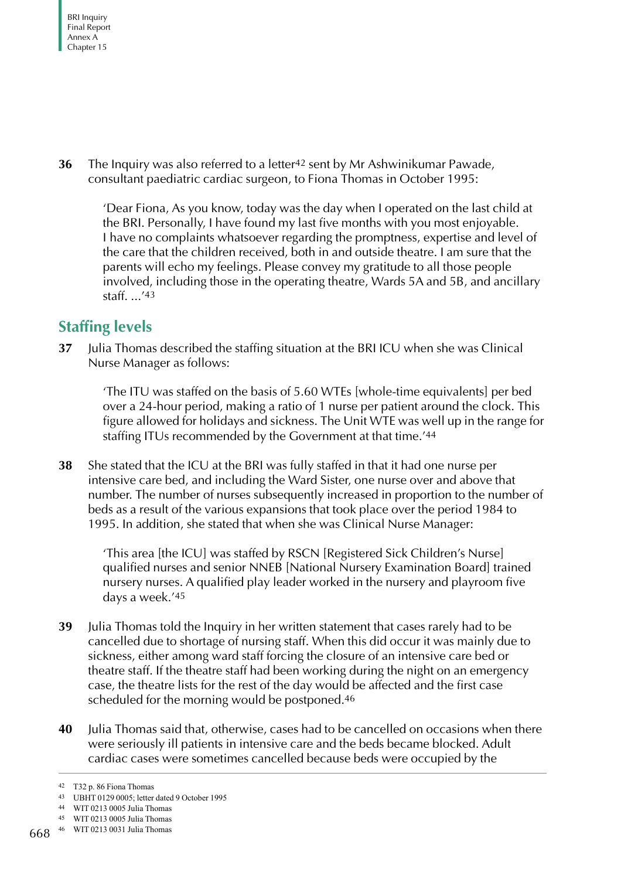**36** The Inquiry was also referred to a letter42 sent by Mr Ashwinikumar Pawade, consultant paediatric cardiac surgeon, to Fiona Thomas in October 1995:

'Dear Fiona, As you know, today was the day when I operated on the last child at the BRI. Personally, I have found my last five months with you most enjoyable. I have no complaints whatsoever regarding the promptness, expertise and level of the care that the children received, both in and outside theatre. I am sure that the parents will echo my feelings. Please convey my gratitude to all those people involved, including those in the operating theatre, Wards 5A and 5B, and ancillary staff. ...'43

## **Staffing levels**

**37** Julia Thomas described the staffing situation at the BRI ICU when she was Clinical Nurse Manager as follows:

'The ITU was staffed on the basis of 5.60 WTEs [whole-time equivalents] per bed over a 24-hour period, making a ratio of 1 nurse per patient around the clock. This figure allowed for holidays and sickness. The Unit WTE was well up in the range for staffing ITUs recommended by the Government at that time.'44

**38** She stated that the ICU at the BRI was fully staffed in that it had one nurse per intensive care bed, and including the Ward Sister, one nurse over and above that number. The number of nurses subsequently increased in proportion to the number of beds as a result of the various expansions that took place over the period 1984 to 1995. In addition, she stated that when she was Clinical Nurse Manager:

'This area [the ICU] was staffed by RSCN [Registered Sick Children's Nurse] qualified nurses and senior NNEB [National Nursery Examination Board] trained nursery nurses. A qualified play leader worked in the nursery and playroom five days a week.'45

- **39** Julia Thomas told the Inquiry in her written statement that cases rarely had to be cancelled due to shortage of nursing staff. When this did occur it was mainly due to sickness, either among ward staff forcing the closure of an intensive care bed or theatre staff. If the theatre staff had been working during the night on an emergency case, the theatre lists for the rest of the day would be affected and the first case scheduled for the morning would be postponed.46
- **40** Julia Thomas said that, otherwise, cases had to be cancelled on occasions when there were seriously ill patients in intensive care and the beds became blocked. Adult cardiac cases were sometimes cancelled because beds were occupied by the

<sup>42</sup> T32 p. 86 Fiona Thomas

<sup>43</sup> UBHT 0129 0005; letter dated 9 October 1995

<sup>44</sup> WIT 0213 0005 Julia Thomas

<sup>45</sup> WIT 0213 0005 Julia Thomas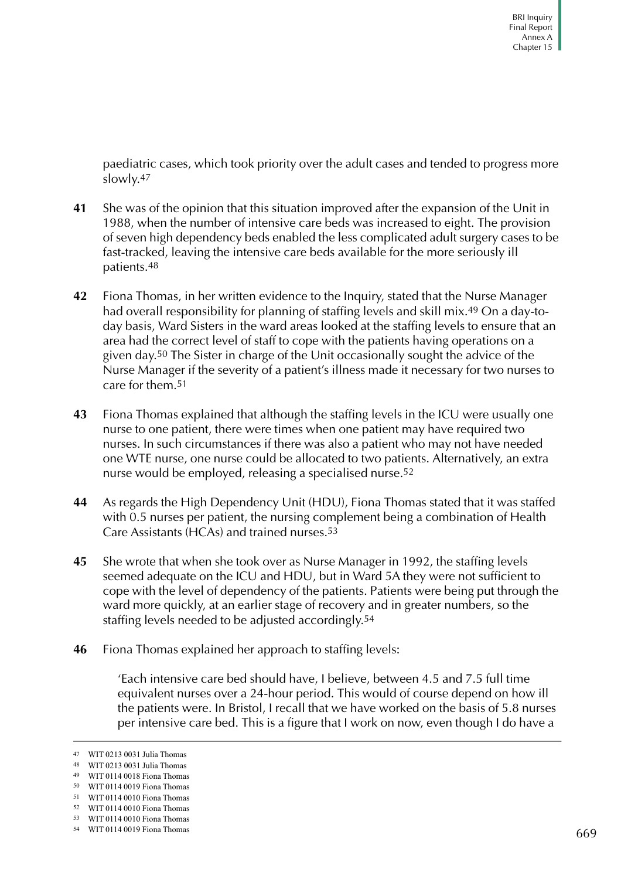paediatric cases, which took priority over the adult cases and tended to progress more slowly.47

- **41** She was of the opinion that this situation improved after the expansion of the Unit in 1988, when the number of intensive care beds was increased to eight. The provision of seven high dependency beds enabled the less complicated adult surgery cases to be fast-tracked, leaving the intensive care beds available for the more seriously ill patients.48
- **42** Fiona Thomas, in her written evidence to the Inquiry, stated that the Nurse Manager had overall responsibility for planning of staffing levels and skill mix.49 On a day-today basis, Ward Sisters in the ward areas looked at the staffing levels to ensure that an area had the correct level of staff to cope with the patients having operations on a given day.50 The Sister in charge of the Unit occasionally sought the advice of the Nurse Manager if the severity of a patient's illness made it necessary for two nurses to care for them.51
- **43** Fiona Thomas explained that although the staffing levels in the ICU were usually one nurse to one patient, there were times when one patient may have required two nurses. In such circumstances if there was also a patient who may not have needed one WTE nurse, one nurse could be allocated to two patients. Alternatively, an extra nurse would be employed, releasing a specialised nurse.52
- **44** As regards the High Dependency Unit (HDU), Fiona Thomas stated that it was staffed with 0.5 nurses per patient, the nursing complement being a combination of Health Care Assistants (HCAs) and trained nurses.53
- **45** She wrote that when she took over as Nurse Manager in 1992, the staffing levels seemed adequate on the ICU and HDU, but in Ward 5A they were not sufficient to cope with the level of dependency of the patients. Patients were being put through the ward more quickly, at an earlier stage of recovery and in greater numbers, so the staffing levels needed to be adjusted accordingly.54
- **46** Fiona Thomas explained her approach to staffing levels:

'Each intensive care bed should have, I believe, between 4.5 and 7.5 full time equivalent nurses over a 24-hour period. This would of course depend on how ill the patients were. In Bristol, I recall that we have worked on the basis of 5.8 nurses per intensive care bed. This is a figure that I work on now, even though I do have a

<sup>47</sup> WIT 0213 0031 Julia Thomas

<sup>48</sup> WIT 0213 0031 Julia Thomas

<sup>49</sup> WIT 0114 0018 Fiona Thomas

<sup>50</sup> WIT 0114 0019 Fiona Thomas

<sup>51</sup> WIT 0114 0010 Fiona Thomas

<sup>52</sup> WIT 0114 0010 Fiona Thomas

<sup>53</sup> WIT 0114 0010 Fiona Thomas

<sup>54</sup> WIT 0114 0019 Fiona Thomas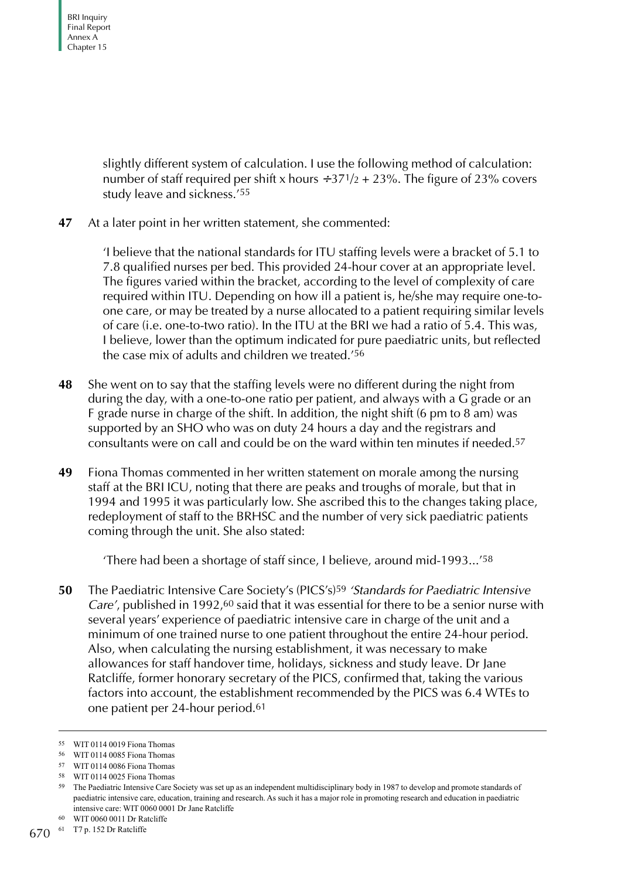slightly different system of calculation. I use the following method of calculation: number of staff required per shift x hours  $\div 37^{1/2} + 23\%$ . The figure of 23% covers study leave and sickness.'55

**47** At a later point in her written statement, she commented:

'I believe that the national standards for ITU staffing levels were a bracket of 5.1 to 7.8 qualified nurses per bed. This provided 24-hour cover at an appropriate level. The figures varied within the bracket, according to the level of complexity of care required within ITU. Depending on how ill a patient is, he/she may require one-toone care, or may be treated by a nurse allocated to a patient requiring similar levels of care (i.e. one-to-two ratio). In the ITU at the BRI we had a ratio of 5.4. This was, I believe, lower than the optimum indicated for pure paediatric units, but reflected the case mix of adults and children we treated.'56

- **48** She went on to say that the staffing levels were no different during the night from during the day, with a one-to-one ratio per patient, and always with a G grade or an F grade nurse in charge of the shift. In addition, the night shift (6 pm to 8 am) was supported by an SHO who was on duty 24 hours a day and the registrars and consultants were on call and could be on the ward within ten minutes if needed.57
- **49** Fiona Thomas commented in her written statement on morale among the nursing staff at the BRI ICU, noting that there are peaks and troughs of morale, but that in 1994 and 1995 it was particularly low. She ascribed this to the changes taking place, redeployment of staff to the BRHSC and the number of very sick paediatric patients coming through the unit. She also stated:

'There had been a shortage of staff since, I believe, around mid-1993...'58

**50** The Paediatric Intensive Care Society's (PICS's)<sup>59</sup> 'Standards for Paediatric Intensive Care', published in 1992,<sup>60</sup> said that it was essential for there to be a senior nurse with several years' experience of paediatric intensive care in charge of the unit and a minimum of one trained nurse to one patient throughout the entire 24-hour period. Also, when calculating the nursing establishment, it was necessary to make allowances for staff handover time, holidays, sickness and study leave. Dr Jane Ratcliffe, former honorary secretary of the PICS, confirmed that, taking the various factors into account, the establishment recommended by the PICS was 6.4 WTEs to one patient per 24-hour period.61

<sup>55</sup> WIT 0114 0019 Fiona Thomas

<sup>56</sup> WIT 0114 0085 Fiona Thomas

<sup>57</sup> WIT 0114 0086 Fiona Thomas

<sup>58</sup> WIT 0114 0025 Fiona Thomas

<sup>59</sup> The Paediatric Intensive Care Society was set up as an independent multidisciplinary body in 1987 to develop and promote standards of paediatric intensive care, education, training and research. As such it has a major role in promoting research and education in paediatric intensive care: WIT 0060 0001 Dr Jane Ratcliffe

<sup>60</sup> WIT 0060 0011 Dr Ratcliffe 61 T7 p. 152 Dr Ratcliffe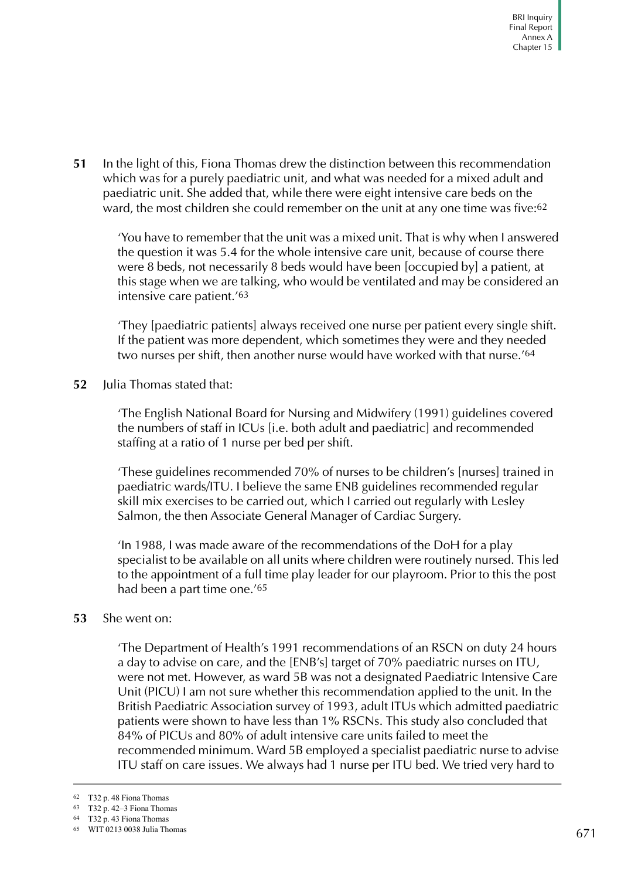**51** In the light of this, Fiona Thomas drew the distinction between this recommendation which was for a purely paediatric unit, and what was needed for a mixed adult and paediatric unit. She added that, while there were eight intensive care beds on the ward, the most children she could remember on the unit at any one time was five:<sup>62</sup>

'You have to remember that the unit was a mixed unit. That is why when I answered the question it was 5.4 for the whole intensive care unit, because of course there were 8 beds, not necessarily 8 beds would have been [occupied by] a patient, at this stage when we are talking, who would be ventilated and may be considered an intensive care patient.'63

'They [paediatric patients] always received one nurse per patient every single shift. If the patient was more dependent, which sometimes they were and they needed two nurses per shift, then another nurse would have worked with that nurse.'64

**52** Julia Thomas stated that:

'The English National Board for Nursing and Midwifery (1991) guidelines covered the numbers of staff in ICUs [i.e. both adult and paediatric] and recommended staffing at a ratio of 1 nurse per bed per shift.

'These guidelines recommended 70% of nurses to be children's [nurses] trained in paediatric wards/ITU. I believe the same ENB guidelines recommended regular skill mix exercises to be carried out, which I carried out regularly with Lesley Salmon, the then Associate General Manager of Cardiac Surgery.

'In 1988, I was made aware of the recommendations of the DoH for a play specialist to be available on all units where children were routinely nursed. This led to the appointment of a full time play leader for our playroom. Prior to this the post had been a part time one.'65

#### **53** She went on:

'The Department of Health's 1991 recommendations of an RSCN on duty 24 hours a day to advise on care, and the [ENB's] target of 70% paediatric nurses on ITU, were not met. However, as ward 5B was not a designated Paediatric Intensive Care Unit (PICU) I am not sure whether this recommendation applied to the unit. In the British Paediatric Association survey of 1993, adult ITUs which admitted paediatric patients were shown to have less than 1% RSCNs. This study also concluded that 84% of PICUs and 80% of adult intensive care units failed to meet the recommended minimum. Ward 5B employed a specialist paediatric nurse to advise ITU staff on care issues. We always had 1 nurse per ITU bed. We tried very hard to

<sup>62</sup> T32 p. 48 Fiona Thomas

<sup>63</sup> T32 p. 42–3 Fiona Thomas

<sup>64</sup> T32 p. 43 Fiona Thomas

<sup>65</sup> WIT 0213 0038 Julia Thomas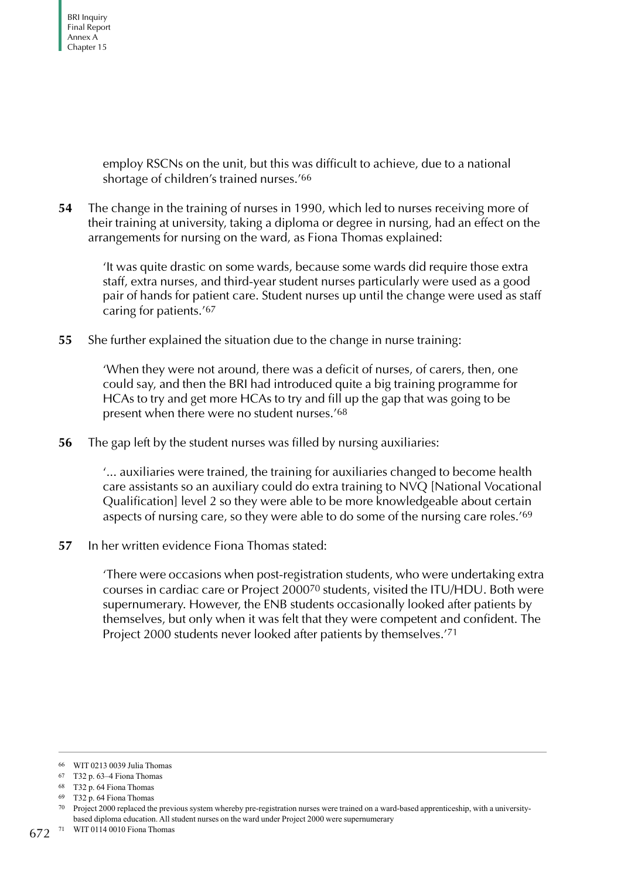employ RSCNs on the unit, but this was difficult to achieve, due to a national shortage of children's trained nurses.'66

**54** The change in the training of nurses in 1990, which led to nurses receiving more of their training at university, taking a diploma or degree in nursing, had an effect on the arrangements for nursing on the ward, as Fiona Thomas explained:

'It was quite drastic on some wards, because some wards did require those extra staff, extra nurses, and third-year student nurses particularly were used as a good pair of hands for patient care. Student nurses up until the change were used as staff caring for patients.'67

**55** She further explained the situation due to the change in nurse training:

'When they were not around, there was a deficit of nurses, of carers, then, one could say, and then the BRI had introduced quite a big training programme for HCAs to try and get more HCAs to try and fill up the gap that was going to be present when there were no student nurses.'68

**56** The gap left by the student nurses was filled by nursing auxiliaries:

'... auxiliaries were trained, the training for auxiliaries changed to become health care assistants so an auxiliary could do extra training to NVQ [National Vocational Qualification] level 2 so they were able to be more knowledgeable about certain aspects of nursing care, so they were able to do some of the nursing care roles.'69

**57** In her written evidence Fiona Thomas stated:

'There were occasions when post-registration students, who were undertaking extra courses in cardiac care or Project 200070 students, visited the ITU/HDU. Both were supernumerary. However, the ENB students occasionally looked after patients by themselves, but only when it was felt that they were competent and confident. The Project 2000 students never looked after patients by themselves.'71

69 T32 p. 64 Fiona Thomas

<sup>66</sup> WIT 0213 0039 Julia Thomas

<sup>67</sup> T32 p. 63–4 Fiona Thomas

<sup>68</sup> T32 p. 64 Fiona Thomas

<sup>70</sup> Project 2000 replaced the previous system whereby pre-registration nurses were trained on a ward-based apprenticeship, with a universitybased diploma education. All student nurses on the ward under Project 2000 were supernumerary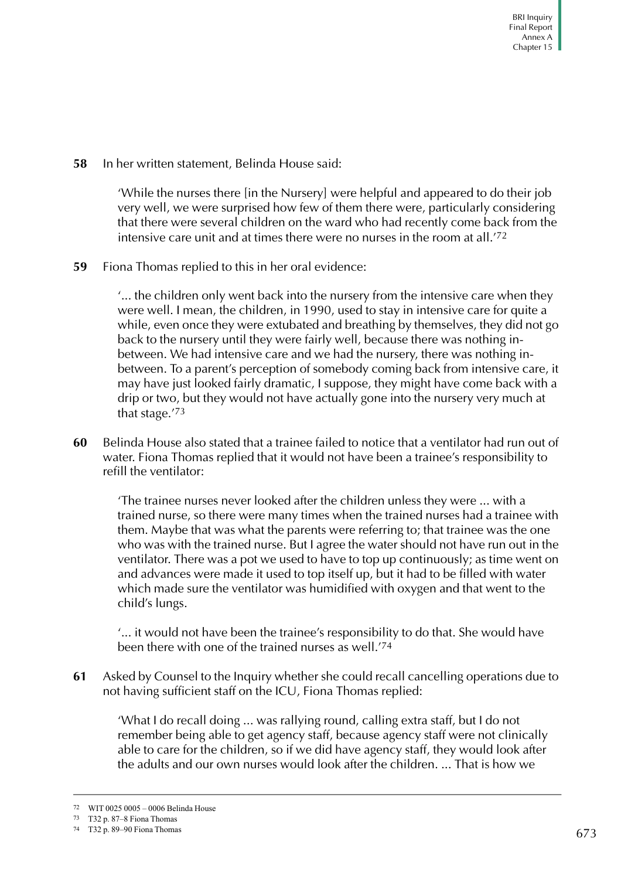**58** In her written statement, Belinda House said:

'While the nurses there [in the Nursery] were helpful and appeared to do their job very well, we were surprised how few of them there were, particularly considering that there were several children on the ward who had recently come back from the intensive care unit and at times there were no nurses in the room at all.'72

**59** Fiona Thomas replied to this in her oral evidence:

'... the children only went back into the nursery from the intensive care when they were well. I mean, the children, in 1990, used to stay in intensive care for quite a while, even once they were extubated and breathing by themselves, they did not go back to the nursery until they were fairly well, because there was nothing inbetween. We had intensive care and we had the nursery, there was nothing inbetween. To a parent's perception of somebody coming back from intensive care, it may have just looked fairly dramatic, I suppose, they might have come back with a drip or two, but they would not have actually gone into the nursery very much at that stage.'73

**60** Belinda House also stated that a trainee failed to notice that a ventilator had run out of water. Fiona Thomas replied that it would not have been a trainee's responsibility to refill the ventilator:

'The trainee nurses never looked after the children unless they were ... with a trained nurse, so there were many times when the trained nurses had a trainee with them. Maybe that was what the parents were referring to; that trainee was the one who was with the trained nurse. But I agree the water should not have run out in the ventilator. There was a pot we used to have to top up continuously; as time went on and advances were made it used to top itself up, but it had to be filled with water which made sure the ventilator was humidified with oxygen and that went to the child's lungs.

'... it would not have been the trainee's responsibility to do that. She would have been there with one of the trained nurses as well.'74

**61** Asked by Counsel to the Inquiry whether she could recall cancelling operations due to not having sufficient staff on the ICU, Fiona Thomas replied:

'What I do recall doing ... was rallying round, calling extra staff, but I do not remember being able to get agency staff, because agency staff were not clinically able to care for the children, so if we did have agency staff, they would look after the adults and our own nurses would look after the children. ... That is how we

<sup>72</sup> WIT 0025 0005 – 0006 Belinda House

<sup>73</sup> T32 p. 87–8 Fiona Thomas

<sup>74</sup> T32 p. 89–90 Fiona Thomas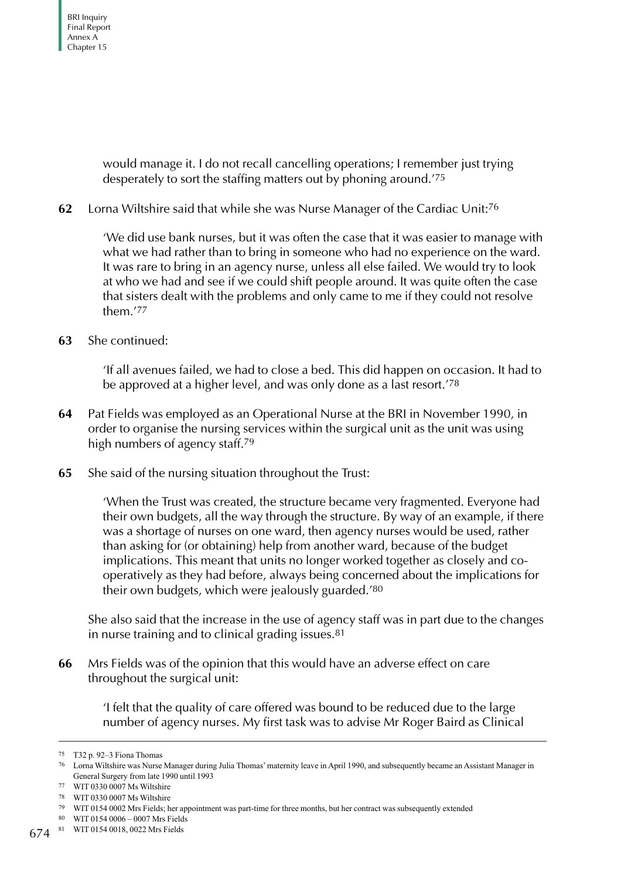would manage it. I do not recall cancelling operations; I remember just trying desperately to sort the staffing matters out by phoning around.'75

#### **62** Lorna Wiltshire said that while she was Nurse Manager of the Cardiac Unit:76

'We did use bank nurses, but it was often the case that it was easier to manage with what we had rather than to bring in someone who had no experience on the ward. It was rare to bring in an agency nurse, unless all else failed. We would try to look at who we had and see if we could shift people around. It was quite often the case that sisters dealt with the problems and only came to me if they could not resolve them.'77

#### **63** She continued:

'If all avenues failed, we had to close a bed. This did happen on occasion. It had to be approved at a higher level, and was only done as a last resort.'78

- **64** Pat Fields was employed as an Operational Nurse at the BRI in November 1990, in order to organise the nursing services within the surgical unit as the unit was using high numbers of agency staff.79
- **65** She said of the nursing situation throughout the Trust:

'When the Trust was created, the structure became very fragmented. Everyone had their own budgets, all the way through the structure. By way of an example, if there was a shortage of nurses on one ward, then agency nurses would be used, rather than asking for (or obtaining) help from another ward, because of the budget implications. This meant that units no longer worked together as closely and cooperatively as they had before, always being concerned about the implications for their own budgets, which were jealously guarded.'80

She also said that the increase in the use of agency staff was in part due to the changes in nurse training and to clinical grading issues.81

**66** Mrs Fields was of the opinion that this would have an adverse effect on care throughout the surgical unit:

> 'I felt that the quality of care offered was bound to be reduced due to the large number of agency nurses. My first task was to advise Mr Roger Baird as Clinical

<sup>75</sup> T32 p. 92–3 Fiona Thomas

<sup>76</sup> Lorna Wiltshire was Nurse Manager during Julia Thomas' maternity leave in April 1990, and subsequently became an Assistant Manager in General Surgery from late 1990 until 1993

<sup>77</sup> WIT 0330 0007 Ms Wiltshire

<sup>78</sup> WIT 0330 0007 Ms Wiltshire

<sup>79</sup> WIT 0154 0002 Mrs Fields; her appointment was part-time for three months, but her contract was subsequently extended

<sup>80</sup> WIT 0154 0006 – 0007 Mrs Fields

<sup>674</sup> 81 WIT 0154 0018, 0022 Mrs Fields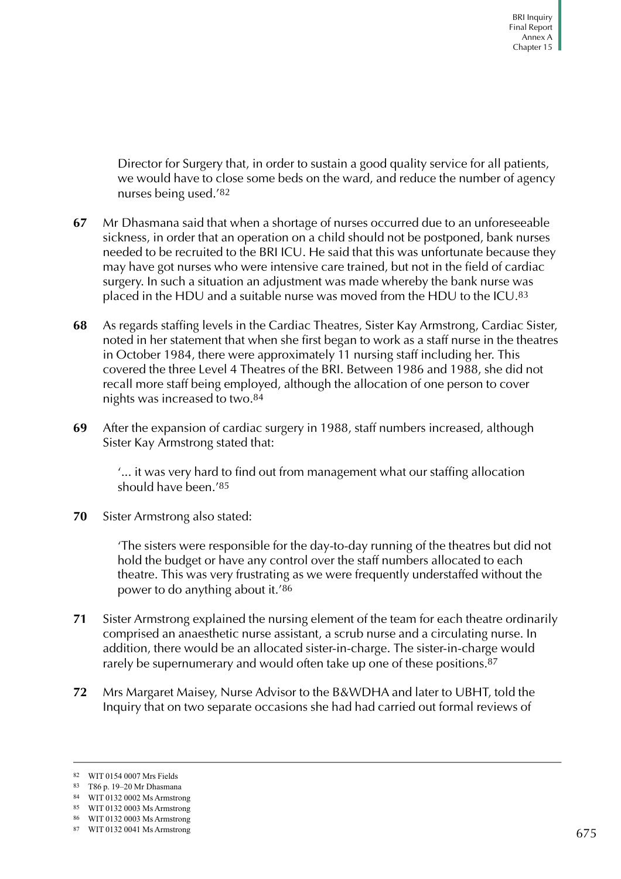Director for Surgery that, in order to sustain a good quality service for all patients, we would have to close some beds on the ward, and reduce the number of agency nurses being used.'82

- **67** Mr Dhasmana said that when a shortage of nurses occurred due to an unforeseeable sickness, in order that an operation on a child should not be postponed, bank nurses needed to be recruited to the BRI ICU. He said that this was unfortunate because they may have got nurses who were intensive care trained, but not in the field of cardiac surgery. In such a situation an adjustment was made whereby the bank nurse was placed in the HDU and a suitable nurse was moved from the HDU to the ICU.83
- **68** As regards staffing levels in the Cardiac Theatres, Sister Kay Armstrong, Cardiac Sister, noted in her statement that when she first began to work as a staff nurse in the theatres in October 1984, there were approximately 11 nursing staff including her. This covered the three Level 4 Theatres of the BRI. Between 1986 and 1988, she did not recall more staff being employed, although the allocation of one person to cover nights was increased to two.84
- **69** After the expansion of cardiac surgery in 1988, staff numbers increased, although Sister Kay Armstrong stated that:

'... it was very hard to find out from management what our staffing allocation should have been.'85

**70** Sister Armstrong also stated:

'The sisters were responsible for the day-to-day running of the theatres but did not hold the budget or have any control over the staff numbers allocated to each theatre. This was very frustrating as we were frequently understaffed without the power to do anything about it.'86

- **71** Sister Armstrong explained the nursing element of the team for each theatre ordinarily comprised an anaesthetic nurse assistant, a scrub nurse and a circulating nurse. In addition, there would be an allocated sister-in-charge. The sister-in-charge would rarely be supernumerary and would often take up one of these positions.<sup>87</sup>
- **72** Mrs Margaret Maisey, Nurse Advisor to the B&WDHA and later to UBHT, told the Inquiry that on two separate occasions she had had carried out formal reviews of

<sup>82</sup> WIT 0154 0007 Mrs Fields

<sup>83</sup> T86 p. 19–20 Mr Dhasmana

<sup>84</sup> WIT 0132 0002 Ms Armstrong

<sup>85</sup> WIT 0132 0003 Ms Armstrong

<sup>86</sup> WIT 0132 0003 Ms Armstrong

<sup>87</sup> WIT 0132 0041 Ms Armstrong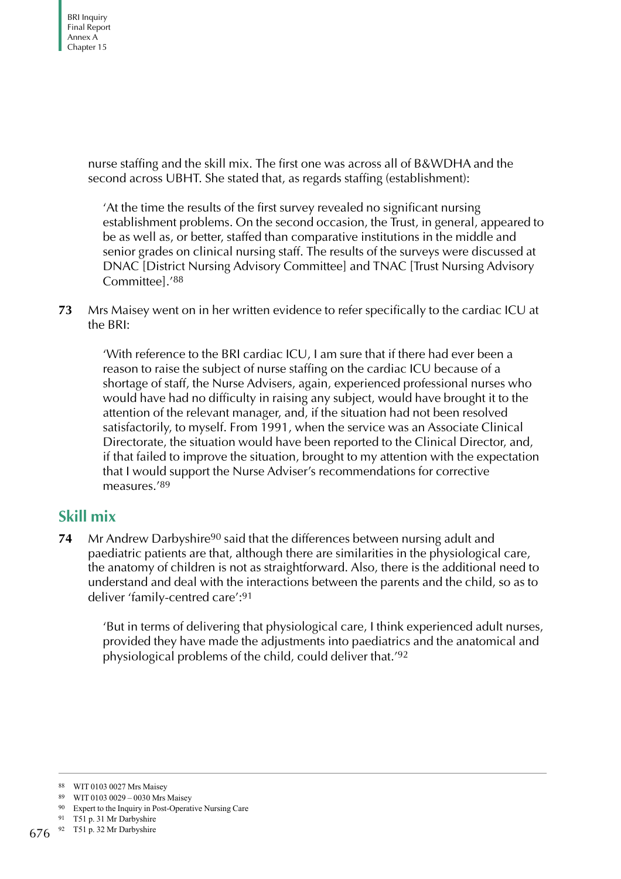nurse staffing and the skill mix. The first one was across all of B&WDHA and the second across UBHT. She stated that, as regards staffing (establishment):

'At the time the results of the first survey revealed no significant nursing establishment problems. On the second occasion, the Trust, in general, appeared to be as well as, or better, staffed than comparative institutions in the middle and senior grades on clinical nursing staff. The results of the surveys were discussed at DNAC [District Nursing Advisory Committee] and TNAC [Trust Nursing Advisory Committee].'88

**73** Mrs Maisey went on in her written evidence to refer specifically to the cardiac ICU at the BRI:

'With reference to the BRI cardiac ICU, I am sure that if there had ever been a reason to raise the subject of nurse staffing on the cardiac ICU because of a shortage of staff, the Nurse Advisers, again, experienced professional nurses who would have had no difficulty in raising any subject, would have brought it to the attention of the relevant manager, and, if the situation had not been resolved satisfactorily, to myself. From 1991, when the service was an Associate Clinical Directorate, the situation would have been reported to the Clinical Director, and, if that failed to improve the situation, brought to my attention with the expectation that I would support the Nurse Adviser's recommendations for corrective measures.'89

## **Skill mix**

**74** Mr Andrew Darbyshire90 said that the differences between nursing adult and paediatric patients are that, although there are similarities in the physiological care, the anatomy of children is not as straightforward. Also, there is the additional need to understand and deal with the interactions between the parents and the child, so as to deliver 'family-centred care':91

'But in terms of delivering that physiological care, I think experienced adult nurses, provided they have made the adjustments into paediatrics and the anatomical and physiological problems of the child, could deliver that.'92

<sup>88</sup> WIT 0103 0027 Mrs Maisey

<sup>89</sup> WIT 0103 0029 – 0030 Mrs Maisey

<sup>90</sup> Expert to the Inquiry in Post-Operative Nursing Care

<sup>91</sup> T51 p. 31 Mr Darbyshire 92 T51 p. 32 Mr Darbyshire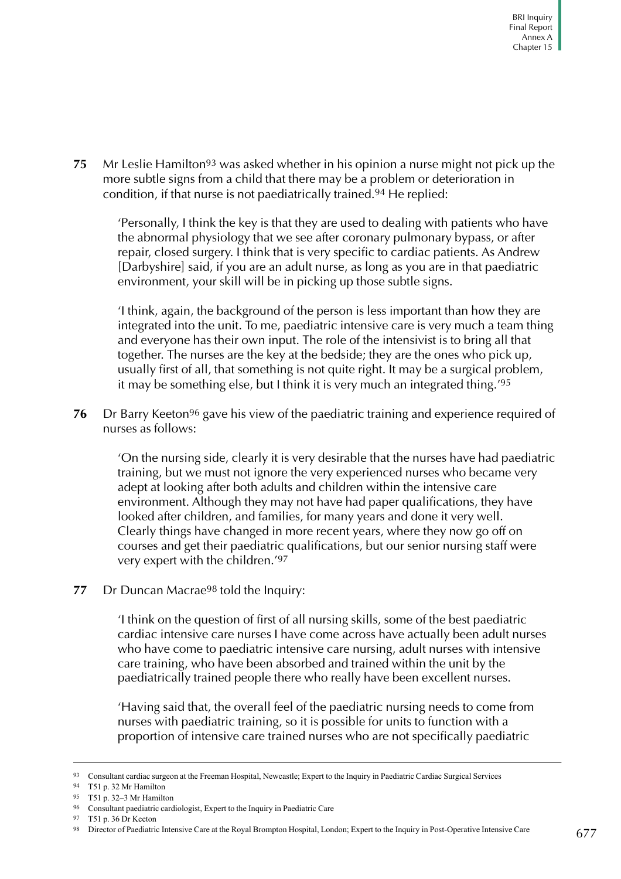**75** Mr Leslie Hamilton93 was asked whether in his opinion a nurse might not pick up the more subtle signs from a child that there may be a problem or deterioration in condition, if that nurse is not paediatrically trained.94 He replied:

'Personally, I think the key is that they are used to dealing with patients who have the abnormal physiology that we see after coronary pulmonary bypass, or after repair, closed surgery. I think that is very specific to cardiac patients. As Andrew [Darbyshire] said, if you are an adult nurse, as long as you are in that paediatric environment, your skill will be in picking up those subtle signs.

'I think, again, the background of the person is less important than how they are integrated into the unit. To me, paediatric intensive care is very much a team thing and everyone has their own input. The role of the intensivist is to bring all that together. The nurses are the key at the bedside; they are the ones who pick up, usually first of all, that something is not quite right. It may be a surgical problem, it may be something else, but I think it is very much an integrated thing.'95

**76** Dr Barry Keeton96 gave his view of the paediatric training and experience required of nurses as follows:

'On the nursing side, clearly it is very desirable that the nurses have had paediatric training, but we must not ignore the very experienced nurses who became very adept at looking after both adults and children within the intensive care environment. Although they may not have had paper qualifications, they have looked after children, and families, for many years and done it very well. Clearly things have changed in more recent years, where they now go off on courses and get their paediatric qualifications, but our senior nursing staff were very expert with the children.'97

**77** Dr Duncan Macrae98 told the Inquiry:

'I think on the question of first of all nursing skills, some of the best paediatric cardiac intensive care nurses I have come across have actually been adult nurses who have come to paediatric intensive care nursing, adult nurses with intensive care training, who have been absorbed and trained within the unit by the paediatrically trained people there who really have been excellent nurses.

'Having said that, the overall feel of the paediatric nursing needs to come from nurses with paediatric training, so it is possible for units to function with a proportion of intensive care trained nurses who are not specifically paediatric

<sup>93</sup> Consultant cardiac surgeon at the Freeman Hospital, Newcastle; Expert to the Inquiry in Paediatric Cardiac Surgical Services

<sup>94</sup> T51 p. 32 Mr Hamilton

<sup>95</sup> T51 p. 32–3 Mr Hamilton

<sup>96</sup> Consultant paediatric cardiologist, Expert to the Inquiry in Paediatric Care

<sup>97</sup> T51 p. 36 Dr Keeton

<sup>98</sup> Director of Paediatric Intensive Care at the Royal Brompton Hospital, London; Expert to the Inquiry in Post-Operative Intensive Care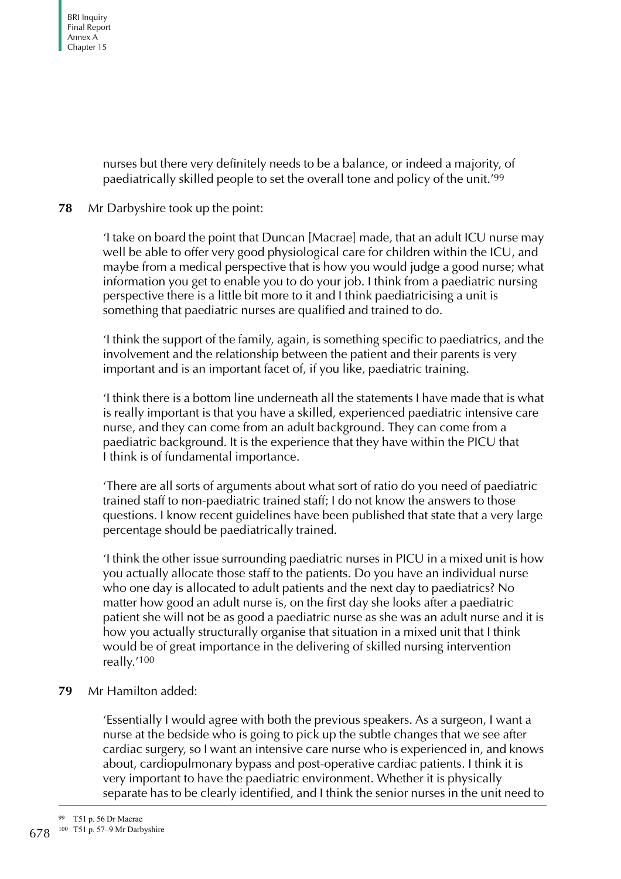nurses but there very definitely needs to be a balance, or indeed a majority, of paediatrically skilled people to set the overall tone and policy of the unit.'99

### **78** Mr Darbyshire took up the point:

'I take on board the point that Duncan [Macrae] made, that an adult ICU nurse may well be able to offer very good physiological care for children within the ICU, and maybe from a medical perspective that is how you would judge a good nurse; what information you get to enable you to do your job. I think from a paediatric nursing perspective there is a little bit more to it and I think paediatricising a unit is something that paediatric nurses are qualified and trained to do.

'I think the support of the family, again, is something specific to paediatrics, and the involvement and the relationship between the patient and their parents is very important and is an important facet of, if you like, paediatric training.

'I think there is a bottom line underneath all the statements I have made that is what is really important is that you have a skilled, experienced paediatric intensive care nurse, and they can come from an adult background. They can come from a paediatric background. It is the experience that they have within the PICU that I think is of fundamental importance.

'There are all sorts of arguments about what sort of ratio do you need of paediatric trained staff to non-paediatric trained staff; I do not know the answers to those questions. I know recent guidelines have been published that state that a very large percentage should be paediatrically trained.

'I think the other issue surrounding paediatric nurses in PICU in a mixed unit is how you actually allocate those staff to the patients. Do you have an individual nurse who one day is allocated to adult patients and the next day to paediatrics? No matter how good an adult nurse is, on the first day she looks after a paediatric patient she will not be as good a paediatric nurse as she was an adult nurse and it is how you actually structurally organise that situation in a mixed unit that I think would be of great importance in the delivering of skilled nursing intervention really.'100

## **79** Mr Hamilton added:

'Essentially I would agree with both the previous speakers. As a surgeon, I want a nurse at the bedside who is going to pick up the subtle changes that we see after cardiac surgery, so I want an intensive care nurse who is experienced in, and knows about, cardiopulmonary bypass and post-operative cardiac patients. I think it is very important to have the paediatric environment. Whether it is physically separate has to be clearly identified, and I think the senior nurses in the unit need to

<sup>99</sup> T51 p. 56 Dr Macrae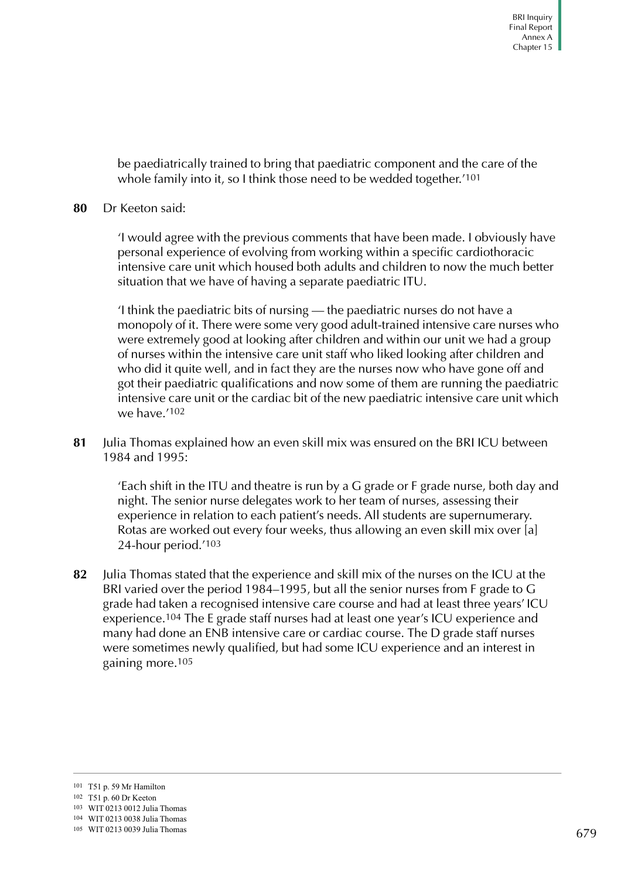be paediatrically trained to bring that paediatric component and the care of the whole family into it, so I think those need to be wedded together.<sup>'101</sup>

#### **80** Dr Keeton said:

'I would agree with the previous comments that have been made. I obviously have personal experience of evolving from working within a specific cardiothoracic intensive care unit which housed both adults and children to now the much better situation that we have of having a separate paediatric ITU.

'I think the paediatric bits of nursing — the paediatric nurses do not have a monopoly of it. There were some very good adult-trained intensive care nurses who were extremely good at looking after children and within our unit we had a group of nurses within the intensive care unit staff who liked looking after children and who did it quite well, and in fact they are the nurses now who have gone off and got their paediatric qualifications and now some of them are running the paediatric intensive care unit or the cardiac bit of the new paediatric intensive care unit which we have.'102

**81** Julia Thomas explained how an even skill mix was ensured on the BRI ICU between 1984 and 1995:

'Each shift in the ITU and theatre is run by a G grade or F grade nurse, both day and night. The senior nurse delegates work to her team of nurses, assessing their experience in relation to each patient's needs. All students are supernumerary. Rotas are worked out every four weeks, thus allowing an even skill mix over [a] 24-hour period.'103

**82** Julia Thomas stated that the experience and skill mix of the nurses on the ICU at the BRI varied over the period 1984–1995, but all the senior nurses from F grade to G grade had taken a recognised intensive care course and had at least three years' ICU experience.104 The E grade staff nurses had at least one year's ICU experience and many had done an ENB intensive care or cardiac course. The D grade staff nurses were sometimes newly qualified, but had some ICU experience and an interest in gaining more.105

<sup>101</sup> T51 p. 59 Mr Hamilton

<sup>102</sup> T51 p. 60 Dr Keeton

<sup>103</sup> WIT 0213 0012 Julia Thomas

<sup>104</sup> WIT 0213 0038 Julia Thomas

<sup>105</sup> WIT 0213 0039 Julia Thomas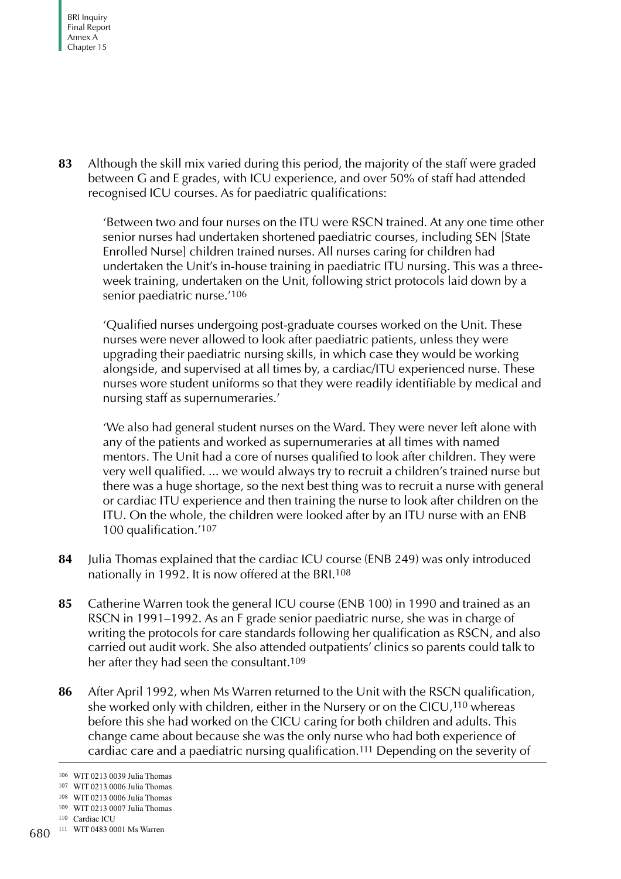**83** Although the skill mix varied during this period, the majority of the staff were graded between G and E grades, with ICU experience, and over 50% of staff had attended recognised ICU courses. As for paediatric qualifications:

'Between two and four nurses on the ITU were RSCN trained. At any one time other senior nurses had undertaken shortened paediatric courses, including SEN [State Enrolled Nurse] children trained nurses. All nurses caring for children had undertaken the Unit's in-house training in paediatric ITU nursing. This was a threeweek training, undertaken on the Unit, following strict protocols laid down by a senior paediatric nurse.'106

'Qualified nurses undergoing post-graduate courses worked on the Unit. These nurses were never allowed to look after paediatric patients, unless they were upgrading their paediatric nursing skills, in which case they would be working alongside, and supervised at all times by, a cardiac/ITU experienced nurse. These nurses wore student uniforms so that they were readily identifiable by medical and nursing staff as supernumeraries.'

'We also had general student nurses on the Ward. They were never left alone with any of the patients and worked as supernumeraries at all times with named mentors. The Unit had a core of nurses qualified to look after children. They were very well qualified. ... we would always try to recruit a children's trained nurse but there was a huge shortage, so the next best thing was to recruit a nurse with general or cardiac ITU experience and then training the nurse to look after children on the ITU. On the whole, the children were looked after by an ITU nurse with an ENB 100 qualification.'107

- **84** Julia Thomas explained that the cardiac ICU course (ENB 249) was only introduced nationally in 1992. It is now offered at the BRI.108
- **85** Catherine Warren took the general ICU course (ENB 100) in 1990 and trained as an RSCN in 1991–1992. As an F grade senior paediatric nurse, she was in charge of writing the protocols for care standards following her qualification as RSCN, and also carried out audit work. She also attended outpatients' clinics so parents could talk to her after they had seen the consultant.109
- **86** After April 1992, when Ms Warren returned to the Unit with the RSCN qualification, she worked only with children, either in the Nursery or on the CICU,110 whereas before this she had worked on the CICU caring for both children and adults. This change came about because she was the only nurse who had both experience of cardiac care and a paediatric nursing qualification.111 Depending on the severity of

110 Cardiac ICU

<sup>106</sup> WIT 0213 0039 Julia Thomas

<sup>107</sup> WIT 0213 0006 Julia Thomas

<sup>108</sup> WIT 0213 0006 Julia Thomas

<sup>109</sup> WIT 0213 0007 Julia Thomas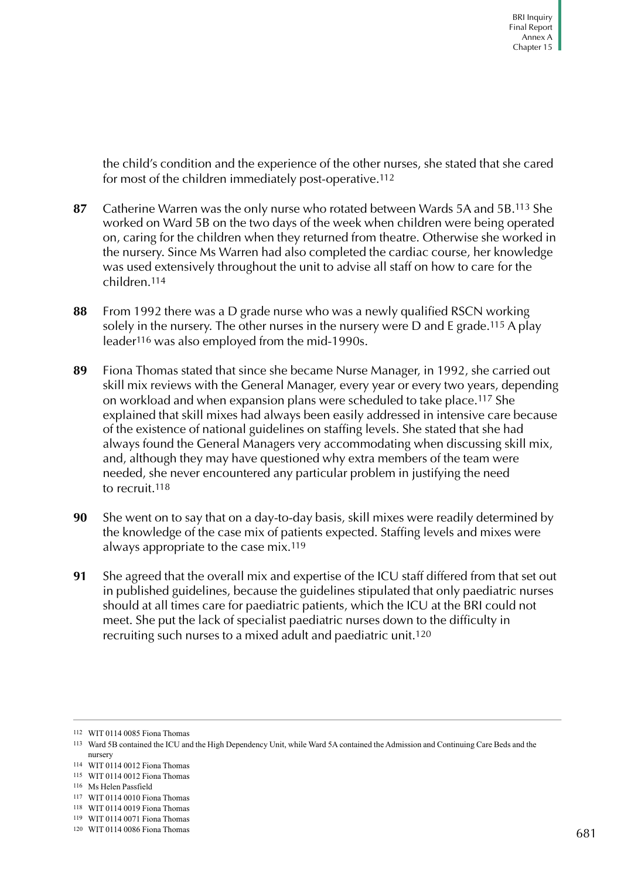the child's condition and the experience of the other nurses, she stated that she cared for most of the children immediately post-operative.112

- **87** Catherine Warren was the only nurse who rotated between Wards 5A and 5B.113 She worked on Ward 5B on the two days of the week when children were being operated on, caring for the children when they returned from theatre. Otherwise she worked in the nursery. Since Ms Warren had also completed the cardiac course, her knowledge was used extensively throughout the unit to advise all staff on how to care for the children.114
- **88** From 1992 there was a D grade nurse who was a newly qualified RSCN working solely in the nursery. The other nurses in the nursery were D and E grade.115 A play leader116 was also employed from the mid-1990s.
- **89** Fiona Thomas stated that since she became Nurse Manager, in 1992, she carried out skill mix reviews with the General Manager, every year or every two years, depending on workload and when expansion plans were scheduled to take place.117 She explained that skill mixes had always been easily addressed in intensive care because of the existence of national guidelines on staffing levels. She stated that she had always found the General Managers very accommodating when discussing skill mix, and, although they may have questioned why extra members of the team were needed, she never encountered any particular problem in justifying the need to recruit.118
- **90** She went on to say that on a day-to-day basis, skill mixes were readily determined by the knowledge of the case mix of patients expected. Staffing levels and mixes were always appropriate to the case mix.119
- **91** She agreed that the overall mix and expertise of the ICU staff differed from that set out in published guidelines, because the guidelines stipulated that only paediatric nurses should at all times care for paediatric patients, which the ICU at the BRI could not meet. She put the lack of specialist paediatric nurses down to the difficulty in recruiting such nurses to a mixed adult and paediatric unit.120

<sup>112</sup> WIT 0114 0085 Fiona Thomas

<sup>113</sup> Ward 5B contained the ICU and the High Dependency Unit, while Ward 5A contained the Admission and Continuing Care Beds and the nursery

<sup>114</sup> WIT 0114 0012 Fiona Thomas

<sup>115</sup> WIT 0114 0012 Fiona Thomas

<sup>116</sup> Ms Helen Passfield

<sup>117</sup> WIT 0114 0010 Fiona Thomas

<sup>118</sup> WIT 0114 0019 Fiona Thomas

<sup>119</sup> WIT 0114 0071 Fiona Thomas

<sup>120</sup> WIT 0114 0086 Fiona Thomas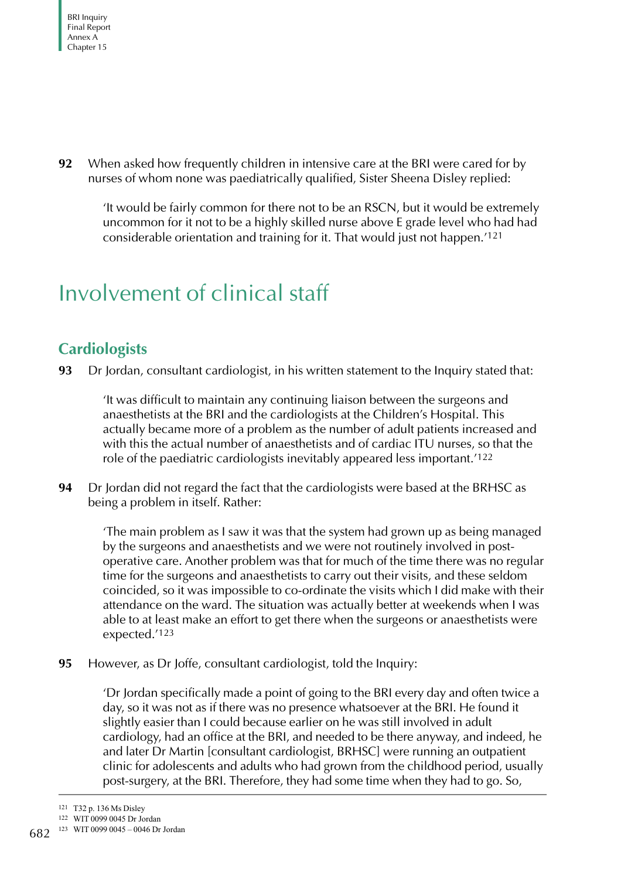**92** When asked how frequently children in intensive care at the BRI were cared for by nurses of whom none was paediatrically qualified, Sister Sheena Disley replied:

'It would be fairly common for there not to be an RSCN, but it would be extremely uncommon for it not to be a highly skilled nurse above E grade level who had had considerable orientation and training for it. That would just not happen.'121

# Involvement of clinical staff

# **Cardiologists**

**93** Dr Jordan, consultant cardiologist, in his written statement to the Inquiry stated that:

'It was difficult to maintain any continuing liaison between the surgeons and anaesthetists at the BRI and the cardiologists at the Children's Hospital. This actually became more of a problem as the number of adult patients increased and with this the actual number of anaesthetists and of cardiac ITU nurses, so that the role of the paediatric cardiologists inevitably appeared less important.'122

**94** Dr Jordan did not regard the fact that the cardiologists were based at the BRHSC as being a problem in itself. Rather:

'The main problem as I saw it was that the system had grown up as being managed by the surgeons and anaesthetists and we were not routinely involved in postoperative care. Another problem was that for much of the time there was no regular time for the surgeons and anaesthetists to carry out their visits, and these seldom coincided, so it was impossible to co-ordinate the visits which I did make with their attendance on the ward. The situation was actually better at weekends when I was able to at least make an effort to get there when the surgeons or anaesthetists were expected.'123

**95** However, as Dr Joffe, consultant cardiologist, told the Inquiry:

'Dr Jordan specifically made a point of going to the BRI every day and often twice a day, so it was not as if there was no presence whatsoever at the BRI. He found it slightly easier than I could because earlier on he was still involved in adult cardiology, had an office at the BRI, and needed to be there anyway, and indeed, he and later Dr Martin [consultant cardiologist, BRHSC] were running an outpatient clinic for adolescents and adults who had grown from the childhood period, usually post-surgery, at the BRI. Therefore, they had some time when they had to go. So,

<sup>121</sup> T32 p. 136 Ms Disley

<sup>122</sup> WIT 0099 0045 Dr Jordan

<sup>123</sup> WIT 0099 0045 – 0046 Dr Jordan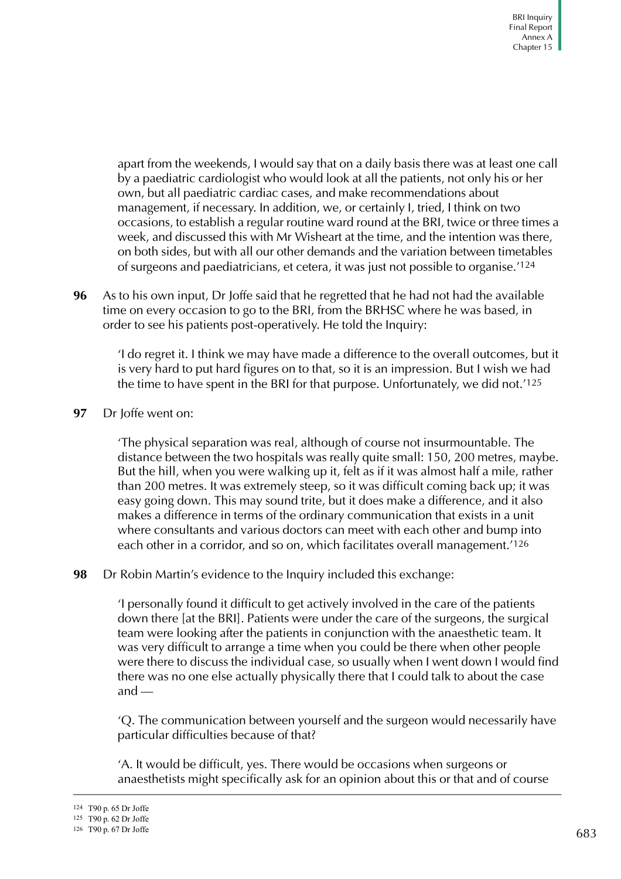apart from the weekends, I would say that on a daily basis there was at least one call by a paediatric cardiologist who would look at all the patients, not only his or her own, but all paediatric cardiac cases, and make recommendations about management, if necessary. In addition, we, or certainly I, tried, I think on two occasions, to establish a regular routine ward round at the BRI, twice or three times a week, and discussed this with Mr Wisheart at the time, and the intention was there, on both sides, but with all our other demands and the variation between timetables of surgeons and paediatricians, et cetera, it was just not possible to organise.'124

**96** As to his own input, Dr Joffe said that he regretted that he had not had the available time on every occasion to go to the BRI, from the BRHSC where he was based, in order to see his patients post-operatively. He told the Inquiry:

'I do regret it. I think we may have made a difference to the overall outcomes, but it is very hard to put hard figures on to that, so it is an impression. But I wish we had the time to have spent in the BRI for that purpose. Unfortunately, we did not.'125

#### **97** Dr Joffe went on:

'The physical separation was real, although of course not insurmountable. The distance between the two hospitals was really quite small: 150, 200 metres, maybe. But the hill, when you were walking up it, felt as if it was almost half a mile, rather than 200 metres. It was extremely steep, so it was difficult coming back up; it was easy going down. This may sound trite, but it does make a difference, and it also makes a difference in terms of the ordinary communication that exists in a unit where consultants and various doctors can meet with each other and bump into each other in a corridor, and so on, which facilitates overall management.'126

#### **98** Dr Robin Martin's evidence to the Inquiry included this exchange:

'I personally found it difficult to get actively involved in the care of the patients down there [at the BRI]. Patients were under the care of the surgeons, the surgical team were looking after the patients in conjunction with the anaesthetic team. It was very difficult to arrange a time when you could be there when other people were there to discuss the individual case, so usually when I went down I would find there was no one else actually physically there that I could talk to about the case and —

'Q. The communication between yourself and the surgeon would necessarily have particular difficulties because of that?

'A. It would be difficult, yes. There would be occasions when surgeons or anaesthetists might specifically ask for an opinion about this or that and of course

<sup>124</sup> T90 p. 65 Dr Joffe

<sup>125</sup> T90 p. 62 Dr Joffe

<sup>126</sup> T90 p. 67 Dr Joffe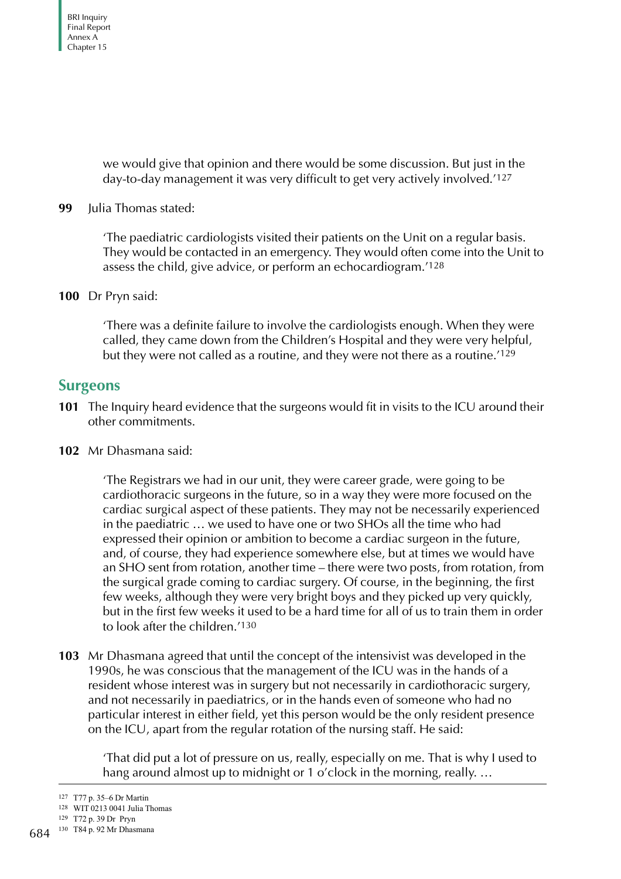BRI Inquiry Final Report Annex A Chapter 15

> we would give that opinion and there would be some discussion. But just in the day-to-day management it was very difficult to get very actively involved.'127

#### **99** Julia Thomas stated:

'The paediatric cardiologists visited their patients on the Unit on a regular basis. They would be contacted in an emergency. They would often come into the Unit to assess the child, give advice, or perform an echocardiogram.'128

**100** Dr Pryn said:

'There was a definite failure to involve the cardiologists enough. When they were called, they came down from the Children's Hospital and they were very helpful, but they were not called as a routine, and they were not there as a routine.'129

## **Surgeons**

- **101** The Inquiry heard evidence that the surgeons would fit in visits to the ICU around their other commitments.
- **102** Mr Dhasmana said:

'The Registrars we had in our unit, they were career grade, were going to be cardiothoracic surgeons in the future, so in a way they were more focused on the cardiac surgical aspect of these patients. They may not be necessarily experienced in the paediatric … we used to have one or two SHOs all the time who had expressed their opinion or ambition to become a cardiac surgeon in the future, and, of course, they had experience somewhere else, but at times we would have an SHO sent from rotation, another time – there were two posts, from rotation, from the surgical grade coming to cardiac surgery. Of course, in the beginning, the first few weeks, although they were very bright boys and they picked up very quickly, but in the first few weeks it used to be a hard time for all of us to train them in order to look after the children.'130

**103** Mr Dhasmana agreed that until the concept of the intensivist was developed in the 1990s, he was conscious that the management of the ICU was in the hands of a resident whose interest was in surgery but not necessarily in cardiothoracic surgery, and not necessarily in paediatrics, or in the hands even of someone who had no particular interest in either field, yet this person would be the only resident presence on the ICU, apart from the regular rotation of the nursing staff. He said:

'That did put a lot of pressure on us, really, especially on me. That is why I used to hang around almost up to midnight or 1 o'clock in the morning, really. …

<sup>127</sup> T77 p. 35–6 Dr Martin

<sup>128</sup> WIT 0213 0041 Julia Thomas

<sup>129</sup> T72 p. 39 Dr Pryn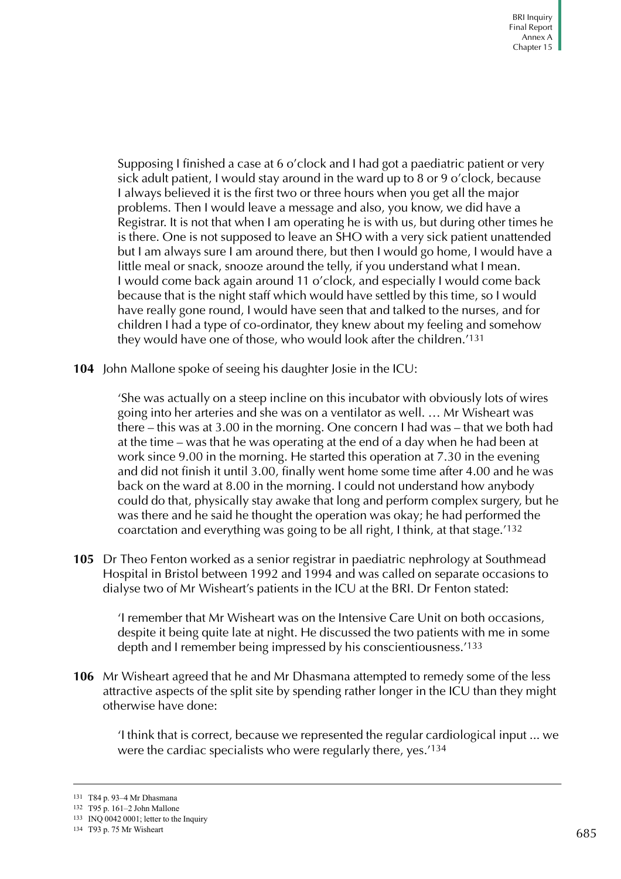Supposing I finished a case at 6 o'clock and I had got a paediatric patient or very sick adult patient, I would stay around in the ward up to 8 or 9 o'clock, because I always believed it is the first two or three hours when you get all the major problems. Then I would leave a message and also, you know, we did have a Registrar. It is not that when I am operating he is with us, but during other times he is there. One is not supposed to leave an SHO with a very sick patient unattended but I am always sure I am around there, but then I would go home, I would have a little meal or snack, snooze around the telly, if you understand what I mean. I would come back again around 11 o'clock, and especially I would come back because that is the night staff which would have settled by this time, so I would have really gone round, I would have seen that and talked to the nurses, and for children I had a type of co-ordinator, they knew about my feeling and somehow they would have one of those, who would look after the children.'131

**104** John Mallone spoke of seeing his daughter Josie in the ICU:

'She was actually on a steep incline on this incubator with obviously lots of wires going into her arteries and she was on a ventilator as well. … Mr Wisheart was there – this was at 3.00 in the morning. One concern I had was – that we both had at the time – was that he was operating at the end of a day when he had been at work since 9.00 in the morning. He started this operation at 7.30 in the evening and did not finish it until 3.00, finally went home some time after 4.00 and he was back on the ward at 8.00 in the morning. I could not understand how anybody could do that, physically stay awake that long and perform complex surgery, but he was there and he said he thought the operation was okay; he had performed the coarctation and everything was going to be all right, I think, at that stage.'132

**105** Dr Theo Fenton worked as a senior registrar in paediatric nephrology at Southmead Hospital in Bristol between 1992 and 1994 and was called on separate occasions to dialyse two of Mr Wisheart's patients in the ICU at the BRI. Dr Fenton stated:

'I remember that Mr Wisheart was on the Intensive Care Unit on both occasions, despite it being quite late at night. He discussed the two patients with me in some depth and I remember being impressed by his conscientiousness.'133

**106** Mr Wisheart agreed that he and Mr Dhasmana attempted to remedy some of the less attractive aspects of the split site by spending rather longer in the ICU than they might otherwise have done:

'I think that is correct, because we represented the regular cardiological input ... we were the cardiac specialists who were regularly there, yes.'134

<sup>131</sup> T84 p. 93–4 Mr Dhasmana

<sup>132</sup> T95 p. 161–2 John Mallone

<sup>133</sup> INO 0042 0001; letter to the Inquiry

<sup>134</sup> T93 p. 75 Mr Wisheart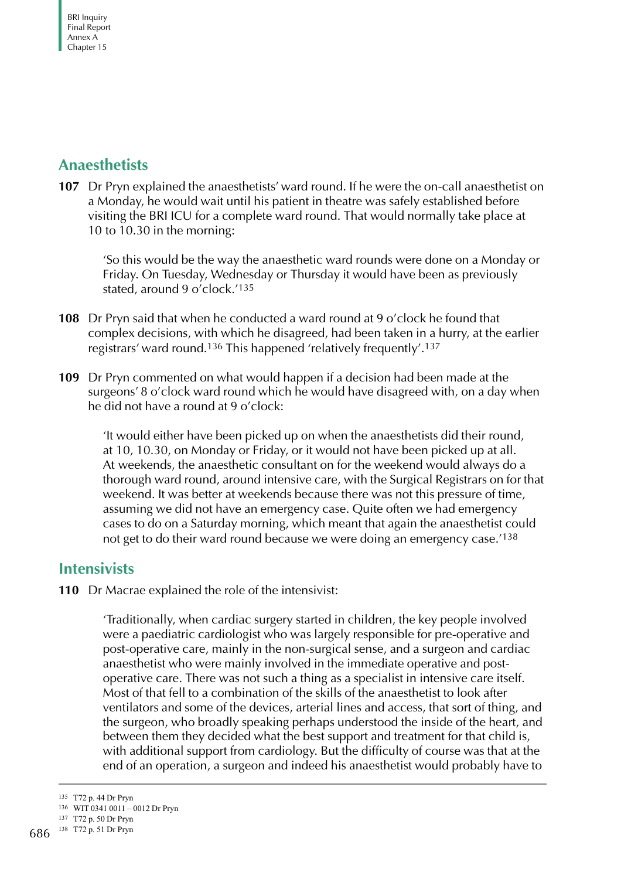## **Anaesthetists**

**107** Dr Pryn explained the anaesthetists' ward round. If he were the on-call anaesthetist on a Monday, he would wait until his patient in theatre was safely established before visiting the BRI ICU for a complete ward round. That would normally take place at 10 to 10.30 in the morning:

'So this would be the way the anaesthetic ward rounds were done on a Monday or Friday. On Tuesday, Wednesday or Thursday it would have been as previously stated, around 9 o'clock.'135

- **108** Dr Pryn said that when he conducted a ward round at 9 o'clock he found that complex decisions, with which he disagreed, had been taken in a hurry, at the earlier registrars' ward round.136 This happened 'relatively frequently'.137
- **109** Dr Pryn commented on what would happen if a decision had been made at the surgeons' 8 o'clock ward round which he would have disagreed with, on a day when he did not have a round at 9 o'clock:

'It would either have been picked up on when the anaesthetists did their round, at 10, 10.30, on Monday or Friday, or it would not have been picked up at all. At weekends, the anaesthetic consultant on for the weekend would always do a thorough ward round, around intensive care, with the Surgical Registrars on for that weekend. It was better at weekends because there was not this pressure of time, assuming we did not have an emergency case. Quite often we had emergency cases to do on a Saturday morning, which meant that again the anaesthetist could not get to do their ward round because we were doing an emergency case.'138

## **Intensivists**

**110** Dr Macrae explained the role of the intensivist:

'Traditionally, when cardiac surgery started in children, the key people involved were a paediatric cardiologist who was largely responsible for pre-operative and post-operative care, mainly in the non-surgical sense, and a surgeon and cardiac anaesthetist who were mainly involved in the immediate operative and postoperative care. There was not such a thing as a specialist in intensive care itself. Most of that fell to a combination of the skills of the anaesthetist to look after ventilators and some of the devices, arterial lines and access, that sort of thing, and the surgeon, who broadly speaking perhaps understood the inside of the heart, and between them they decided what the best support and treatment for that child is, with additional support from cardiology. But the difficulty of course was that at the end of an operation, a surgeon and indeed his anaesthetist would probably have to

<sup>135</sup> T72 p. 44 Dr Pryn

<sup>136</sup> WIT 0341 0011 – 0012 Dr Pryn

<sup>137</sup> T72 p. 50 Dr Pryn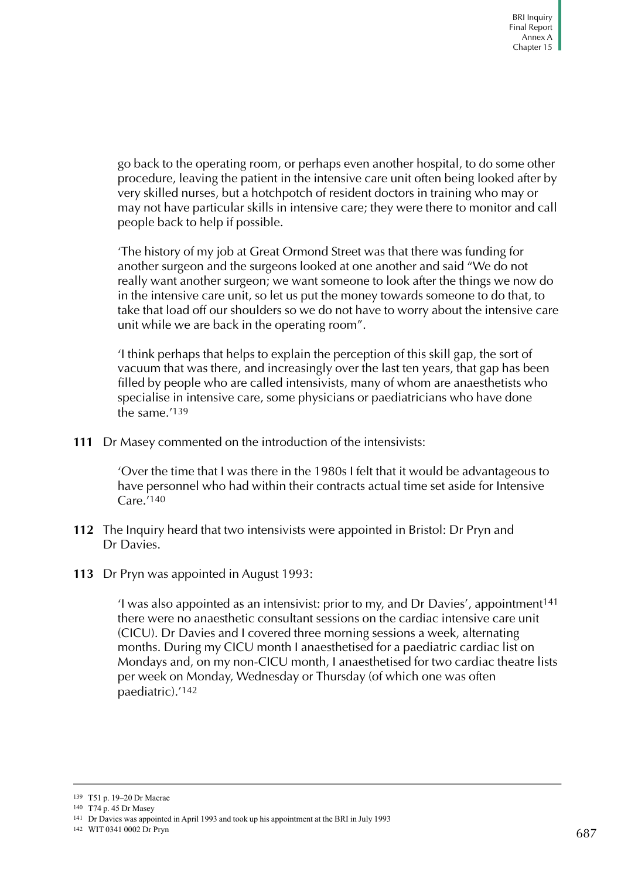go back to the operating room, or perhaps even another hospital, to do some other procedure, leaving the patient in the intensive care unit often being looked after by very skilled nurses, but a hotchpotch of resident doctors in training who may or may not have particular skills in intensive care; they were there to monitor and call people back to help if possible.

'The history of my job at Great Ormond Street was that there was funding for another surgeon and the surgeons looked at one another and said "We do not really want another surgeon; we want someone to look after the things we now do in the intensive care unit, so let us put the money towards someone to do that, to take that load off our shoulders so we do not have to worry about the intensive care unit while we are back in the operating room".

'I think perhaps that helps to explain the perception of this skill gap, the sort of vacuum that was there, and increasingly over the last ten years, that gap has been filled by people who are called intensivists, many of whom are anaesthetists who specialise in intensive care, some physicians or paediatricians who have done the same.'139

**111** Dr Masey commented on the introduction of the intensivists:

'Over the time that I was there in the 1980s I felt that it would be advantageous to have personnel who had within their contracts actual time set aside for Intensive Care.'140

- **112** The Inquiry heard that two intensivists were appointed in Bristol: Dr Pryn and Dr Davies.
- <span id="page-98-0"></span>**113** Dr Pryn was appointed in August 1993:

'I was also appointed as an intensivist: prior to my, and Dr Davies', appointment141 there were no anaesthetic consultant sessions on the cardiac intensive care unit (CICU). Dr Davies and I covered three morning sessions a week, alternating months. During my CICU month I anaesthetised for a paediatric cardiac list on Mondays and, on my non-CICU month, I anaesthetised for two cardiac theatre lists per week on Monday, Wednesday or Thursday (of which one was often paediatric).'142

<sup>139</sup> T51 p. 19–20 Dr Macrae

<sup>140</sup> T74 p. 45 Dr Masey

<sup>141</sup> Dr Davies was appointed in April 1993 and took up his appointment at the BRI in July 1993

<sup>142</sup> WIT 0341 0002 Dr Pryn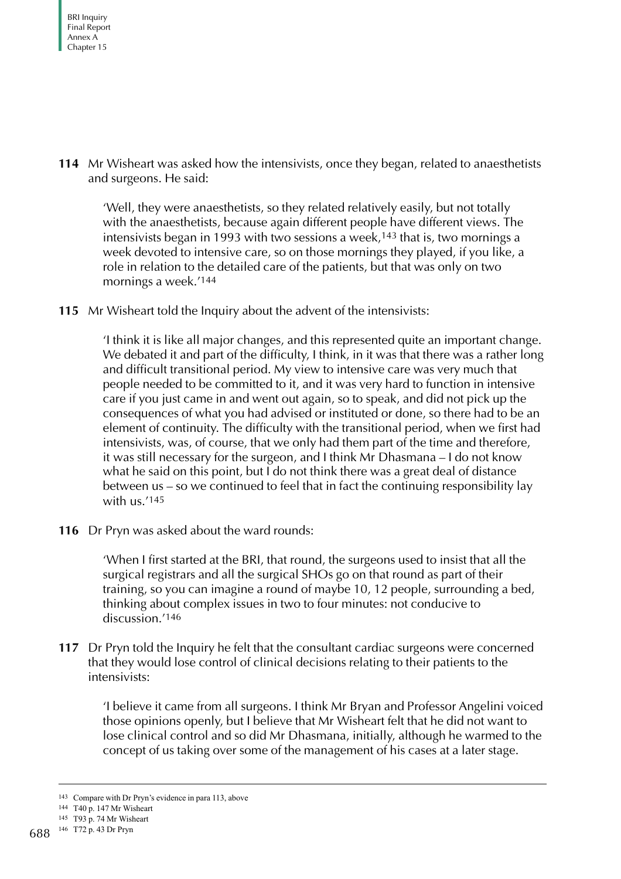**114** Mr Wisheart was asked how the intensivists, once they began, related to anaesthetists and surgeons. He said:

'Well, they were anaesthetists, so they related relatively easily, but not totally with the anaesthetists, because again different people have different views. The intensivists began in 1993 with two sessions a week,143 that is, two mornings a week devoted to intensive care, so on those mornings they played, if you like, a role in relation to the detailed care of the patients, but that was only on two mornings a week.'144

**115** Mr Wisheart told the Inquiry about the advent of the intensivists:

'I think it is like all major changes, and this represented quite an important change. We debated it and part of the difficulty, I think, in it was that there was a rather long and difficult transitional period. My view to intensive care was very much that people needed to be committed to it, and it was very hard to function in intensive care if you just came in and went out again, so to speak, and did not pick up the consequences of what you had advised or instituted or done, so there had to be an element of continuity. The difficulty with the transitional period, when we first had intensivists, was, of course, that we only had them part of the time and therefore, it was still necessary for the surgeon, and I think Mr Dhasmana – I do not know what he said on this point, but I do not think there was a great deal of distance between us – so we continued to feel that in fact the continuing responsibility lay with us.'145

**116** Dr Pryn was asked about the ward rounds:

'When I first started at the BRI, that round, the surgeons used to insist that all the surgical registrars and all the surgical SHOs go on that round as part of their training, so you can imagine a round of maybe 10, 12 people, surrounding a bed, thinking about complex issues in two to four minutes: not conducive to discussion.'146

**117** Dr Pryn told the Inquiry he felt that the consultant cardiac surgeons were concerned that they would lose control of clinical decisions relating to their patients to the intensivists:

'I believe it came from all surgeons. I think Mr Bryan and Professor Angelini voiced those opinions openly, but I believe that Mr Wisheart felt that he did not want to lose clinical control and so did Mr Dhasmana, initially, although he warmed to the concept of us taking over some of the management of his cases at a later stage.

<sup>143</sup> Compare with Dr Pryn's evidence in [para 113,](#page-98-0) above

<sup>144</sup> T40 p. 147 Mr Wisheart

<sup>145</sup> T93 p. 74 Mr Wisheart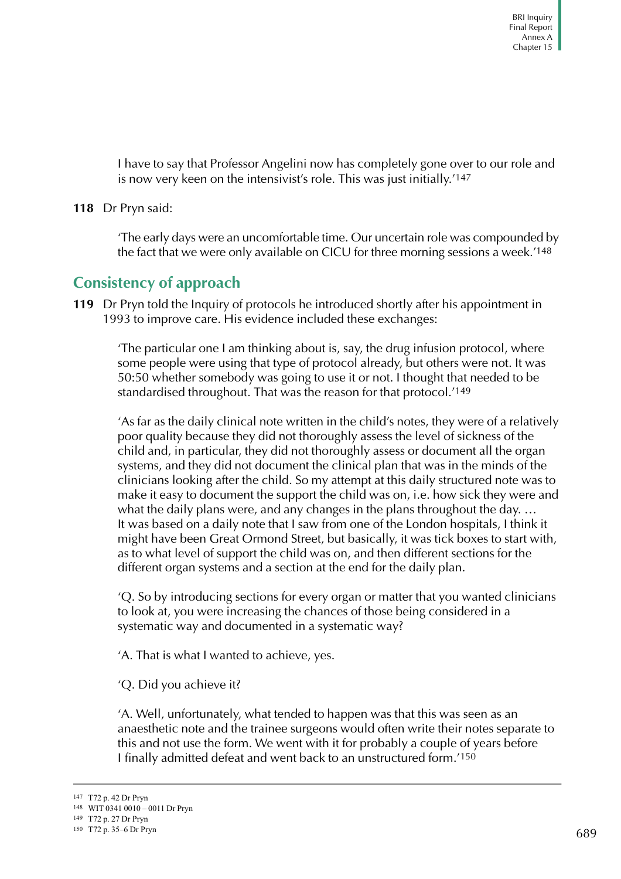I have to say that Professor Angelini now has completely gone over to our role and is now very keen on the intensivist's role. This was just initially.'147

#### **118** Dr Pryn said:

'The early days were an uncomfortable time. Our uncertain role was compounded by the fact that we were only available on CICU for three morning sessions a week.'148

## **Consistency of approach**

**119** Dr Pryn told the Inquiry of protocols he introduced shortly after his appointment in 1993 to improve care. His evidence included these exchanges:

'The particular one I am thinking about is, say, the drug infusion protocol, where some people were using that type of protocol already, but others were not. It was 50:50 whether somebody was going to use it or not. I thought that needed to be standardised throughout. That was the reason for that protocol.'149

'As far as the daily clinical note written in the child's notes, they were of a relatively poor quality because they did not thoroughly assess the level of sickness of the child and, in particular, they did not thoroughly assess or document all the organ systems, and they did not document the clinical plan that was in the minds of the clinicians looking after the child. So my attempt at this daily structured note was to make it easy to document the support the child was on, i.e. how sick they were and what the daily plans were, and any changes in the plans throughout the day. … It was based on a daily note that I saw from one of the London hospitals, I think it might have been Great Ormond Street, but basically, it was tick boxes to start with, as to what level of support the child was on, and then different sections for the different organ systems and a section at the end for the daily plan.

'Q. So by introducing sections for every organ or matter that you wanted clinicians to look at, you were increasing the chances of those being considered in a systematic way and documented in a systematic way?

'A. That is what I wanted to achieve, yes.

'Q. Did you achieve it?

'A. Well, unfortunately, what tended to happen was that this was seen as an anaesthetic note and the trainee surgeons would often write their notes separate to this and not use the form. We went with it for probably a couple of years before I finally admitted defeat and went back to an unstructured form.'150

<sup>147</sup> T72 p. 42 Dr Pryn

<sup>148</sup> WIT 0341 0010 – 0011 Dr Pryn

<sup>149</sup> T72 p. 27 Dr Pryn

<sup>150</sup> T72 p. 35–6 Dr Pryn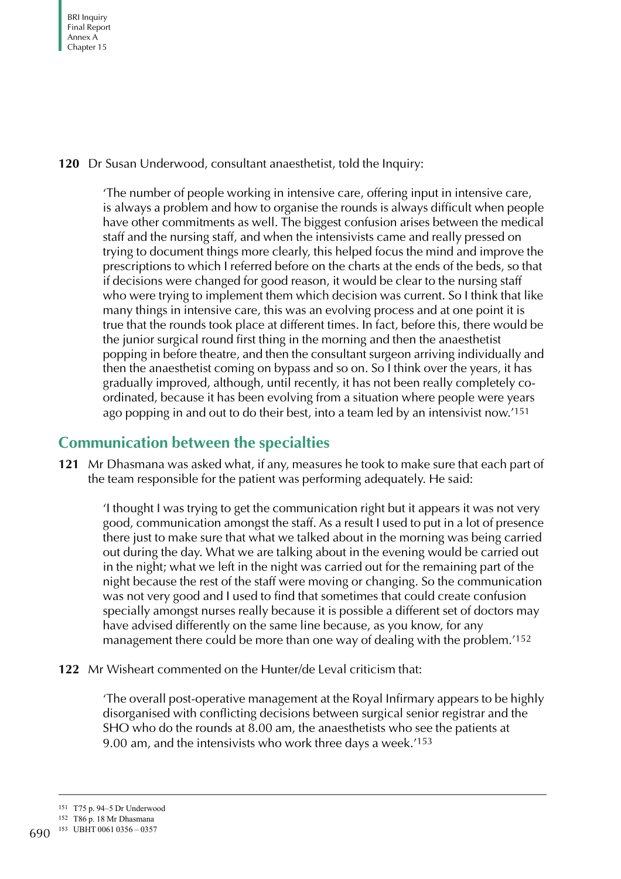**120** Dr Susan Underwood, consultant anaesthetist, told the Inquiry:

'The number of people working in intensive care, offering input in intensive care, is always a problem and how to organise the rounds is always difficult when people have other commitments as well. The biggest confusion arises between the medical staff and the nursing staff, and when the intensivists came and really pressed on trying to document things more clearly, this helped focus the mind and improve the prescriptions to which I referred before on the charts at the ends of the beds, so that if decisions were changed for good reason, it would be clear to the nursing staff who were trying to implement them which decision was current. So I think that like many things in intensive care, this was an evolving process and at one point it is true that the rounds took place at different times. In fact, before this, there would be the junior surgical round first thing in the morning and then the anaesthetist popping in before theatre, and then the consultant surgeon arriving individually and then the anaesthetist coming on bypass and so on. So I think over the years, it has gradually improved, although, until recently, it has not been really completely coordinated, because it has been evolving from a situation where people were years ago popping in and out to do their best, into a team led by an intensivist now.'151

## **Communication between the specialties**

**121** Mr Dhasmana was asked what, if any, measures he took to make sure that each part of the team responsible for the patient was performing adequately. He said:

'I thought I was trying to get the communication right but it appears it was not very good, communication amongst the staff. As a result I used to put in a lot of presence there just to make sure that what we talked about in the morning was being carried out during the day. What we are talking about in the evening would be carried out in the night; what we left in the night was carried out for the remaining part of the night because the rest of the staff were moving or changing. So the communication was not very good and I used to find that sometimes that could create confusion specially amongst nurses really because it is possible a different set of doctors may have advised differently on the same line because, as you know, for any management there could be more than one way of dealing with the problem.'152

**122** Mr Wisheart commented on the Hunter/de Leval criticism that:

'The overall post-operative management at the Royal Infirmary appears to be highly disorganised with conflicting decisions between surgical senior registrar and the SHO who do the rounds at 8.00 am, the anaesthetists who see the patients at 9.00 am, and the intensivists who work three days a week.'153

<sup>151</sup> T75 p. 94–5 Dr Underwood

<sup>152</sup> T86 p. 18 Mr Dhasmana 153 UBHT 0061 0356 – 0357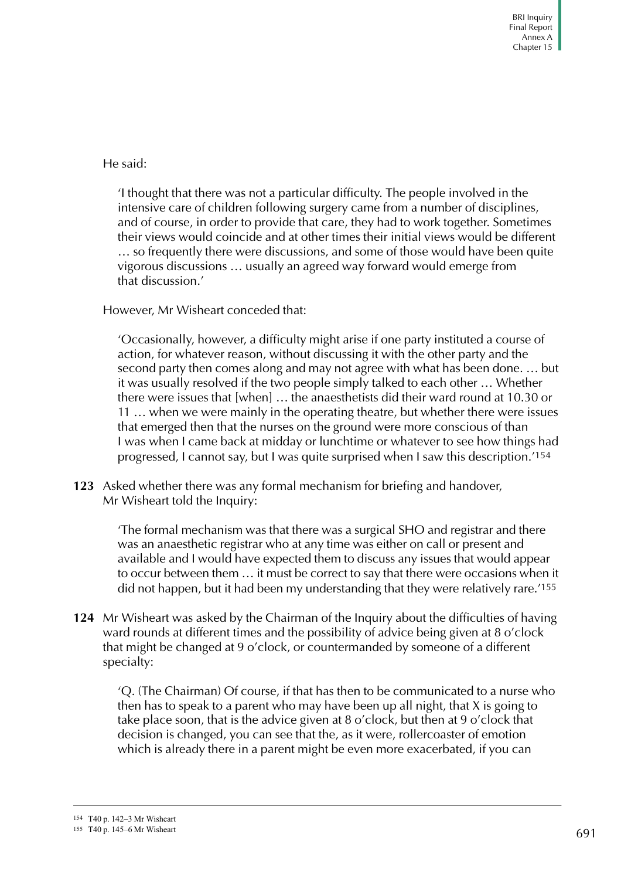He said:

'I thought that there was not a particular difficulty. The people involved in the intensive care of children following surgery came from a number of disciplines, and of course, in order to provide that care, they had to work together. Sometimes their views would coincide and at other times their initial views would be different … so frequently there were discussions, and some of those would have been quite vigorous discussions … usually an agreed way forward would emerge from that discussion.'

However, Mr Wisheart conceded that:

'Occasionally, however, a difficulty might arise if one party instituted a course of action, for whatever reason, without discussing it with the other party and the second party then comes along and may not agree with what has been done. … but it was usually resolved if the two people simply talked to each other … Whether there were issues that [when] … the anaesthetists did their ward round at 10.30 or 11 … when we were mainly in the operating theatre, but whether there were issues that emerged then that the nurses on the ground were more conscious of than I was when I came back at midday or lunchtime or whatever to see how things had progressed, I cannot say, but I was quite surprised when I saw this description.'154

**123** Asked whether there was any formal mechanism for briefing and handover, Mr Wisheart told the Inquiry:

> 'The formal mechanism was that there was a surgical SHO and registrar and there was an anaesthetic registrar who at any time was either on call or present and available and I would have expected them to discuss any issues that would appear to occur between them … it must be correct to say that there were occasions when it did not happen, but it had been my understanding that they were relatively rare.'155

**124** Mr Wisheart was asked by the Chairman of the Inquiry about the difficulties of having ward rounds at different times and the possibility of advice being given at 8 o'clock that might be changed at 9 o'clock, or countermanded by someone of a different specialty:

'Q. (The Chairman) Of course, if that has then to be communicated to a nurse who then has to speak to a parent who may have been up all night, that X is going to take place soon, that is the advice given at 8 o'clock, but then at 9 o'clock that decision is changed, you can see that the, as it were, rollercoaster of emotion which is already there in a parent might be even more exacerbated, if you can

<sup>154</sup> T40 p. 142–3 Mr Wisheart

<sup>155</sup> T40 p. 145–6 Mr Wisheart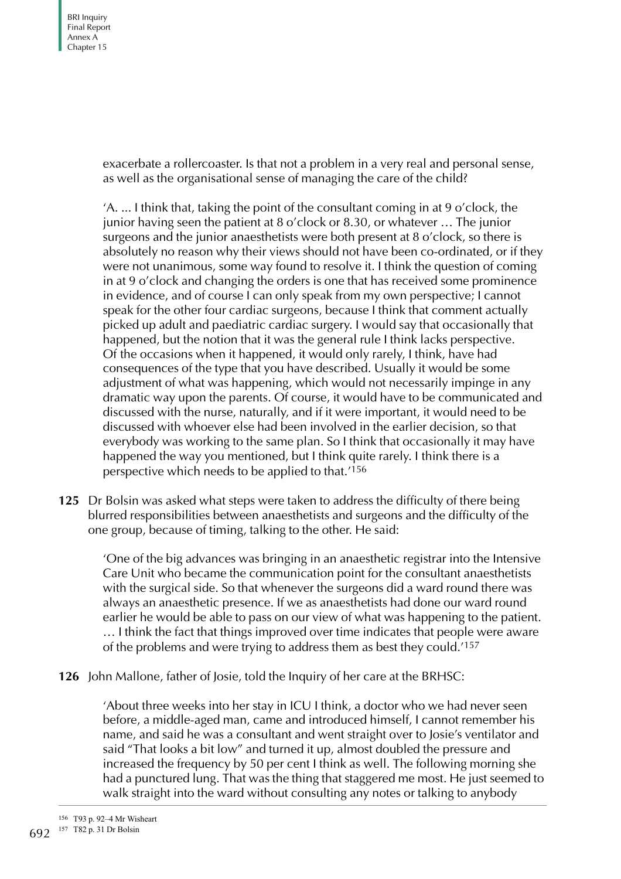exacerbate a rollercoaster. Is that not a problem in a very real and personal sense, as well as the organisational sense of managing the care of the child?

'A. ... I think that, taking the point of the consultant coming in at 9 o'clock, the junior having seen the patient at 8 o'clock or 8.30, or whatever … The junior surgeons and the junior anaesthetists were both present at 8 o'clock, so there is absolutely no reason why their views should not have been co-ordinated, or if they were not unanimous, some way found to resolve it. I think the question of coming in at 9 o'clock and changing the orders is one that has received some prominence in evidence, and of course I can only speak from my own perspective; I cannot speak for the other four cardiac surgeons, because I think that comment actually picked up adult and paediatric cardiac surgery. I would say that occasionally that happened, but the notion that it was the general rule I think lacks perspective. Of the occasions when it happened, it would only rarely, I think, have had consequences of the type that you have described. Usually it would be some adjustment of what was happening, which would not necessarily impinge in any dramatic way upon the parents. Of course, it would have to be communicated and discussed with the nurse, naturally, and if it were important, it would need to be discussed with whoever else had been involved in the earlier decision, so that everybody was working to the same plan. So I think that occasionally it may have happened the way you mentioned, but I think quite rarely. I think there is a perspective which needs to be applied to that.'156

**125** Dr Bolsin was asked what steps were taken to address the difficulty of there being blurred responsibilities between anaesthetists and surgeons and the difficulty of the one group, because of timing, talking to the other. He said:

'One of the big advances was bringing in an anaesthetic registrar into the Intensive Care Unit who became the communication point for the consultant anaesthetists with the surgical side. So that whenever the surgeons did a ward round there was always an anaesthetic presence. If we as anaesthetists had done our ward round earlier he would be able to pass on our view of what was happening to the patient. … I think the fact that things improved over time indicates that people were aware of the problems and were trying to address them as best they could.'157

**126** John Mallone, father of Josie, told the Inquiry of her care at the BRHSC:

'About three weeks into her stay in ICU I think, a doctor who we had never seen before, a middle-aged man, came and introduced himself, I cannot remember his name, and said he was a consultant and went straight over to Josie's ventilator and said "That looks a bit low" and turned it up, almost doubled the pressure and increased the frequency by 50 per cent I think as well. The following morning she had a punctured lung. That was the thing that staggered me most. He just seemed to walk straight into the ward without consulting any notes or talking to anybody

<sup>156</sup> T93 p. 92–4 Mr Wisheart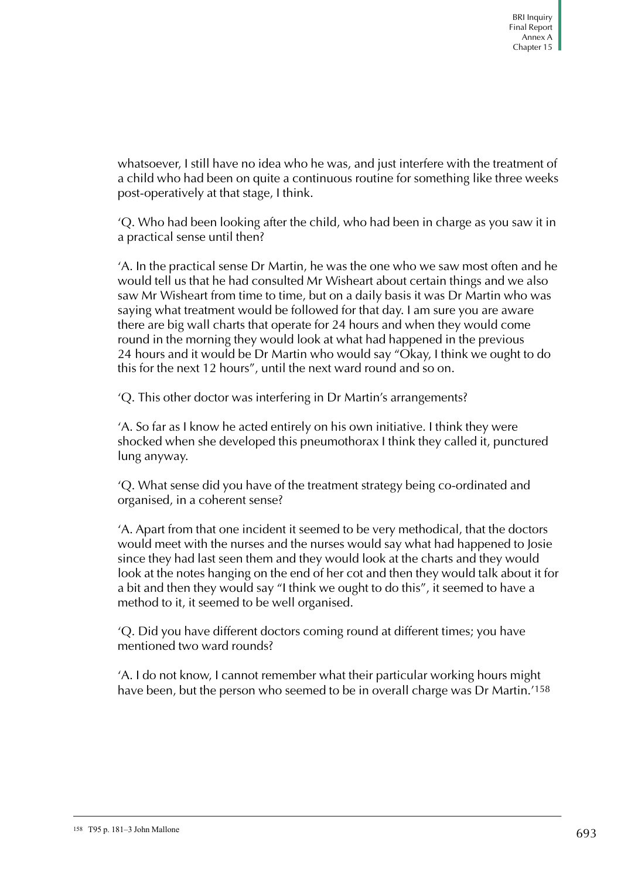whatsoever, I still have no idea who he was, and just interfere with the treatment of a child who had been on quite a continuous routine for something like three weeks post-operatively at that stage, I think.

'Q. Who had been looking after the child, who had been in charge as you saw it in a practical sense until then?

'A. In the practical sense Dr Martin, he was the one who we saw most often and he would tell us that he had consulted Mr Wisheart about certain things and we also saw Mr Wisheart from time to time, but on a daily basis it was Dr Martin who was saying what treatment would be followed for that day. I am sure you are aware there are big wall charts that operate for 24 hours and when they would come round in the morning they would look at what had happened in the previous 24 hours and it would be Dr Martin who would say "Okay, I think we ought to do this for the next 12 hours", until the next ward round and so on.

'Q. This other doctor was interfering in Dr Martin's arrangements?

'A. So far as I know he acted entirely on his own initiative. I think they were shocked when she developed this pneumothorax I think they called it, punctured lung anyway.

'Q. What sense did you have of the treatment strategy being co-ordinated and organised, in a coherent sense?

'A. Apart from that one incident it seemed to be very methodical, that the doctors would meet with the nurses and the nurses would say what had happened to Josie since they had last seen them and they would look at the charts and they would look at the notes hanging on the end of her cot and then they would talk about it for a bit and then they would say "I think we ought to do this", it seemed to have a method to it, it seemed to be well organised.

'Q. Did you have different doctors coming round at different times; you have mentioned two ward rounds?

'A. I do not know, I cannot remember what their particular working hours might have been, but the person who seemed to be in overall charge was Dr Martin.'158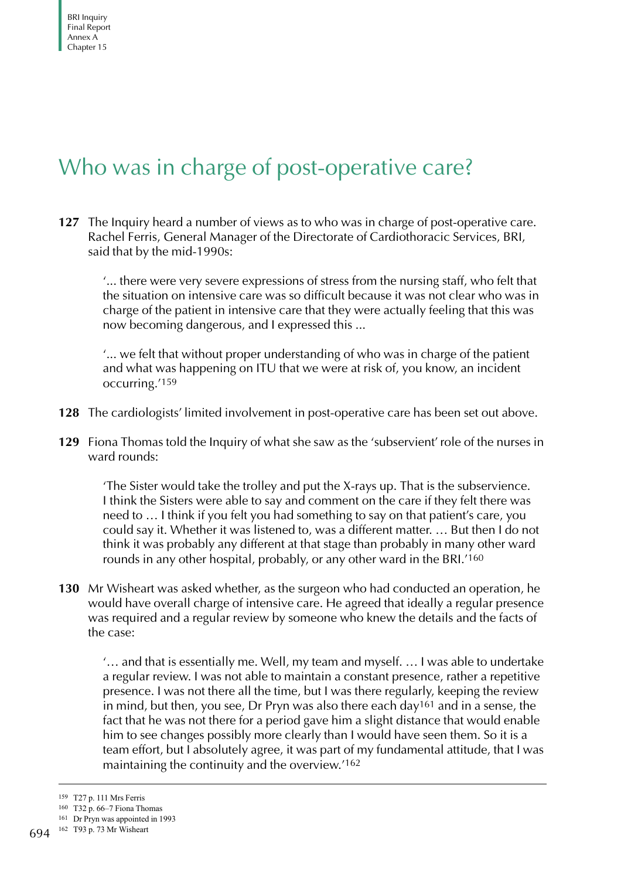# Who was in charge of post-operative care?

**127** The Inquiry heard a number of views as to who was in charge of post-operative care. Rachel Ferris, General Manager of the Directorate of Cardiothoracic Services, BRI, said that by the mid-1990s:

'... there were very severe expressions of stress from the nursing staff, who felt that the situation on intensive care was so difficult because it was not clear who was in charge of the patient in intensive care that they were actually feeling that this was now becoming dangerous, and I expressed this ...

'... we felt that without proper understanding of who was in charge of the patient and what was happening on ITU that we were at risk of, you know, an incident occurring.'159

- **128** The cardiologists' limited involvement in post-operative care has been set out above.
- **129** Fiona Thomas told the Inquiry of what she saw as the 'subservient' role of the nurses in ward rounds:

'The Sister would take the trolley and put the X-rays up. That is the subservience. I think the Sisters were able to say and comment on the care if they felt there was need to … I think if you felt you had something to say on that patient's care, you could say it. Whether it was listened to, was a different matter. … But then I do not think it was probably any different at that stage than probably in many other ward rounds in any other hospital, probably, or any other ward in the BRI.'160

**130** Mr Wisheart was asked whether, as the surgeon who had conducted an operation, he would have overall charge of intensive care. He agreed that ideally a regular presence was required and a regular review by someone who knew the details and the facts of the case:

'… and that is essentially me. Well, my team and myself. … I was able to undertake a regular review. I was not able to maintain a constant presence, rather a repetitive presence. I was not there all the time, but I was there regularly, keeping the review in mind, but then, you see, Dr Pryn was also there each day161 and in a sense, the fact that he was not there for a period gave him a slight distance that would enable him to see changes possibly more clearly than I would have seen them. So it is a team effort, but I absolutely agree, it was part of my fundamental attitude, that I was maintaining the continuity and the overview.'162

<sup>159</sup> T27 p. 111 Mrs Ferris

<sup>160</sup> T32 p. 66–7 Fiona Thomas

<sup>161</sup> Dr Pryn was appointed in 1993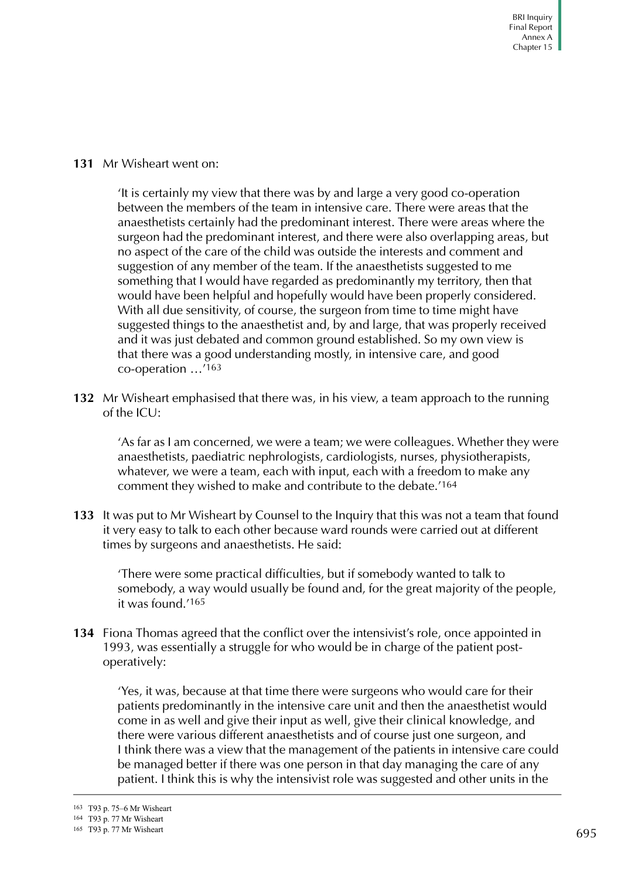#### **131** Mr Wisheart went on:

'It is certainly my view that there was by and large a very good co-operation between the members of the team in intensive care. There were areas that the anaesthetists certainly had the predominant interest. There were areas where the surgeon had the predominant interest, and there were also overlapping areas, but no aspect of the care of the child was outside the interests and comment and suggestion of any member of the team. If the anaesthetists suggested to me something that I would have regarded as predominantly my territory, then that would have been helpful and hopefully would have been properly considered. With all due sensitivity, of course, the surgeon from time to time might have suggested things to the anaesthetist and, by and large, that was properly received and it was just debated and common ground established. So my own view is that there was a good understanding mostly, in intensive care, and good co-operation …'163

**132** Mr Wisheart emphasised that there was, in his view, a team approach to the running of the ICU:

'As far as I am concerned, we were a team; we were colleagues. Whether they were anaesthetists, paediatric nephrologists, cardiologists, nurses, physiotherapists, whatever, we were a team, each with input, each with a freedom to make any comment they wished to make and contribute to the debate.'164

**133** It was put to Mr Wisheart by Counsel to the Inquiry that this was not a team that found it very easy to talk to each other because ward rounds were carried out at different times by surgeons and anaesthetists. He said:

'There were some practical difficulties, but if somebody wanted to talk to somebody, a way would usually be found and, for the great majority of the people, it was found.'165

**134** Fiona Thomas agreed that the conflict over the intensivist's role, once appointed in 1993, was essentially a struggle for who would be in charge of the patient postoperatively:

'Yes, it was, because at that time there were surgeons who would care for their patients predominantly in the intensive care unit and then the anaesthetist would come in as well and give their input as well, give their clinical knowledge, and there were various different anaesthetists and of course just one surgeon, and I think there was a view that the management of the patients in intensive care could be managed better if there was one person in that day managing the care of any patient. I think this is why the intensivist role was suggested and other units in the

<sup>163</sup> T93 p. 75–6 Mr Wisheart

<sup>164</sup> T93 p. 77 Mr Wisheart

<sup>165</sup> T93 p. 77 Mr Wisheart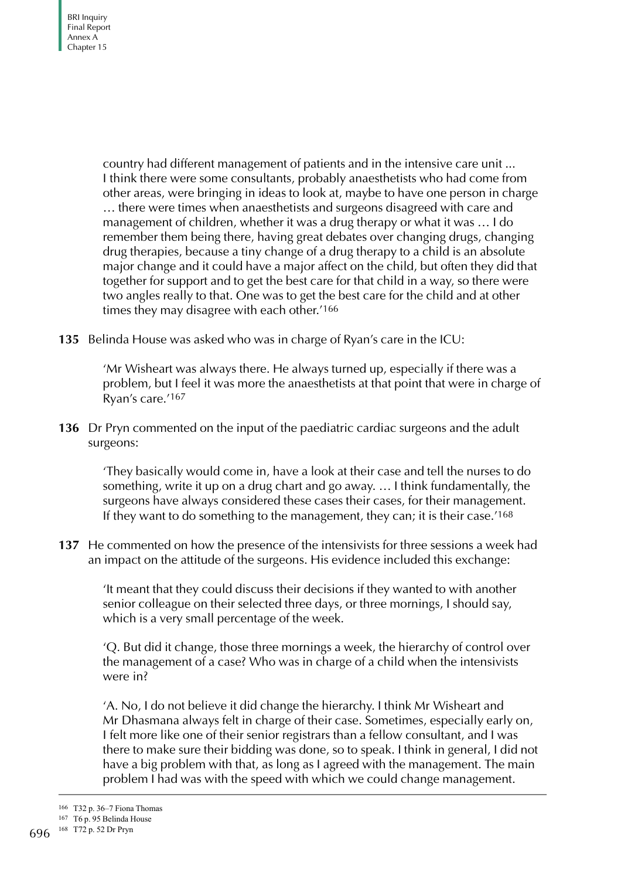country had different management of patients and in the intensive care unit ... I think there were some consultants, probably anaesthetists who had come from other areas, were bringing in ideas to look at, maybe to have one person in charge … there were times when anaesthetists and surgeons disagreed with care and management of children, whether it was a drug therapy or what it was … I do remember them being there, having great debates over changing drugs, changing drug therapies, because a tiny change of a drug therapy to a child is an absolute major change and it could have a major affect on the child, but often they did that together for support and to get the best care for that child in a way, so there were two angles really to that. One was to get the best care for the child and at other times they may disagree with each other.'166

**135** Belinda House was asked who was in charge of Ryan's care in the ICU:

'Mr Wisheart was always there. He always turned up, especially if there was a problem, but I feel it was more the anaesthetists at that point that were in charge of Ryan's care.'167

**136** Dr Pryn commented on the input of the paediatric cardiac surgeons and the adult surgeons:

'They basically would come in, have a look at their case and tell the nurses to do something, write it up on a drug chart and go away. … I think fundamentally, the surgeons have always considered these cases their cases, for their management. If they want to do something to the management, they can; it is their case.'168

**137** He commented on how the presence of the intensivists for three sessions a week had an impact on the attitude of the surgeons. His evidence included this exchange:

'It meant that they could discuss their decisions if they wanted to with another senior colleague on their selected three days, or three mornings, I should say, which is a very small percentage of the week.

'Q. But did it change, those three mornings a week, the hierarchy of control over the management of a case? Who was in charge of a child when the intensivists were in?

'A. No, I do not believe it did change the hierarchy. I think Mr Wisheart and Mr Dhasmana always felt in charge of their case. Sometimes, especially early on, I felt more like one of their senior registrars than a fellow consultant, and I was there to make sure their bidding was done, so to speak. I think in general, I did not have a big problem with that, as long as I agreed with the management. The main problem I had was with the speed with which we could change management.

<sup>166</sup> T32 p. 36–7 Fiona Thomas

<sup>167</sup> T6 p. 95 Belinda House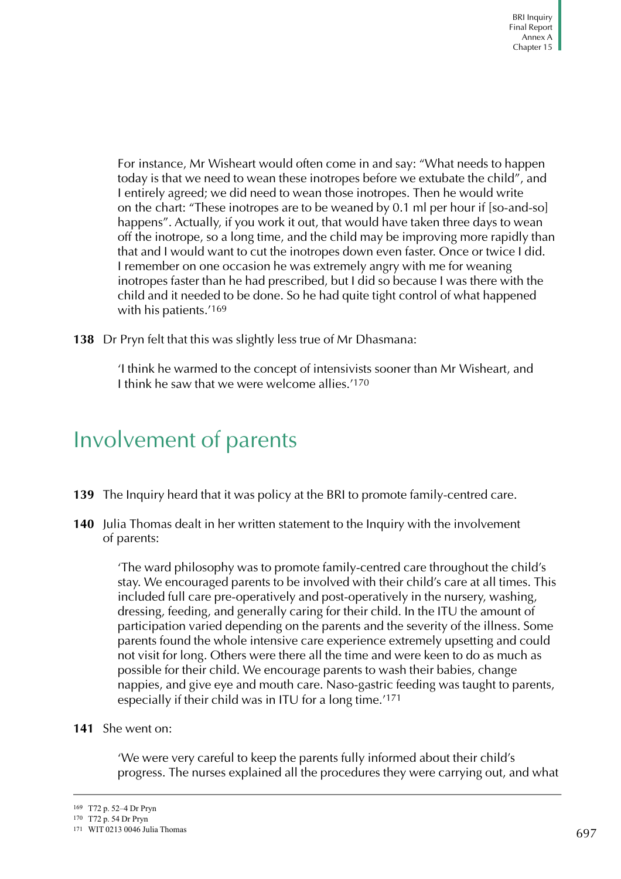For instance, Mr Wisheart would often come in and say: "What needs to happen today is that we need to wean these inotropes before we extubate the child", and I entirely agreed; we did need to wean those inotropes. Then he would write on the chart: "These inotropes are to be weaned by 0.1 ml per hour if [so-and-so] happens". Actually, if you work it out, that would have taken three days to wean off the inotrope, so a long time, and the child may be improving more rapidly than that and I would want to cut the inotropes down even faster. Once or twice I did. I remember on one occasion he was extremely angry with me for weaning inotropes faster than he had prescribed, but I did so because I was there with the child and it needed to be done. So he had quite tight control of what happened with his patients.'<sup>169</sup>

**138** Dr Pryn felt that this was slightly less true of Mr Dhasmana:

'I think he warmed to the concept of intensivists sooner than Mr Wisheart, and I think he saw that we were welcome allies.'170

# Involvement of parents

- **139** The Inquiry heard that it was policy at the BRI to promote family-centred care.
- **140** Julia Thomas dealt in her written statement to the Inquiry with the involvement of parents:

'The ward philosophy was to promote family-centred care throughout the child's stay. We encouraged parents to be involved with their child's care at all times. This included full care pre-operatively and post-operatively in the nursery, washing, dressing, feeding, and generally caring for their child. In the ITU the amount of participation varied depending on the parents and the severity of the illness. Some parents found the whole intensive care experience extremely upsetting and could not visit for long. Others were there all the time and were keen to do as much as possible for their child. We encourage parents to wash their babies, change nappies, and give eye and mouth care. Naso-gastric feeding was taught to parents, especially if their child was in ITU for a long time.'171

#### **141** She went on:

'We were very careful to keep the parents fully informed about their child's progress. The nurses explained all the procedures they were carrying out, and what

<sup>169</sup> T72 p. 52–4 Dr Pryn

<sup>170</sup> T72 p. 54 Dr Pryn

<sup>171</sup> WIT 0213 0046 Julia Thomas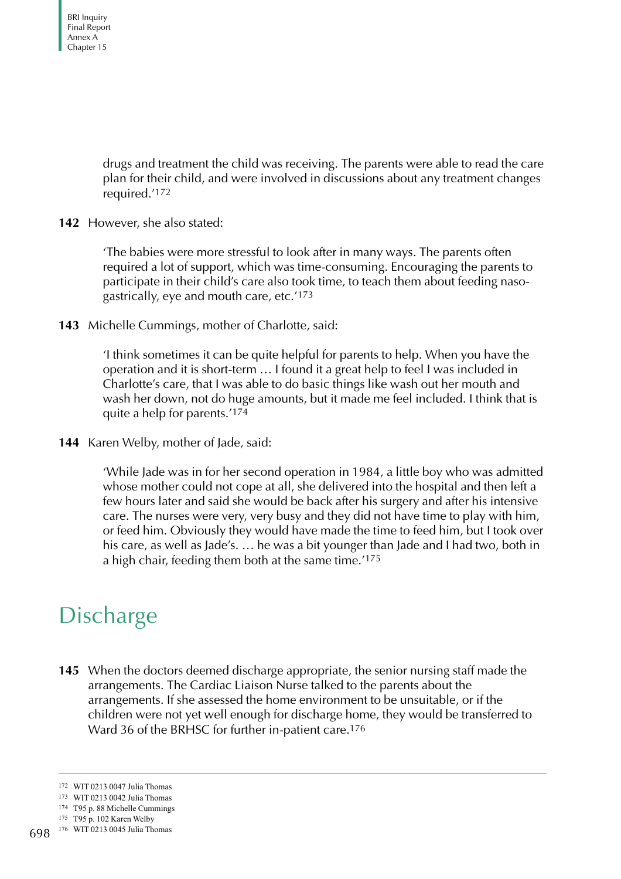drugs and treatment the child was receiving. The parents were able to read the care plan for their child, and were involved in discussions about any treatment changes required.'172

#### **142** However, she also stated:

'The babies were more stressful to look after in many ways. The parents often required a lot of support, which was time-consuming. Encouraging the parents to participate in their child's care also took time, to teach them about feeding nasogastrically, eye and mouth care, etc.'173

**143** Michelle Cummings, mother of Charlotte, said:

'I think sometimes it can be quite helpful for parents to help. When you have the operation and it is short-term … I found it a great help to feel I was included in Charlotte's care, that I was able to do basic things like wash out her mouth and wash her down, not do huge amounts, but it made me feel included. I think that is quite a help for parents.'174

**144** Karen Welby, mother of Jade, said:

'While Jade was in for her second operation in 1984, a little boy who was admitted whose mother could not cope at all, she delivered into the hospital and then left a few hours later and said she would be back after his surgery and after his intensive care. The nurses were very, very busy and they did not have time to play with him, or feed him. Obviously they would have made the time to feed him, but I took over his care, as well as Jade's. … he was a bit younger than Jade and I had two, both in a high chair, feeding them both at the same time.'175

## **Discharge**

**145** When the doctors deemed discharge appropriate, the senior nursing staff made the arrangements. The Cardiac Liaison Nurse talked to the parents about the arrangements. If she assessed the home environment to be unsuitable, or if the children were not yet well enough for discharge home, they would be transferred to Ward 36 of the BRHSC for further in-patient care.176

<sup>172</sup> WIT 0213 0047 Julia Thomas

<sup>173</sup> WIT 0213 0042 Julia Thomas

<sup>174</sup> T95 p. 88 Michelle Cummings

<sup>175</sup> T95 p. 102 Karen Welby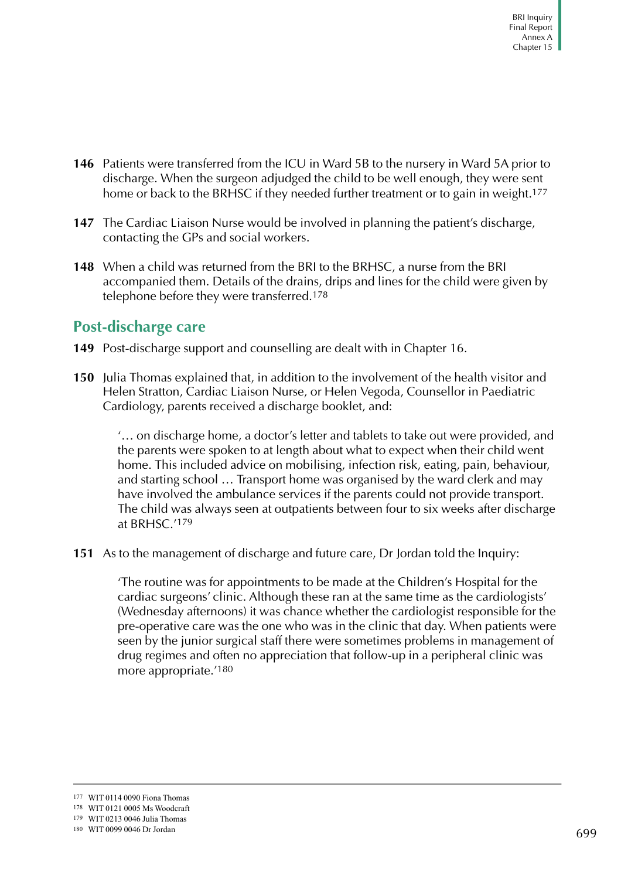- **146** Patients were transferred from the ICU in Ward 5B to the nursery in Ward 5A prior to discharge. When the surgeon adjudged the child to be well enough, they were sent home or back to the BRHSC if they needed further treatment or to gain in weight.<sup>177</sup>
- **147** The Cardiac Liaison Nurse would be involved in planning the patient's discharge, contacting the GPs and social workers.
- **148** When a child was returned from the BRI to the BRHSC, a nurse from the BRI accompanied them. Details of the drains, drips and lines for the child were given by telephone before they were transferred.178

### **Post-discharge care**

- **149** Post-discharge support and counselling are dealt with in Chapter 16.
- **150** Julia Thomas explained that, in addition to the involvement of the health visitor and Helen Stratton, Cardiac Liaison Nurse, or Helen Vegoda, Counsellor in Paediatric Cardiology, parents received a discharge booklet, and:

'… on discharge home, a doctor's letter and tablets to take out were provided, and the parents were spoken to at length about what to expect when their child went home. This included advice on mobilising, infection risk, eating, pain, behaviour, and starting school … Transport home was organised by the ward clerk and may have involved the ambulance services if the parents could not provide transport. The child was always seen at outpatients between four to six weeks after discharge at BRHSC.'179

**151** As to the management of discharge and future care, Dr Jordan told the Inquiry:

'The routine was for appointments to be made at the Children's Hospital for the cardiac surgeons' clinic. Although these ran at the same time as the cardiologists' (Wednesday afternoons) it was chance whether the cardiologist responsible for the pre-operative care was the one who was in the clinic that day. When patients were seen by the junior surgical staff there were sometimes problems in management of drug regimes and often no appreciation that follow-up in a peripheral clinic was more appropriate.'180

<sup>177</sup> WIT 0114 0090 Fiona Thomas

<sup>178</sup> WIT 0121 0005 Ms Woodcraft

<sup>179</sup> WIT 0213 0046 Julia Thomas

<sup>180</sup> WIT 0099 0046 Dr Jordan